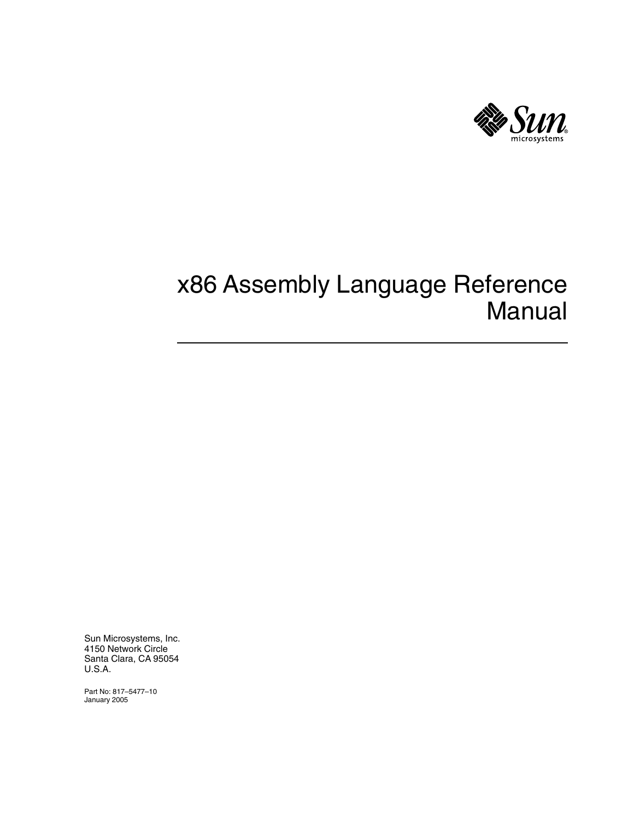

# x86 Assembly Language Reference Manual

Sun Microsystems, Inc. 4150 Network Circle Santa Clara, CA 95054 U.S.A.

Part No: 817–5477–10 January 2005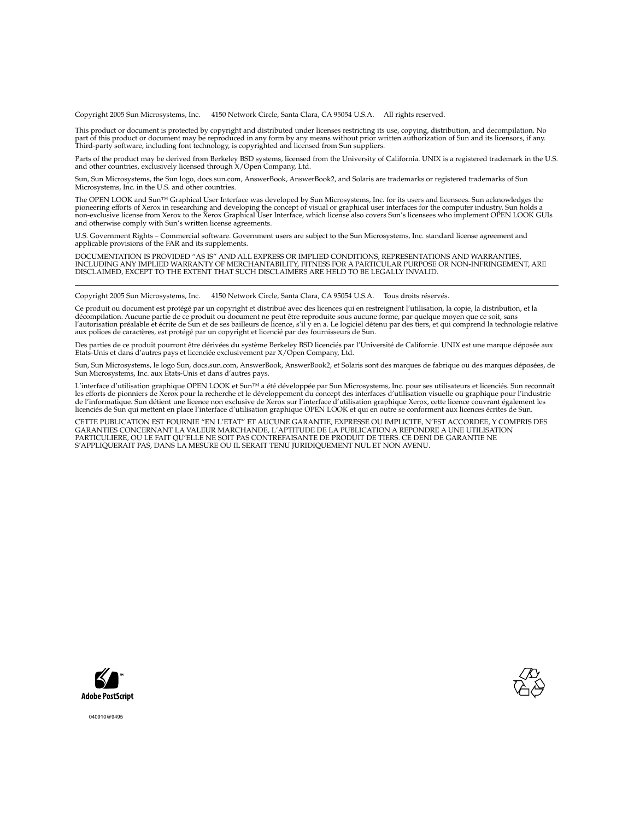Copyright 2005 Sun Microsystems, Inc. 4150 Network Circle, Santa Clara, CA 95054 U.S.A. All rights reserved.

This product or document is protected by copyright and distributed under licenses restricting its use, copying, distribution, and decompilation. No part of this product or document may be reproduced in any form by any means without prior written authorization of Sun and its licensors, if any.<br>Third-party software, including font technology, is copyrighted and licensed

Parts of the product may be derived from Berkeley BSD systems, licensed from the University of California. UNIX is a registered trademark in the U.S. and other countries, exclusively licensed through X/Open Company, Ltd.

Sun, Sun Microsystems, the Sun logo, docs.sun.com, AnswerBook, AnswerBook2, and Solaris are trademarks or registered trademarks of Sun Microsystems, Inc. in the U.S. and other countries.

The OPEN LOOK and Sun™ Graphical User Interface was developed by Sun Microsystems, Inc. for its users and licensees. Sun acknowledges the pioneering efforts of Xerox in researching and developing the concept of visual or graphical user interfaces for the computer industry. Sun holds a<br>non-exclusive license from Xerox to the Xerox Graphical User Interface, wh and otherwise comply with Sun's written license agreements.

U.S. Government Rights – Commercial software. Government users are subject to the Sun Microsystems, Inc. standard license agreement and applicable provisions of the FAR and its supplements.

DOCUMENTATION IS PROVIDED "AS IS" AND ALL EXPRESS OR IMPLIED CONDITIONS, REPRESENTATIONS AND WARRANTIES, INCLUDING ANY IMPLIED WARRANTY OF MERCHANTABILITY, FITNESS FOR A PARTICULAR PURPOSE OR NON-INFRINGEMENT, ARE DISCLAIMED, EXCEPT TO THE EXTENT THAT SUCH DISCLAIMERS ARE HELD TO BE LEGALLY INVALID.

Copyright 2005 Sun Microsystems, Inc. 4150 Network Circle, Santa Clara, CA 95054 U.S.A. Tous droits réservés.

Ce produit ou document est protégé par un copyright et distribué avec des licences qui en restreignent l'utilisation, la copie, la distribution, et la décompilation. Aucune partie de ce produit ou document ne peut être reproduite sous aucune forme, par quelque moyen que ce soit, sans<br>l'autorisation préalable et écrite de Sun et de ses bailleurs de licence, s'il y en a. L aux polices de caractères, est protégé par un copyright et licencié par des fournisseurs de Sun.

Des parties de ce produit pourront être dérivées du système Berkeley BSD licenciés par l'Université de Californie. UNIX est une marque déposée aux<br>Etats-Unis et dans d'autres pays et licenciée exclusivement par X/Open Comp

Sun, Sun Microsystems, le logo Sun, docs.sun.com, AnswerBook, AnswerBook2, et Solaris sont des marques de fabrique ou des marques déposées, de Sun Microsystems, Inc. aux Etats-Unis et dans d'autres pays.

L'interface d'utilisation graphique OPEN LOOK et Sun™a été développée par Sun Microsystems, Inc. pour ses utilisateurs et licenciés. Sun reconnaît<br>les efforts de pionniers de Xerox pour la recherche et le développement du licenciés de Sun qui mettent en place l'interface d'utilisation graphique OPEN LOOK et qui en outre se conforment aux licences écrites de Sun.

CETTE PUBLICATION EST FOURNIE "EN L'ETAT" ET AUCUNE GARANTIE, EXPRESSE OU IMPLICITE, N'EST ACCORDEE, Y COMPRIS DES GARANTIES CONCERNANT LA VALEUR MARCHANDE, L'APTITUDE DE LA PUBLICATION A REPONDRE A UNE UTILISATION<br>PARTICULIERE, OU LE FAIT QU'ELLE NE SOIT PAS CONTREFAISANTE DE PRODUIT DE TIERS. CE DENI DE GARANTIE NE<br>S'APPLIQUERAIT PAS





040910@9495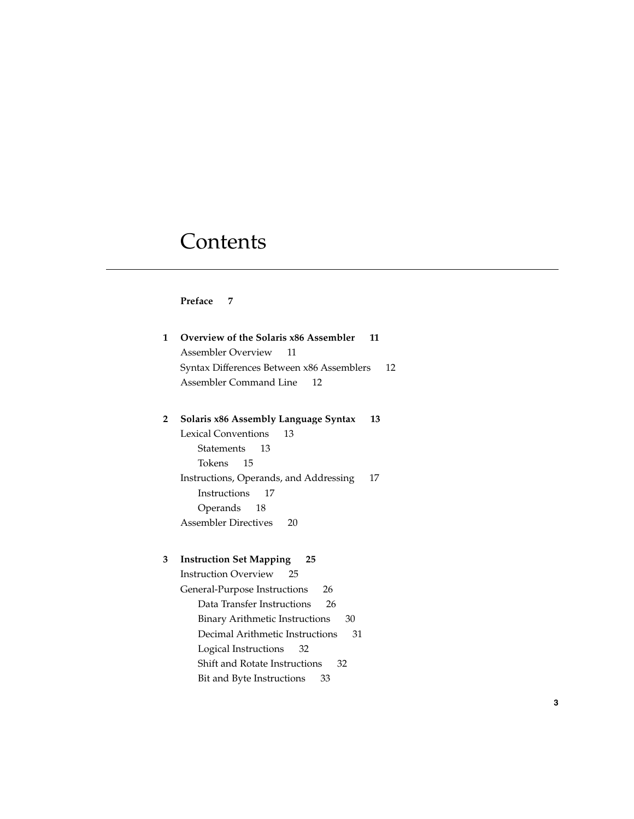# **Contents**

### **[Preface 7](#page-6-0)**

| 1            | Overview of the Solaris x86 Assembler<br>11<br><b>Assembler Overview</b><br>11 |
|--------------|--------------------------------------------------------------------------------|
|              | Syntax Differences Between x86 Assemblers<br>12                                |
|              | Assembler Command Line<br>12                                                   |
|              |                                                                                |
| $\mathbf{2}$ | Solaris x86 Assembly Language Syntax<br>13                                     |
|              | <b>Lexical Conventions</b><br>13                                               |
|              | Statements<br>13                                                               |
|              | Tokens<br>15                                                                   |
|              | Instructions, Operands, and Addressing<br>17                                   |
|              | Instructions<br>17                                                             |
|              | Operands<br>18                                                                 |
|              | Assembler Directives<br>20                                                     |
|              |                                                                                |
| 3            | <b>Instruction Set Mapping</b><br>25                                           |
|              | <b>Instruction Overview</b><br>25                                              |
|              | General-Purpose Instructions<br>26                                             |
|              | Data Transfer Instructions<br>26                                               |
|              | <b>Binary Arithmetic Instructions</b><br>30                                    |
|              | Decimal Arithmetic Instructions<br>31                                          |
|              | Logical Instructions<br>32                                                     |
|              | Shift and Rotate Instructions<br>32                                            |
|              | Bit and Byte Instructions<br>33                                                |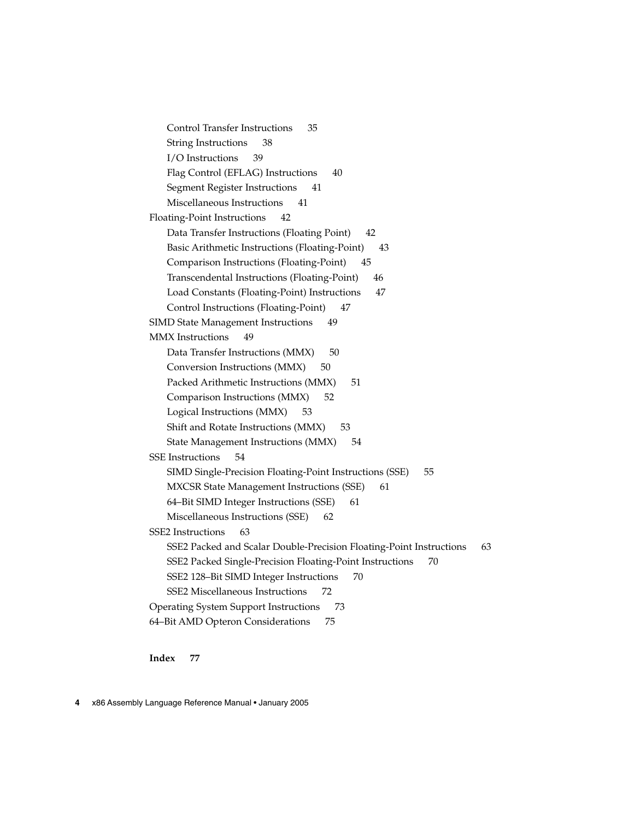[Control Transfer Instructions 35](#page-34-0) [String Instructions 38](#page-37-0) [I/O Instructions 39](#page-38-0) [Flag Control \(EFLAG\) Instructions 40](#page-39-0) [Segment Register Instructions 41](#page-40-0) [Miscellaneous Instructions 41](#page-40-0) [Floating-Point Instructions 42](#page-41-0) [Data Transfer Instructions \(Floating Point\) 42](#page-41-0) [Basic Arithmetic Instructions \(Floating-Point\) 43](#page-42-0) [Comparison Instructions \(Floating-Point\) 45](#page-44-0) [Transcendental Instructions \(Floating-Point\) 46](#page-45-0) [Load Constants \(Floating-Point\) Instructions 47](#page-46-0) [Control Instructions \(Floating-Point\) 47](#page-46-0) [SIMD State Management Instructions 49](#page-48-0) [MMX Instructions 49](#page-48-0) [Data Transfer Instructions \(MMX\) 50](#page-49-0) [Conversion Instructions \(MMX\) 50](#page-49-0) [Packed Arithmetic Instructions \(MMX\) 51](#page-50-0) [Comparison Instructions \(MMX\) 52](#page-51-0) [Logical Instructions \(MMX\) 53](#page-52-0) [Shift and Rotate Instructions \(MMX\) 53](#page-52-0) [State Management Instructions \(MMX\) 54](#page-53-0) [SSE Instructions 54](#page-53-0) [SIMD Single-Precision Floating-Point Instructions \(SSE\) 55](#page-54-0) [MXCSR State Management Instructions \(SSE\) 61](#page-60-0) [64–Bit SIMD Integer Instructions \(SSE\) 61](#page-60-0) [Miscellaneous Instructions \(SSE\) 62](#page-61-0) [SSE2 Instructions 63](#page-62-0) [SSE2 Packed and Scalar Double-Precision Floating-Point Instructions 63](#page-62-0) [SSE2 Packed Single-Precision Floating-Point Instructions 70](#page-69-0) [SSE2 128–Bit SIMD Integer Instructions 70](#page-69-0) [SSE2 Miscellaneous Instructions 72](#page-71-0) [Operating System Support Instructions 73](#page-72-0) [64–Bit AMD Opteron Considerations 75](#page-74-0)

**[Index 77](#page-76-0)**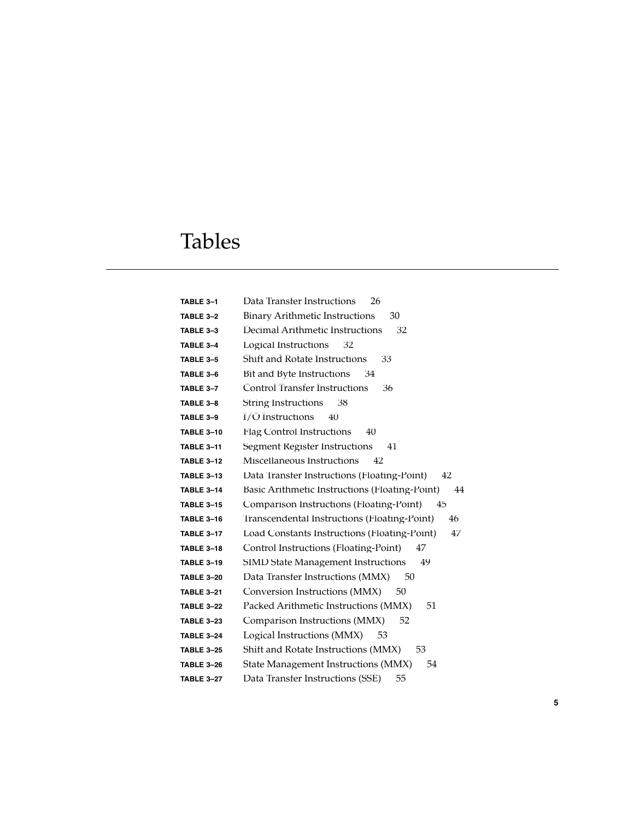# Tables

| TABLE 3-1         | Data Transfer Instructions<br>26                     |
|-------------------|------------------------------------------------------|
| TABLE 3-2         | <b>Binary Arithmetic Instructions</b><br>30          |
| TABLE 3-3         | Decimal Arithmetic Instructions<br>32                |
| TABLE 3-4         | Logical Instructions<br>32                           |
| TABLE 3-5         | <b>Shift and Rotate Instructions</b><br>33           |
| TABLE 3-6         | Bit and Byte Instructions<br>34                      |
| TABLE 3-7         | <b>Control Transfer Instructions</b><br>36           |
| TABLE 3-8         | <b>String Instructions</b><br>38                     |
| TABLE 3-9         | I/O Instructions<br>40                               |
| <b>TABLE 3-10</b> | <b>Flag Control Instructions</b><br>40               |
| <b>TABLE 3-11</b> | <b>Segment Register Instructions</b><br>41           |
| <b>TABLE 3-12</b> | Miscellaneous Instructions<br>42                     |
| <b>TABLE 3-13</b> | Data Transfer Instructions (Floating-Point)<br>42    |
| <b>TABLE 3-14</b> | Basic Arithmetic Instructions (Floating-Point)<br>44 |
| <b>TABLE 3-15</b> | Comparison Instructions (Floating-Point)<br>45       |
| <b>TABLE 3-16</b> | Transcendental Instructions (Floating-Point)<br>46   |
| <b>TABLE 3-17</b> | Load Constants Instructions (Floating-Point)<br>47   |
| <b>TABLE 3-18</b> | Control Instructions (Floating-Point)<br>47          |
| <b>TABLE 3-19</b> | <b>SIMD State Management Instructions</b><br>49      |
| <b>TABLE 3-20</b> | Data Transfer Instructions (MMX)<br>50               |
| <b>TABLE 3-21</b> | Conversion Instructions (MMX)<br>50                  |
| <b>TABLE 3-22</b> | Packed Arithmetic Instructions (MMX)<br>51           |
| <b>TABLE 3-23</b> | Comparison Instructions (MMX)<br>52                  |
| <b>TABLE 3-24</b> | Logical Instructions (MMX)<br>53                     |
| <b>TABLE 3-25</b> | Shift and Rotate Instructions (MMX)<br>53            |
| <b>TABLE 3-26</b> | State Management Instructions (MMX)<br>54            |
| <b>TABLE 3-27</b> | Data Transfer Instructions (SSE)<br>55               |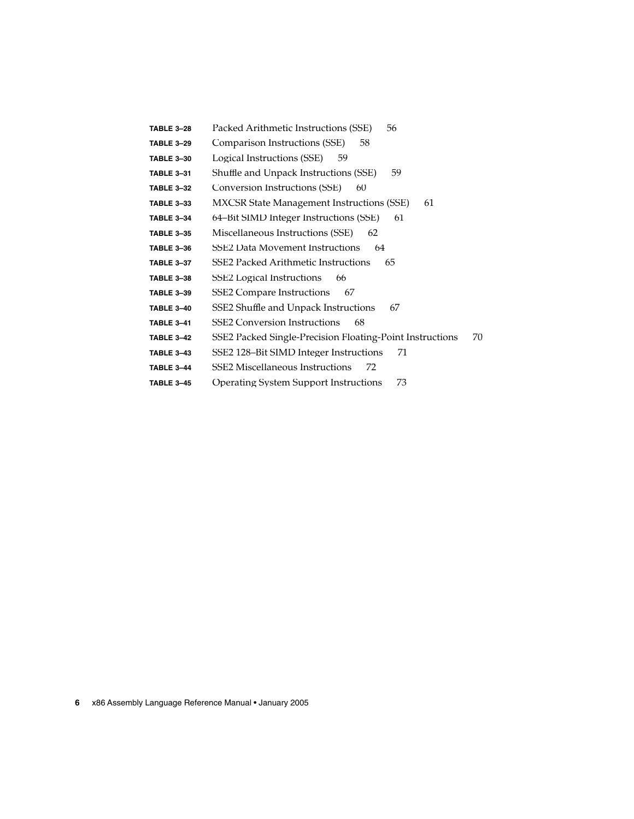| TABLE 3-28        | Packed Arithmetic Instructions (SSE)<br>56                     |
|-------------------|----------------------------------------------------------------|
| <b>TABLE 3-29</b> | Comparison Instructions (SSE)<br>58                            |
| <b>TABLE 3-30</b> | Logical Instructions (SSE)<br>59                               |
| <b>TABLE 3-31</b> | Shuffle and Unpack Instructions (SSE)<br>59                    |
| <b>TABLE 3-32</b> | Conversion Instructions (SSE)<br>60                            |
| <b>TABLE 3-33</b> | <b>MXCSR State Management Instructions (SSE)</b><br>61         |
| <b>TABLE 3-34</b> | 64–Bit SIMD Integer Instructions (SSE)<br>61                   |
| <b>TABLE 3-35</b> | Miscellaneous Instructions (SSE)<br>62                         |
| <b>TABLE 3-36</b> | <b>SSE2 Data Movement Instructions</b><br>64                   |
| <b>TABLE 3-37</b> | SSE2 Packed Arithmetic Instructions<br>65                      |
| <b>TABLE 3-38</b> | SSE2 Logical Instructions<br>66                                |
| <b>TABLE 3-39</b> | <b>SSE2 Compare Instructions</b><br>67                         |
| <b>TABLE 3-40</b> | SSE2 Shuffle and Unpack Instructions<br>67                     |
| <b>TABLE 3-41</b> | <b>SSE2</b> Conversion Instructions<br>68                      |
| <b>TABLE 3-42</b> | 70<br>SSE2 Packed Single-Precision Floating-Point Instructions |
| <b>TABLE 3-43</b> | SSE2 128-Bit SIMD Integer Instructions<br>71                   |
| <b>TABLE 3-44</b> | <b>SSE2</b> Miscellaneous Instructions<br>72                   |
| <b>TABLE 3-45</b> | 73<br><b>Operating System Support Instructions</b>             |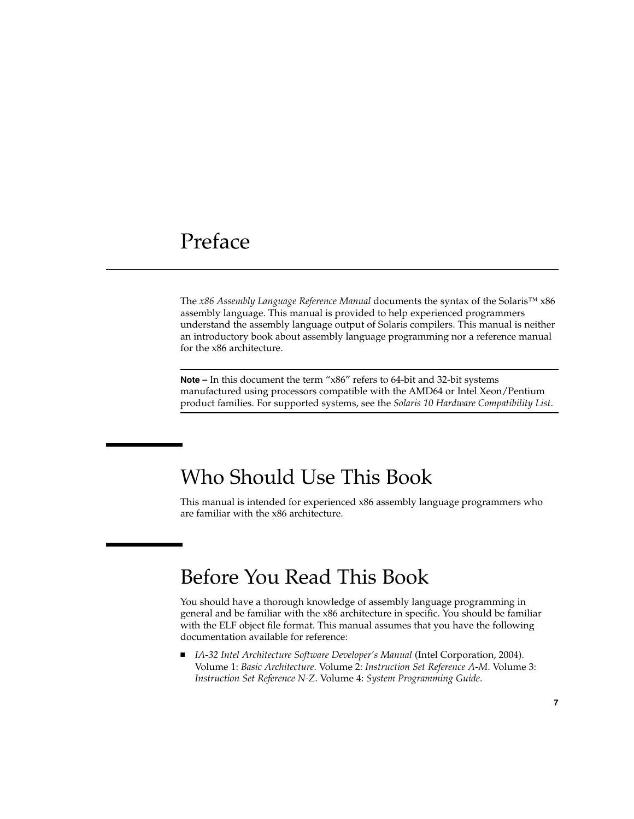## <span id="page-6-0"></span>Preface

The *x86 Assembly Language Reference Manual* documents the syntax of the Solaris™ x86 assembly language. This manual is provided to help experienced programmers understand the assembly language output of Solaris compilers. This manual is neither an introductory book about assembly language programming nor a reference manual for the x86 architecture.

**Note –** In this document the term "x86" refers to 64-bit and 32-bit systems manufactured using processors compatible with the AMD64 or Intel Xeon/Pentium product families. For supported systems, see the *Solaris 10 Hardware Compatibility List*.

### Who Should Use This Book

This manual is intended for experienced x86 assembly language programmers who are familiar with the x86 architecture.

## Before You Read This Book

You should have a thorough knowledge of assembly language programming in general and be familiar with the x86 architecture in specific. You should be familiar with the ELF object file format. This manual assumes that you have the following documentation available for reference:

■ *IA-32 Intel Architecture Software Developer's Manual* (Intel Corporation, 2004). Volume 1: *Basic Architecture*. Volume 2: *Instruction Set Reference A-M*. Volume 3: *Instruction Set Reference N-Z*. Volume 4: *System Programming Guide*.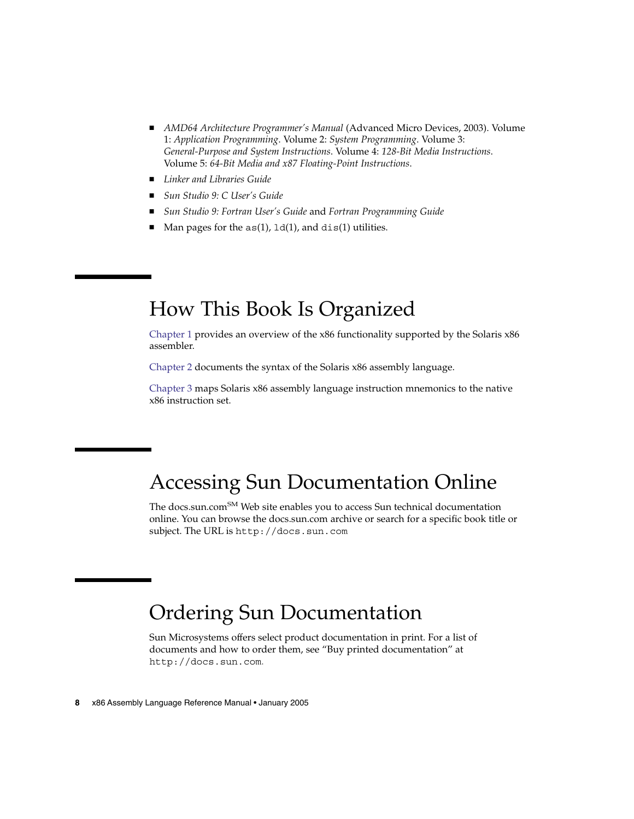- *AMD64 Architecture Programmer's Manual* (Advanced Micro Devices, 2003). Volume 1: *Application Programming*. Volume 2: *System Programming*. Volume 3: *General-Purpose and System Instructions*. Volume 4: *128-Bit Media Instructions*. Volume 5: *64-Bit Media and x87 Floating-Point Instructions*.
- *Linker and Libraries Guide*
- *Sun Studio 9: C User's Guide*
- *Sun Studio 9: Fortran User's Guide* and *Fortran Programming Guide*
- Man pages for the  $as(1)$ ,  $1d(1)$ , and  $dis(1)$  utilities.

## How This Book Is Organized

[Chapter 1](#page-10-0) provides an overview of the x86 functionality supported by the Solaris x86 assembler.

[Chapter 2](#page-12-0) documents the syntax of the Solaris x86 assembly language.

[Chapter 3](#page-24-0) maps Solaris x86 assembly language instruction mnemonics to the native x86 instruction set.

## Accessing Sun Documentation Online

The docs.sun.com<sup>SM</sup> Web site enables you to access Sun technical documentation online. You can browse the docs.sun.com archive or search for a specific book title or subject. The URL is <http://docs.sun.com>.

## Ordering Sun Documentation

Sun Microsystems offers select product documentation in print. For a list of documents and how to order them, see "Buy printed documentation" at <http://docs.sun.com>.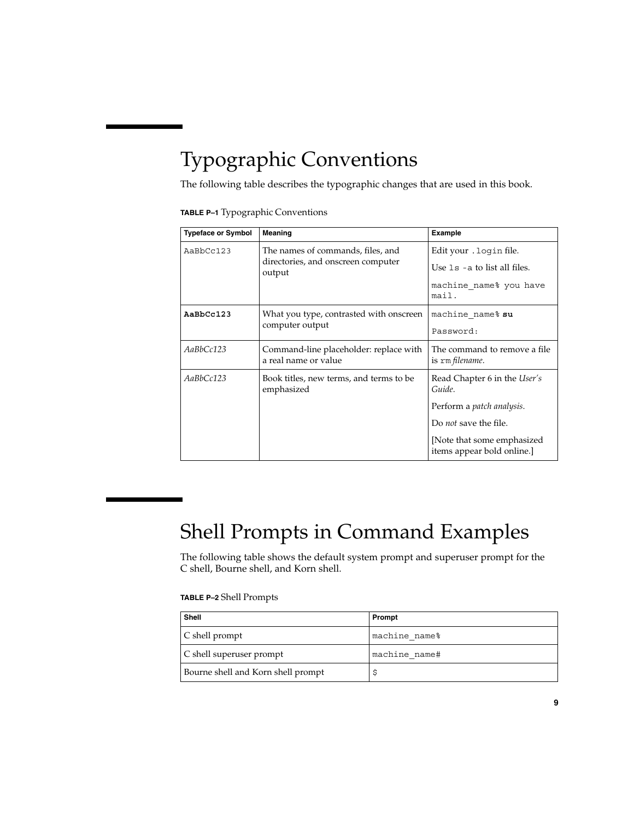## Typographic Conventions

The following table describes the typographic changes that are used in this book.

|  | TABLE P-1 Typographic Conventions |  |  |
|--|-----------------------------------|--|--|
|--|-----------------------------------|--|--|

| <b>Typeface or Symbol</b> | <b>Meaning</b>                                                                    | <b>Example</b>                                                                                |  |
|---------------------------|-----------------------------------------------------------------------------------|-----------------------------------------------------------------------------------------------|--|
| AaBbCc123                 | The names of commands, files, and<br>directories, and onscreen computer<br>output | Edit your . login file.<br>Use $1s$ - a to list all files.<br>machine name% you have<br>mail. |  |
| AaBbCc123                 | What you type, contrasted with onscreen<br>computer output                        | machine name% su<br>Password:                                                                 |  |
| AaBbCc123                 | Command-line placeholder: replace with<br>a real name or value                    | The command to remove a file<br>is rm filename.                                               |  |
| AaBbCc123                 | Book titles, new terms, and terms to be<br>emphasized                             | Read Chapter 6 in the User's<br>Guide.                                                        |  |
|                           |                                                                                   | Perform a patch analysis.                                                                     |  |
|                           |                                                                                   | Do <i>not</i> save the file.                                                                  |  |
|                           |                                                                                   | [Note that some emphasized]<br>items appear bold online.]                                     |  |

# Shell Prompts in Command Examples

The following table shows the default system prompt and superuser prompt for the C shell, Bourne shell, and Korn shell.

### **TABLE P–2** Shell Prompts

| <b>Shell</b>                       | Prompt        |
|------------------------------------|---------------|
| C shell prompt                     | machine name% |
| C shell superuser prompt           | machine name# |
| Bourne shell and Korn shell prompt |               |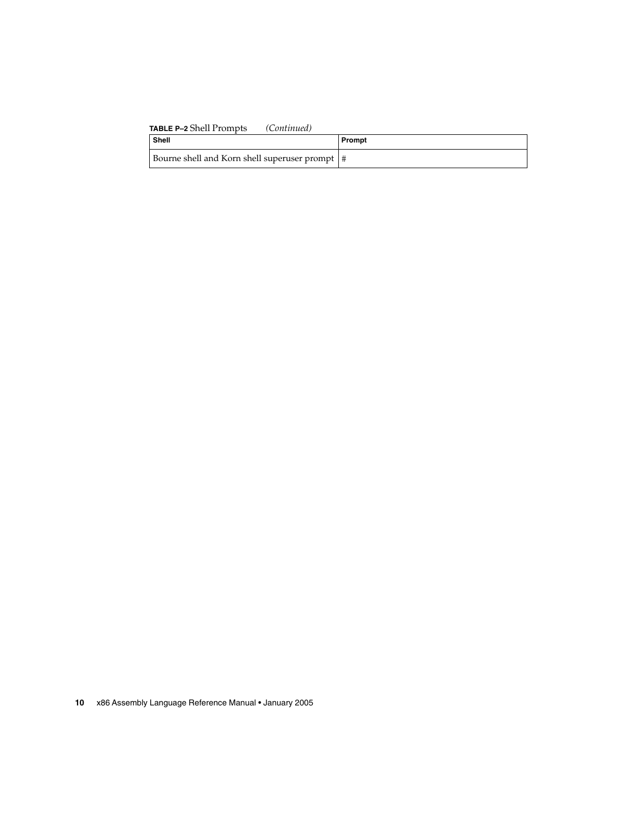### **TABLE P–2** Shell Prompts *(Continued)*

| Shell                                            | Prompt |
|--------------------------------------------------|--------|
| Bourne shell and Korn shell superuser prompt   # |        |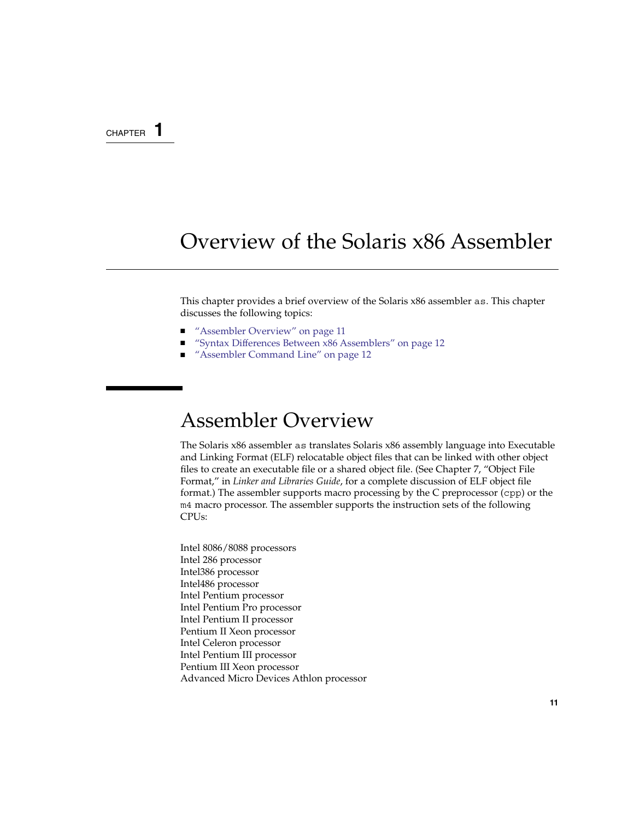### <span id="page-10-0"></span>CHAPTER **1**

## Overview of the Solaris x86 Assembler

This chapter provides a brief overview of the Solaris x86 assembler as. This chapter discusses the following topics:

- "Assembler Overview" on page 11
- ["Syntax Differences Between x86 Assemblers"](#page-11-0) on page 12
- ["Assembler Command Line"](#page-11-0) on page 12

## Assembler Overview

The Solaris x86 assembler as translates Solaris x86 assembly language into Executable and Linking Format (ELF) relocatable object files that can be linked with other object files to create an executable file or a shared object file. (See Chapter 7, "Object File Format," in *Linker and Libraries Guide*, for a complete discussion of ELF object file format.) The assembler supports macro processing by the C preprocessor (cpp) or the m4 macro processor. The assembler supports the instruction sets of the following CPUs:

Intel 8086/8088 processors Intel 286 processor Intel386 processor Intel486 processor Intel Pentium processor Intel Pentium Pro processor Intel Pentium II processor Pentium II Xeon processor Intel Celeron processor Intel Pentium III processor Pentium III Xeon processor Advanced Micro Devices Athlon processor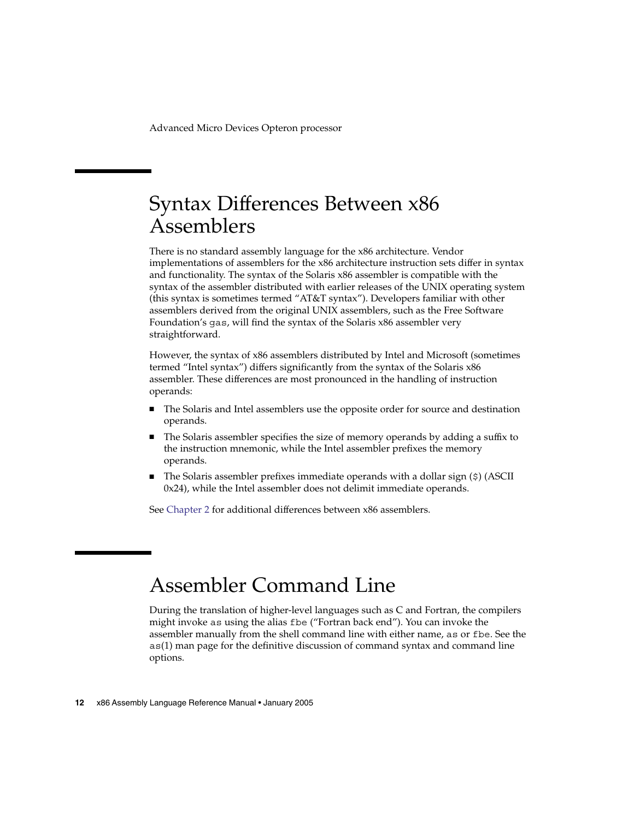<span id="page-11-0"></span>Advanced Micro Devices Opteron processor

## Syntax Differences Between x86 Assemblers

There is no standard assembly language for the x86 architecture. Vendor implementations of assemblers for the x86 architecture instruction sets differ in syntax and functionality. The syntax of the Solaris x86 assembler is compatible with the syntax of the assembler distributed with earlier releases of the UNIX operating system (this syntax is sometimes termed "AT&T syntax"). Developers familiar with other assemblers derived from the original UNIX assemblers, such as the Free Software Foundation's gas, will find the syntax of the Solaris x86 assembler very straightforward.

However, the syntax of x86 assemblers distributed by Intel and Microsoft (sometimes termed "Intel syntax") differs significantly from the syntax of the Solaris x86 assembler. These differences are most pronounced in the handling of instruction operands:

- The Solaris and Intel assemblers use the opposite order for source and destination operands.
- The Solaris assembler specifies the size of memory operands by adding a suffix to the instruction mnemonic, while the Intel assembler prefixes the memory operands.
- The Solaris assembler prefixes immediate operands with a dollar sign (\$) (ASCII 0x24), while the Intel assembler does not delimit immediate operands.

See [Chapter 2](#page-12-0) for additional differences between x86 assemblers.

### Assembler Command Line

During the translation of higher-level languages such as C and Fortran, the compilers might invoke as using the alias fbe ("Fortran back end"). You can invoke the assembler manually from the shell command line with either name, as or fbe. See the as(1) man page for the definitive discussion of command syntax and command line options.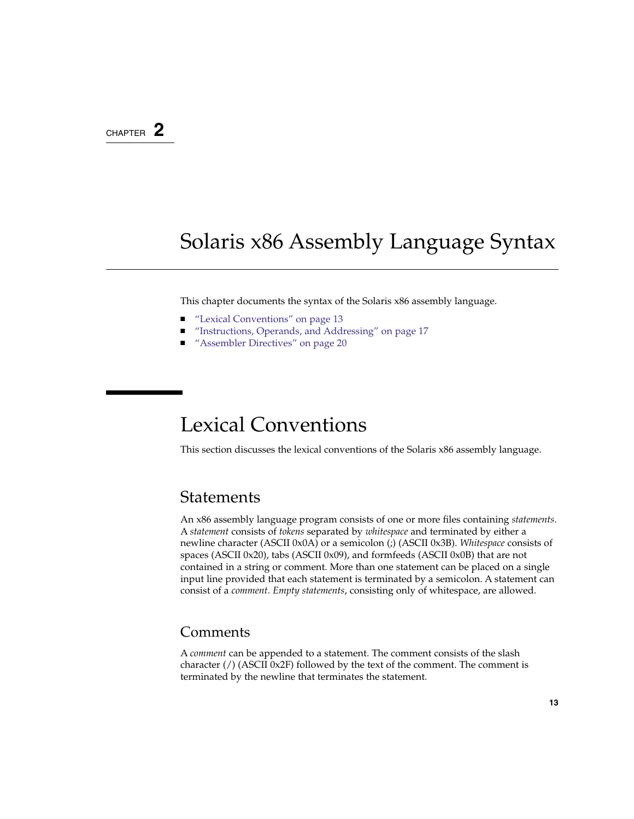### <span id="page-12-0"></span>CHAPTER **2**

## Solaris x86 Assembly Language Syntax

This chapter documents the syntax of the Solaris x86 assembly language.

- *"Lexical Conventions"* on page 13
- ["Instructions, Operands, and Addressing"](#page-16-0) on page 17
- ["Assembler Directives"](#page-19-0) on page 20

## Lexical Conventions

This section discusses the lexical conventions of the Solaris x86 assembly language.

### **Statements**

An x86 assembly language program consists of one or more files containing *statements*. A *statement* consists of *tokens* separated by *whitespace* and terminated by either a newline character (ASCII 0x0A) or a semicolon (;) (ASCII 0x3B). *Whitespace* consists of spaces (ASCII 0x20), tabs (ASCII 0x09), and formfeeds (ASCII 0x0B) that are not contained in a string or comment. More than one statement can be placed on a single input line provided that each statement is terminated by a semicolon. A statement can consist of a *comment*. *Empty statements*, consisting only of whitespace, are allowed.

### Comments

A *comment* can be appended to a statement. The comment consists of the slash character  $\frac{\pi}{3}$  (ASCII 0x2F) followed by the text of the comment. The comment is terminated by the newline that terminates the statement.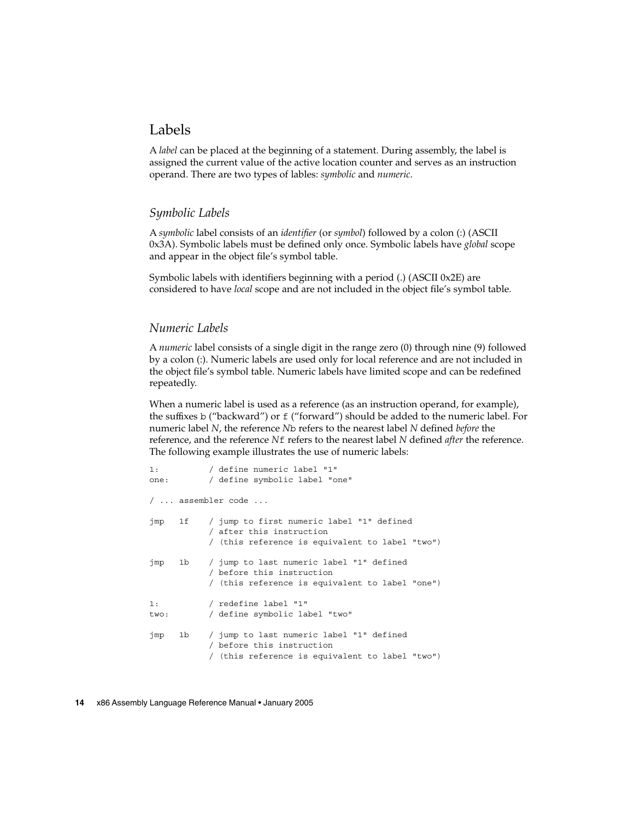### Labels

A *label* can be placed at the beginning of a statement. During assembly, the label is assigned the current value of the active location counter and serves as an instruction operand. There are two types of lables: *symbolic* and *numeric*.

### *Symbolic Labels*

A *symbolic* label consists of an *identifier* (or *symbol*) followed by a colon (:) (ASCII 0x3A). Symbolic labels must be defined only once. Symbolic labels have *global* scope and appear in the object file's symbol table.

Symbolic labels with identifiers beginning with a period (.) (ASCII 0x2E) are considered to have *local* scope and are not included in the object file's symbol table.

#### *Numeric Labels*

A *numeric* label consists of a single digit in the range zero (0) through nine (9) followed by a colon (:). Numeric labels are used only for local reference and are not included in the object file's symbol table. Numeric labels have limited scope and can be redefined repeatedly.

When a numeric label is used as a reference (as an instruction operand, for example), the suffixes b ("backward") or f ("forward") should be added to the numeric label. For numeric label *N*, the reference *N*b refers to the nearest label *N* defined *before* the reference, and the reference *N*f refers to the nearest label *N* defined *after* the reference. The following example illustrates the use of numeric labels:

```
1: / define numeric label "1"
one: / define symbolic label "one"
/ ... assembler code ...
jmp 1f / jump to first numeric label "1" defined
           / after this instruction
           / (this reference is equivalent to label "two")
jmp 1b / jump to last numeric label "1" defined
           / before this instruction
           / (this reference is equivalent to label "one")
1: / redefine label "1"
two: / define symbolic label "two"
jmp 1b / jump to last numeric label "1" defined
           / before this instruction
           / (this reference is equivalent to label "two")
```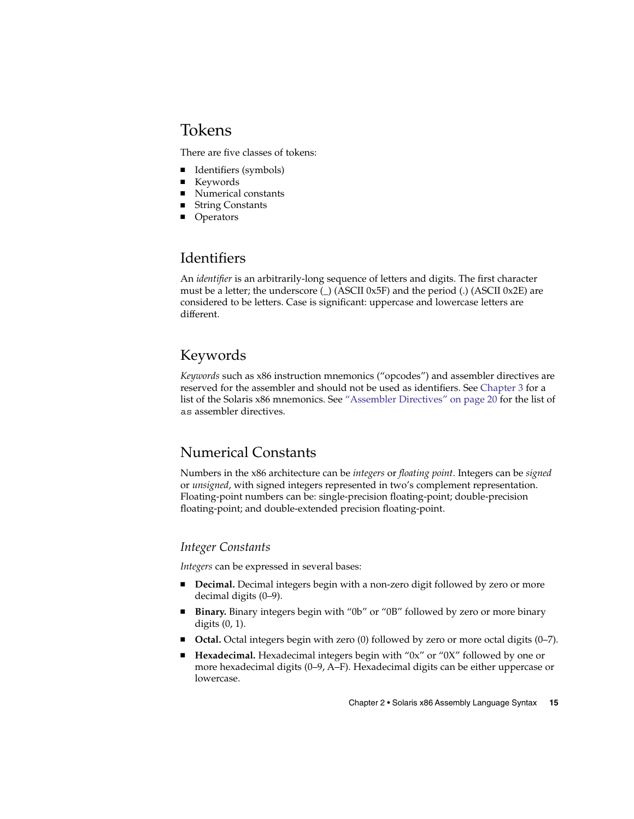### <span id="page-14-0"></span>Tokens

There are five classes of tokens:

- Identifiers (symbols)
- Keywords
- Numerical constants
- String Constants
- Operators

### Identifiers

An *identifier* is an arbitrarily-long sequence of letters and digits. The first character must be a letter; the underscore  $\bigcup$  (ASCII 0x5F) and the period  $\bigcup$  (ASCII 0x2E) are considered to be letters. Case is significant: uppercase and lowercase letters are different.

### Keywords

*Keywords* such as x86 instruction mnemonics ("opcodes") and assembler directives are reserved for the assembler and should not be used as identifiers. See [Chapter 3](#page-24-0) for a list of the Solaris x86 mnemonics. See ["Assembler Directives"](#page-19-0) on page 20 for the list of as assembler directives.

### Numerical Constants

Numbers in the x86 architecture can be *integers* or *floating point*. Integers can be *signed* or *unsigned*, with signed integers represented in two's complement representation. Floating-point numbers can be: single-precision floating-point; double-precision floating-point; and double-extended precision floating-point.

### *Integer Constants*

*Integers* can be expressed in several bases:

- **Decimal.** Decimal integers begin with a non-zero digit followed by zero or more decimal digits (0–9).
- **Binary.** Binary integers begin with "0b" or "0B" followed by zero or more binary digits (0, 1).
- **Octal.** Octal integers begin with zero (0) followed by zero or more octal digits (0–7).
- **Hexadecimal.** Hexadecimal integers begin with "0x" or "0X" followed by one or more hexadecimal digits (0–9, A–F). Hexadecimal digits can be either uppercase or lowercase.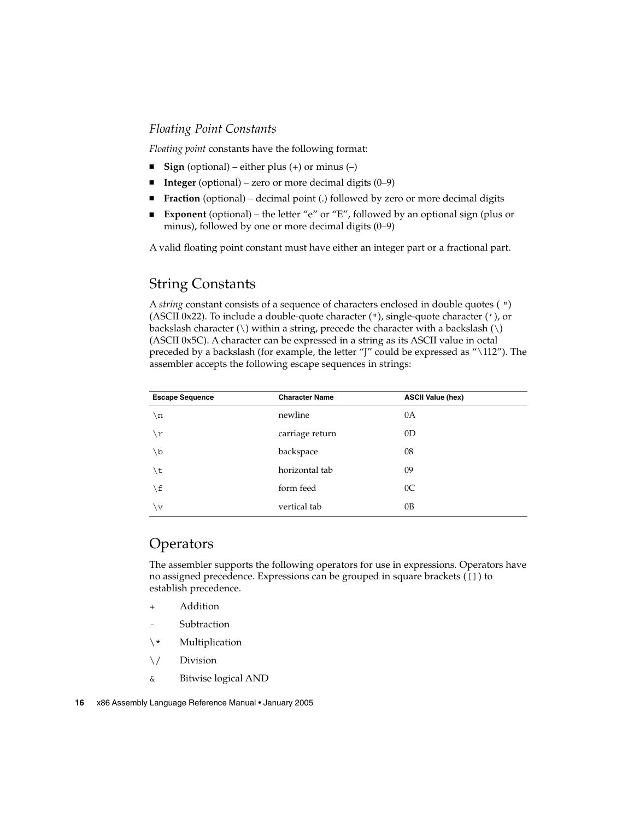### *Floating Point Constants*

*Floating point* constants have the following format:

- **Sign** (optional) either plus (+) or minus (–)
- **Integer** (optional) zero or more decimal digits (0–9)
- **Fraction** (optional) decimal point (.) followed by zero or more decimal digits
- **Exponent** (optional) the letter "e" or "E", followed by an optional sign (plus or minus), followed by one or more decimal digits (0–9)

A valid floating point constant must have either an integer part or a fractional part.

### String Constants

A *string* constant consists of a sequence of characters enclosed in double quotes ( ") (ASCII 0x22). To include a double-quote character ("), single-quote character ('), or backslash character  $(\setminus)$  within a string, precede the character with a backslash  $(\setminus)$ (ASCII 0x5C). A character can be expressed in a string as its ASCII value in octal preceded by a backslash (for example, the letter "J" could be expressed as "\112"). The assembler accepts the following escape sequences in strings:

| <b>Escape Sequence</b> | <b>Character Name</b> | <b>ASCII Value (hex)</b> |  |
|------------------------|-----------------------|--------------------------|--|
| \n                     | newline               | 0A                       |  |
| $\sqrt{r}$             | carriage return       | 0 <sub>D</sub>           |  |
| \b                     | backspace             | 08                       |  |
| \t                     | horizontal tab        | 09                       |  |
| \f                     | form feed             | 0 <sup>C</sup>           |  |
| $\overline{V}$         | vertical tab          | 0B                       |  |

### Operators

The assembler supports the following operators for use in expressions. Operators have no assigned precedence. Expressions can be grouped in square brackets ([]) to establish precedence.

- **Addition**
- Subtraction
- \\* Multiplication
- \/ Division
- & Bitwise logical AND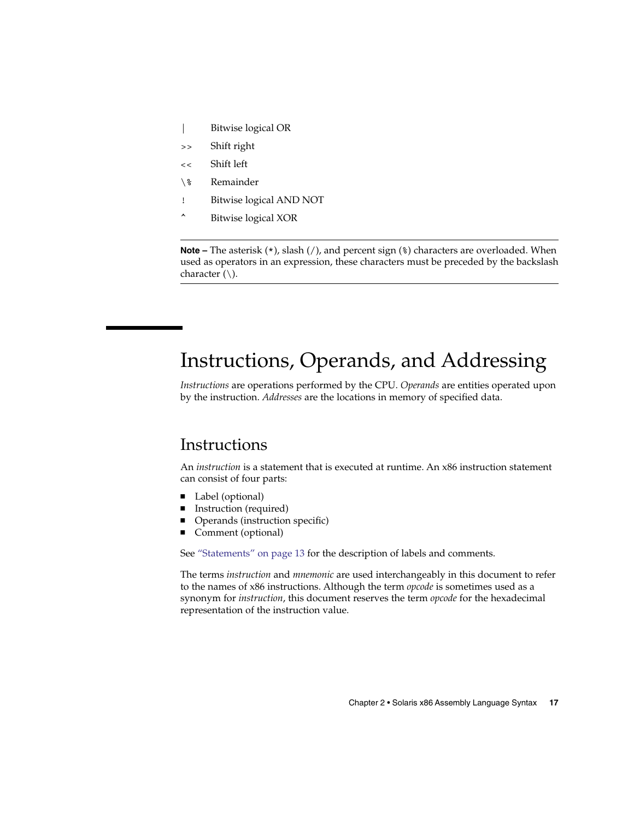- <span id="page-16-0"></span>| Bitwise logical OR
- >> Shift right
- << Shift left
- \% Remainder
- ! Bitwise logical AND NOT
- ^ Bitwise logical XOR

**Note** – The asterisk (\*), slash (/), and percent sign (\*) characters are overloaded. When used as operators in an expression, these characters must be preceded by the backslash character (\).

## Instructions, Operands, and Addressing

*Instructions* are operations performed by the CPU. *Operands* are entities operated upon by the instruction. *Addresses* are the locations in memory of specified data.

### Instructions

An *instruction* is a statement that is executed at runtime. An x86 instruction statement can consist of four parts:

- Label (optional)
- Instruction (required)
- Operands (instruction specific)
- Comment (optional)

See ["Statements"](#page-12-0) on page 13 for the description of labels and comments.

The terms *instruction* and *mnemonic* are used interchangeably in this document to refer to the names of x86 instructions. Although the term *opcode* is sometimes used as a synonym for *instruction*, this document reserves the term *opcode* for the hexadecimal representation of the instruction value.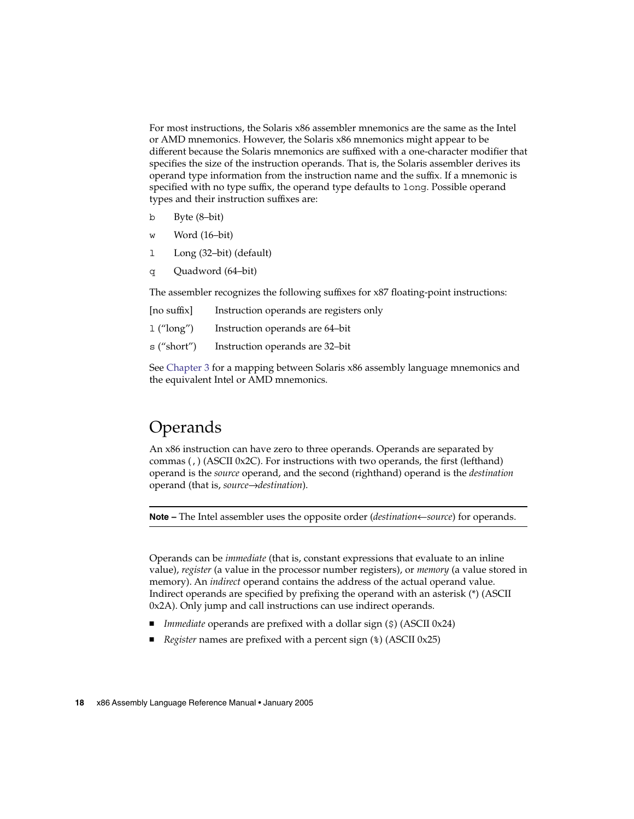<span id="page-17-0"></span>For most instructions, the Solaris x86 assembler mnemonics are the same as the Intel or AMD mnemonics. However, the Solaris x86 mnemonics might appear to be different because the Solaris mnemonics are suffixed with a one-character modifier that specifies the size of the instruction operands. That is, the Solaris assembler derives its operand type information from the instruction name and the suffix. If a mnemonic is specified with no type suffix, the operand type defaults to long. Possible operand types and their instruction suffixes are:

- b Byte (8–bit)
- w Word (16–bit)
- l Long (32–bit) (default)
- q Quadword (64–bit)

The assembler recognizes the following suffixes for x87 floating-point instructions:

| [no suffix]  | Instruction operands are registers only |
|--------------|-----------------------------------------|
| $1$ ("long") | Instruction operands are 64-bit         |
| s ("short")  | Instruction operands are 32-bit         |

See [Chapter 3](#page-24-0) for a mapping between Solaris x86 assembly language mnemonics and the equivalent Intel or AMD mnemonics.

### **Operands**

An x86 instruction can have zero to three operands. Operands are separated by commas (,) (ASCII 0x2C). For instructions with two operands, the first (lefthand) operand is the *source* operand, and the second (righthand) operand is the *destination* operand (that is, *source*→*destination*).

**Note –** The Intel assembler uses the opposite order (*destination*←*source*) for operands.

Operands can be *immediate* (that is, constant expressions that evaluate to an inline value), *register* (a value in the processor number registers), or *memory* (a value stored in memory). An *indirect* operand contains the address of the actual operand value. Indirect operands are specified by prefixing the operand with an asterisk (\*) (ASCII 0x2A). Only jump and call instructions can use indirect operands.

- *Immediate* operands are prefixed with a dollar sign (\$) (ASCII 0x24)
- *Register* names are prefixed with a percent sign ( $\epsilon$ ) (ASCII 0x25)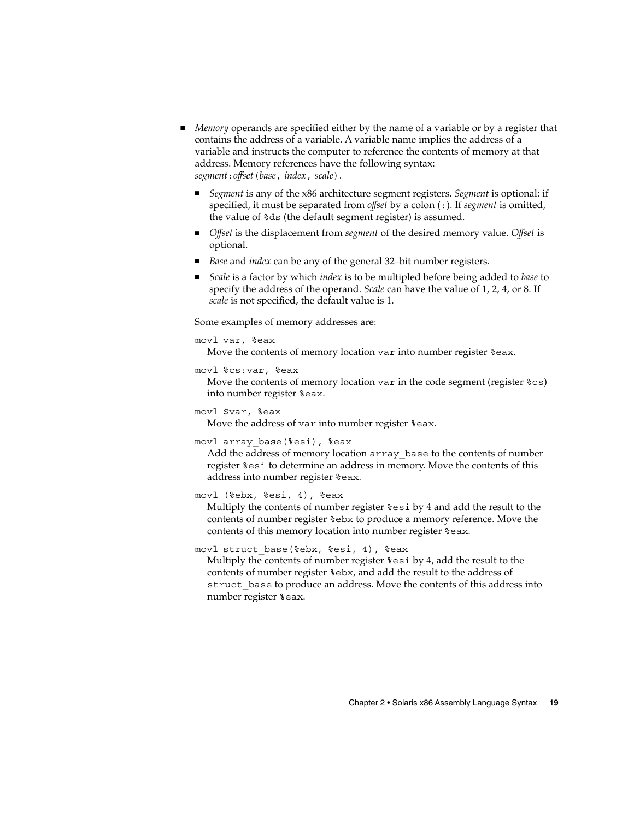- *Memory* operands are specified either by the name of a variable or by a register that contains the address of a variable. A variable name implies the address of a variable and instructs the computer to reference the contents of memory at that address. Memory references have the following syntax: *segment*:*offset*(*base*, *index*, *scale*).
	- Segment is any of the x86 architecture segment registers. Segment is optional: if specified, it must be separated from *offset* by a colon (:). If *segment* is omitted, the value of %ds (the default segment register) is assumed.
	- *Offset* is the displacement from *segment* of the desired memory value. *Offset* is optional.
	- *Base* and *index* can be any of the general 32–bit number registers.
	- *Scale* is a factor by which *index* is to be multipled before being added to *base* to specify the address of the operand. *Scale* can have the value of 1, 2, 4, or 8. If *scale* is not specified, the default value is 1.

Some examples of memory addresses are:

#### movl var, %eax

Move the contents of memory location var into number register %eax.

#### movl %cs:var, %eax

Move the contents of memory location var in the code segment (register  $\epsilon$  cs) into number register %eax.

```
movl $var, %eax
```
Move the address of var into number register %eax.

```
movl array_base(%esi), %eax
```
Add the address of memory location array\_base to the contents of number register %esi to determine an address in memory. Move the contents of this address into number register %eax.

#### movl (%ebx, %esi, 4), %eax

Multiply the contents of number register %esi by 4 and add the result to the contents of number register %ebx to produce a memory reference. Move the contents of this memory location into number register %eax.

movl struct\_base(%ebx, %esi, 4), %eax

Multiply the contents of number register %esi by 4, add the result to the contents of number register %ebx, and add the result to the address of struct base to produce an address. Move the contents of this address into number register %eax.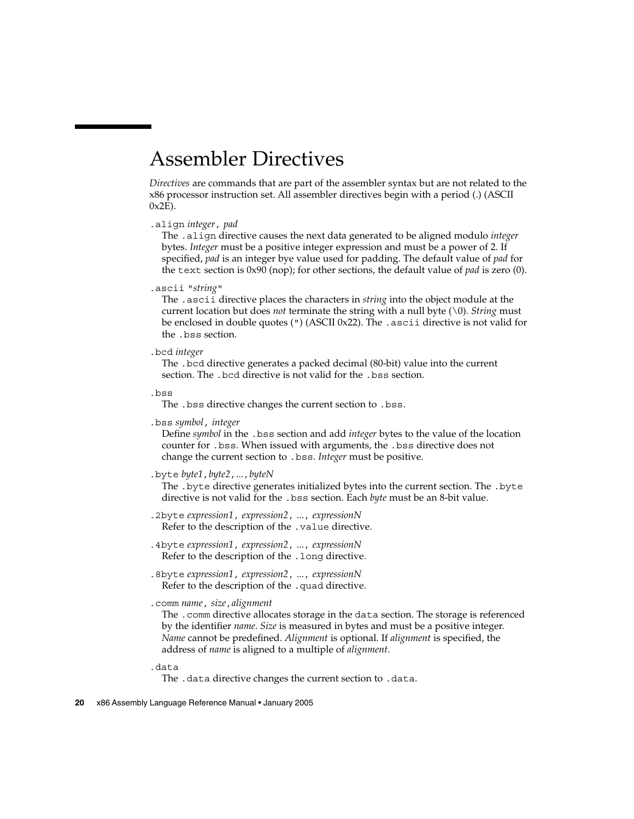## <span id="page-19-0"></span>Assembler Directives

*Directives* are commands that are part of the assembler syntax but are not related to the x86 processor instruction set. All assembler directives begin with a period (.) (ASCII  $0x2E$ ).

#### .align *integer*, *pad*

The .align directive causes the next data generated to be aligned modulo *integer* bytes. *Integer* must be a positive integer expression and must be a power of 2. If specified, *pad* is an integer bye value used for padding. The default value of *pad* for the text section is 0x90 (nop); for other sections, the default value of *pad* is zero (0).

.ascii "*string*"

The .ascii directive places the characters in *string* into the object module at the current location but does *not* terminate the string with a null byte (\0). *String* must be enclosed in double quotes (") (ASCII 0x22). The .ascii directive is not valid for the .bss section.

.bcd *integer*

The .bcd directive generates a packed decimal (80-bit) value into the current section. The .bcd directive is not valid for the .bss section.

.bss

The .bss directive changes the current section to .bss.

.bss *symbol*, *integer*

Define *symbol* in the .bss section and add *integer* bytes to the value of the location counter for .bss. When issued with arguments, the .bss directive does not change the current section to .bss. *Integer* must be positive.

.byte *byte1*,*byte2*,...,*byteN*

The .byte directive generates initialized bytes into the current section. The .byte directive is not valid for the .bss section. Each *byte* must be an 8-bit value.

- .2byte *expression1*, *expression2*, ..., *expressionN* Refer to the description of the .value directive.
- .4byte *expression1*, *expression2*, ..., *expressionN* Refer to the description of the .long directive.
- .8byte *expression1*, *expression2*, ..., *expressionN* Refer to the description of the .quad directive.
- .comm *name*, *size*,*alignment*

The .comm directive allocates storage in the data section. The storage is referenced by the identifier *name*. *Size* is measured in bytes and must be a positive integer. *Name* cannot be predefined. *Alignment* is optional. If *alignment* is specified, the address of *name* is aligned to a multiple of *alignment*.

- .data
	- The .data directive changes the current section to .data.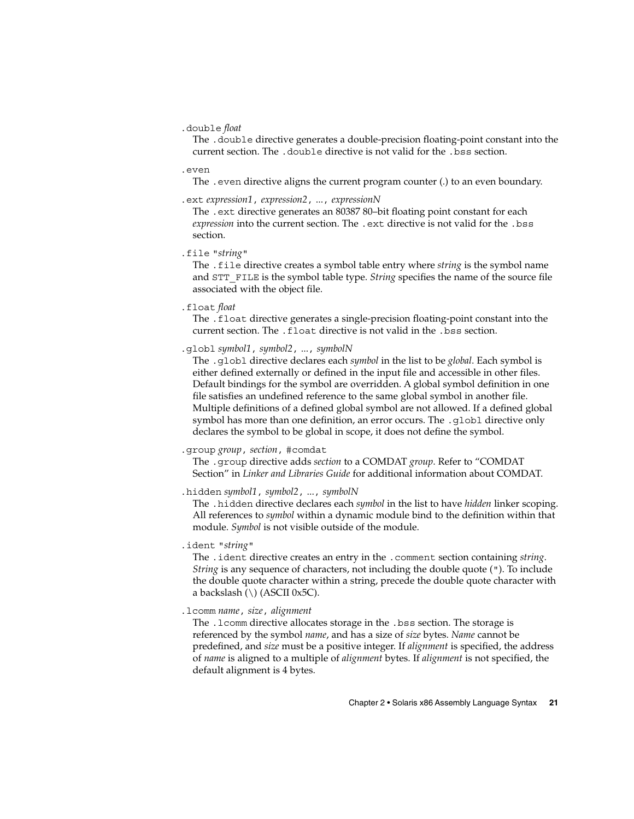.double *float*

The .double directive generates a double-precision floating-point constant into the current section. The .double directive is not valid for the .bss section.

.even

The . even directive aligns the current program counter (.) to an even boundary.

.ext *expression1*, *expression2*, ..., *expressionN*

The .ext directive generates an 80387 80–bit floating point constant for each *expression* into the current section. The .ext directive is not valid for the .bss section.

.file "*string*"

The .file directive creates a symbol table entry where *string* is the symbol name and STT\_FILE is the symbol table type. *String* specifies the name of the source file associated with the object file.

.float *float*

The .float directive generates a single-precision floating-point constant into the current section. The .float directive is not valid in the .bss section.

.globl *symbol1*, *symbol2*, ..., *symbolN*

The .globl directive declares each *symbol* in the list to be *global*. Each symbol is either defined externally or defined in the input file and accessible in other files. Default bindings for the symbol are overridden. A global symbol definition in one file satisfies an undefined reference to the same global symbol in another file. Multiple definitions of a defined global symbol are not allowed. If a defined global symbol has more than one definition, an error occurs. The .qlobl directive only declares the symbol to be global in scope, it does not define the symbol.

.group *group*, *section*, #comdat

The .group directive adds *section* to a COMDAT *group*. Refer to "COMDAT Section" in *Linker and Libraries Guide* for additional information about COMDAT.

.hidden *symbol1*, *symbol2*, ..., *symbolN*

The .hidden directive declares each *symbol* in the list to have *hidden* linker scoping. All references to *symbol* within a dynamic module bind to the definition within that module. *Symbol* is not visible outside of the module.

.ident "*string*"

The .ident directive creates an entry in the .comment section containing *string*. *String* is any sequence of characters, not including the double quote ("). To include the double quote character within a string, precede the double quote character with a backslash (\) (ASCII 0x5C).

.lcomm *name*, *size*, *alignment*

The .lcomm directive allocates storage in the .bss section. The storage is referenced by the symbol *name*, and has a size of *size* bytes. *Name* cannot be predefined, and *size* must be a positive integer. If *alignment* is specified, the address of *name* is aligned to a multiple of *alignment* bytes. If *alignment* is not specified, the default alignment is 4 bytes.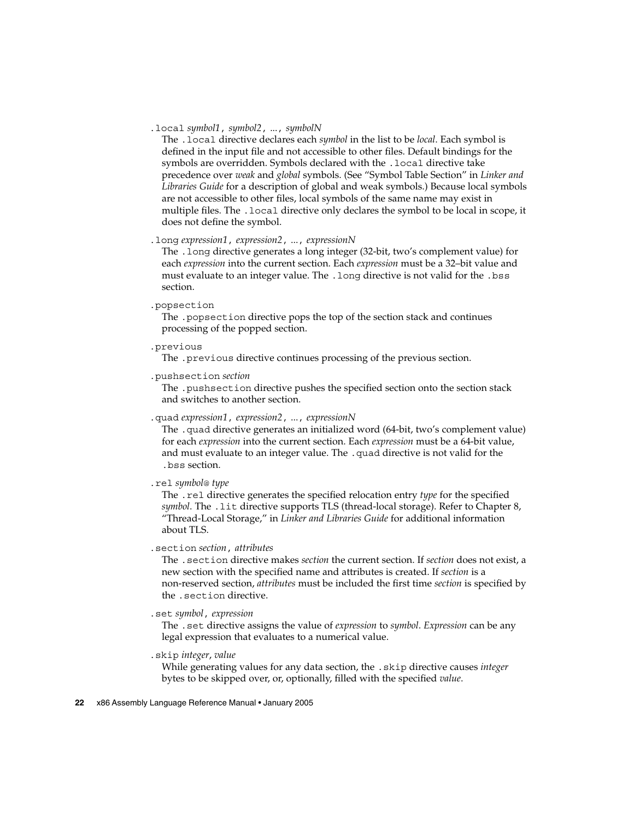#### .local *symbol1*, *symbol2*, ..., *symbolN*

The .local directive declares each *symbol* in the list to be *local*. Each symbol is defined in the input file and not accessible to other files. Default bindings for the symbols are overridden. Symbols declared with the .local directive take precedence over *weak* and *global* symbols. (See "Symbol Table Section" in *Linker and Libraries Guide* for a description of global and weak symbols.) Because local symbols are not accessible to other files, local symbols of the same name may exist in multiple files. The .local directive only declares the symbol to be local in scope, it does not define the symbol.

#### .long *expression1*, *expression2*, ..., *expressionN*

The .long directive generates a long integer (32-bit, two's complement value) for each *expression* into the current section. Each *expression* must be a 32–bit value and must evaluate to an integer value. The .long directive is not valid for the .bss section.

#### .popsection

The .popsection directive pops the top of the section stack and continues processing of the popped section.

#### .previous

The .previous directive continues processing of the previous section.

.pushsection *section*

The .pushsection directive pushes the specified section onto the section stack and switches to another section.

#### .quad *expression1*, *expression2*, ..., *expressionN*

The .quad directive generates an initialized word (64-bit, two's complement value) for each *expression* into the current section. Each *expression* must be a 64-bit value, and must evaluate to an integer value. The .quad directive is not valid for the .bss section.

.rel *symbol*@ *type*

The .rel directive generates the specified relocation entry *type* for the specified *symbol*. The .lit directive supports TLS (thread-local storage). Refer to Chapter 8, "Thread-Local Storage," in *Linker and Libraries Guide* for additional information about TLS.

.section *section*, *attributes*

The .section directive makes *section* the current section. If *section* does not exist, a new section with the specified name and attributes is created. If *section* is a non-reserved section, *attributes* must be included the first time *section* is specified by the .section directive.

#### .set *symbol*, *expression*

The .set directive assigns the value of *expression* to *symbol*. *Expression* can be any legal expression that evaluates to a numerical value.

.skip *integer*, *value*

While generating values for any data section, the .skip directive causes *integer* bytes to be skipped over, or, optionally, filled with the specified *value*.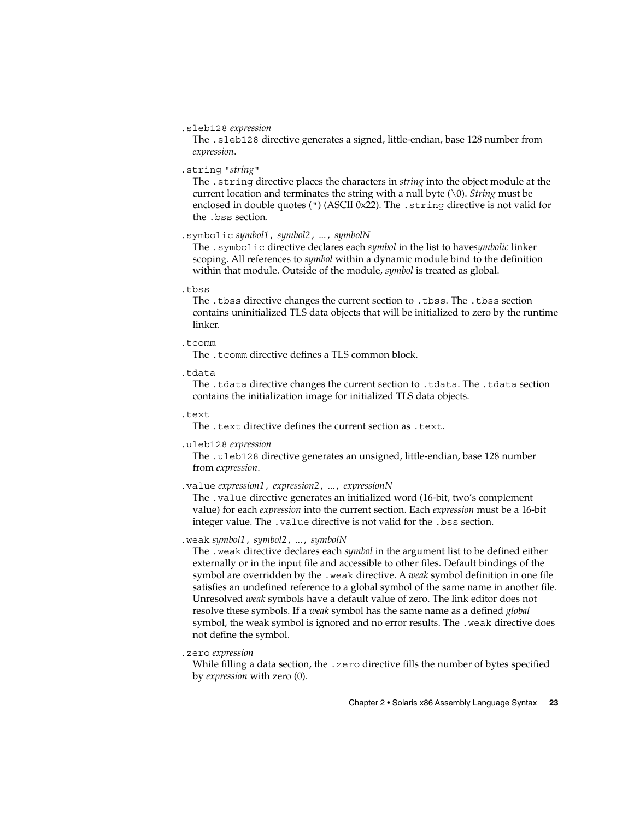#### .sleb128 *expression*

The .sleb128 directive generates a signed, little-endian, base 128 number from *expression*.

#### .string "*string*"

The .string directive places the characters in *string* into the object module at the current location and terminates the string with a null byte (\0). *String* must be enclosed in double quotes (") (ASCII 0x22). The .string directive is not valid for the .bss section.

#### .symbolic *symbol1*, *symbol2*, ..., *symbolN*

The .symbolic directive declares each *symbol* in the list to have*symbolic* linker scoping. All references to *symbol* within a dynamic module bind to the definition within that module. Outside of the module, *symbol* is treated as global.

#### .tbss

The .tbss directive changes the current section to .tbss. The .tbss section contains uninitialized TLS data objects that will be initialized to zero by the runtime linker.

#### .tcomm

The .tcomm directive defines a TLS common block.

.tdata

The .tdata directive changes the current section to .tdata. The .tdata section contains the initialization image for initialized TLS data objects.

#### .text

The .text directive defines the current section as .text.

#### .uleb128 *expression*

The .uleb128 directive generates an unsigned, little-endian, base 128 number from *expression*.

#### .value *expression1*, *expression2*, ..., *expressionN*

The .value directive generates an initialized word (16-bit, two's complement value) for each *expression* into the current section. Each *expression* must be a 16-bit integer value. The .value directive is not valid for the .bss section.

#### .weak *symbol1*, *symbol2*, ..., *symbolN*

The .weak directive declares each *symbol* in the argument list to be defined either externally or in the input file and accessible to other files. Default bindings of the symbol are overridden by the .weak directive. A *weak* symbol definition in one file satisfies an undefined reference to a global symbol of the same name in another file. Unresolved *weak* symbols have a default value of zero. The link editor does not resolve these symbols. If a *weak* symbol has the same name as a defined *global* symbol, the weak symbol is ignored and no error results. The .weak directive does not define the symbol.

#### .zero *expression*

While filling a data section, the .zero directive fills the number of bytes specified by *expression* with zero (0).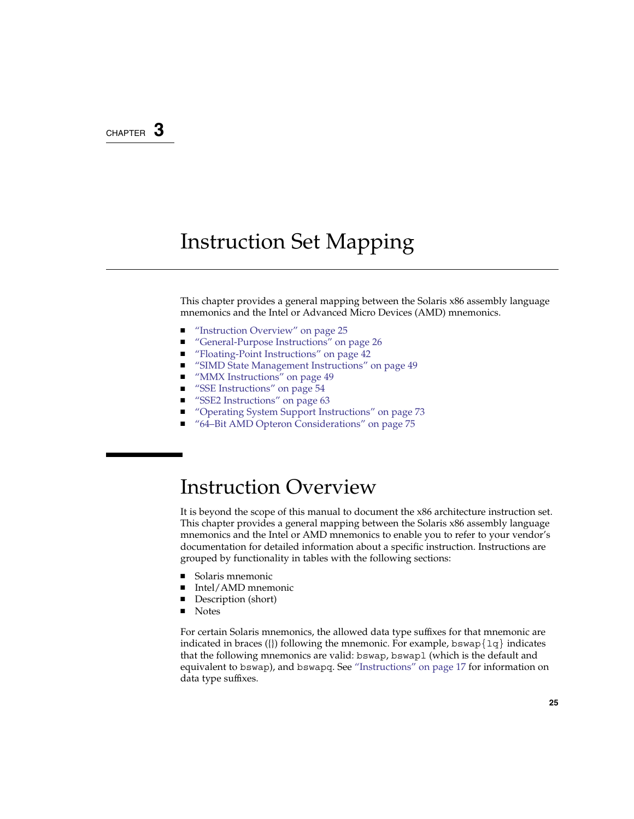### <span id="page-24-0"></span>CHAPTER **3**

## Instruction Set Mapping

This chapter provides a general mapping between the Solaris x86 assembly language mnemonics and the Intel or Advanced Micro Devices (AMD) mnemonics.

- "Instruction Overview" on page 25
- ["General-Purpose Instructions"](#page-25-0) on page 26
- ["Floating-Point Instructions"](#page-41-0) on page 42
- ["SIMD State Management Instructions"](#page-48-0) on page 49
- ["MMX Instructions"](#page-48-0) on page 49
- ["SSE Instructions"](#page-53-0) on page 54
- ["SSE2 Instructions"](#page-62-0) on page 63
- ["Operating System Support Instructions"](#page-72-0) on page 73
- ["64–Bit AMD Opteron Considerations"](#page-74-0) on page 75

### Instruction Overview

It is beyond the scope of this manual to document the x86 architecture instruction set. This chapter provides a general mapping between the Solaris x86 assembly language mnemonics and the Intel or AMD mnemonics to enable you to refer to your vendor's documentation for detailed information about a specific instruction. Instructions are grouped by functionality in tables with the following sections:

- Solaris mnemonic
- Intel/AMD mnemonic
- Description (short)
- Notes

For certain Solaris mnemonics, the allowed data type suffixes for that mnemonic are indicated in braces ({}) following the mnemonic. For example, bswap $\{1q\}$  indicates that the following mnemonics are valid: bswap, bswapl (which is the default and equivalent to bswap), and bswapq. See ["Instructions"](#page-16-0) on page 17 for information on data type suffixes.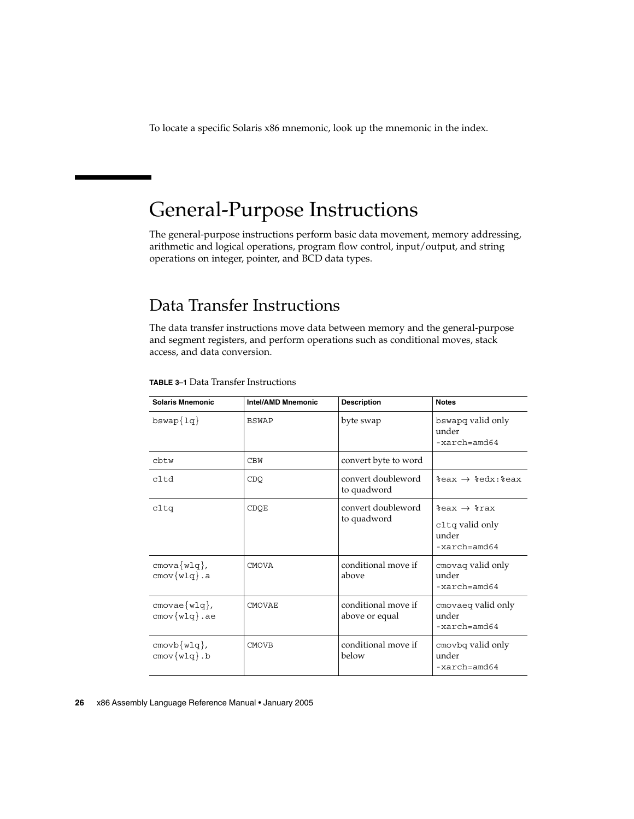<span id="page-25-0"></span>To locate a specific Solaris x86 mnemonic, look up the mnemonic in the index.

## General-Purpose Instructions

The general-purpose instructions perform basic data movement, memory addressing, arithmetic and logical operations, program flow control, input/output, and string operations on integer, pointer, and BCD data types.

### Data Transfer Instructions

The data transfer instructions move data between memory and the general-purpose and segment registers, and perform operations such as conditional moves, stack access, and data conversion.

| <b>Solaris Mnemonic</b>         | <b>Intel/AMD Mnemonic</b> | <b>Description</b>                    | <b>Notes</b>                                                                         |
|---------------------------------|---------------------------|---------------------------------------|--------------------------------------------------------------------------------------|
| $b$ swap $\{1q\}$               | <b>BSWAP</b>              | byte swap                             | bswapq valid only<br>under<br>$-xarch = \text{and}64$                                |
| cbtw                            | <b>CBW</b>                | convert byte to word                  |                                                                                      |
| cltd                            | CDO                       | convert doubleword<br>to quadword     | $*$ eax $\rightarrow$ $*$ edx: $*$ eax                                               |
| cltq                            | CDOE                      | convert doubleword<br>to quadword     | $%$ eax $\rightarrow$ $*$ rax<br>cltq valid only<br>under<br>$-xarch = \text{and}64$ |
| cmova(wlq),<br>$cmov{w1q}$ .a   | <b>CMOVA</b>              | conditional move if<br>above          | cmovaq valid only<br>under<br>$-xarch = \text{and}64$                                |
| cmovae(wlq),<br>$cmov{w1q}$ .ae | <b>CMOVAE</b>             | conditional move if<br>above or equal | cmovaeq valid only<br>under<br>$-xarch = \text{and}64$                               |
| $cmovb{w1q},$<br>$cmov{w1q}$ .b | <b>CMOVB</b>              | conditional move if<br>below          | cmovbq valid only<br>under<br>$-xarch = \text{and}64$                                |

#### **TABLE 3–1** Data Transfer Instructions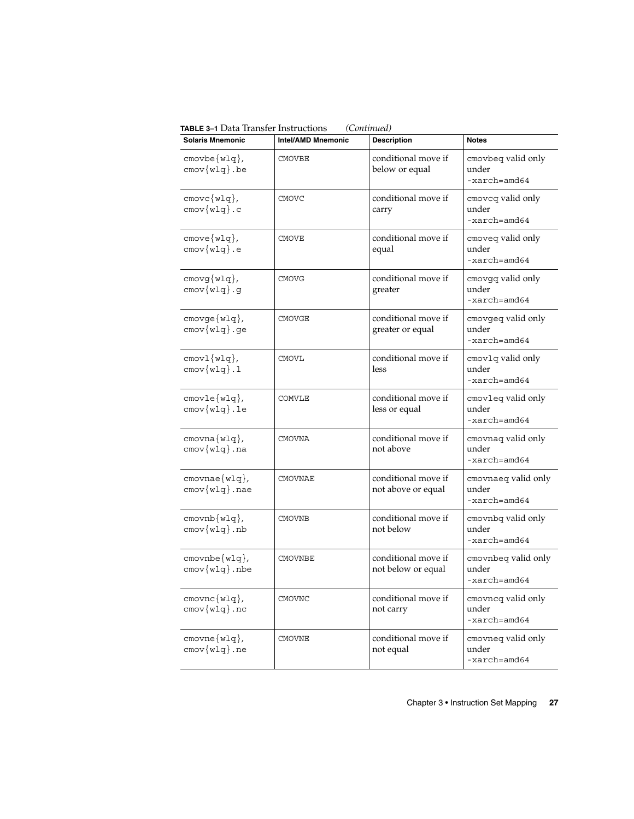| <b>Solaris Mnemonic</b>                                 | Intel/AMD Mnemonic | <b>Description</b>                        | <b>Notes</b>                                            |
|---------------------------------------------------------|--------------------|-------------------------------------------|---------------------------------------------------------|
| $cmovbe{w1q},$<br>$cmov(w1q)$ .be                       | <b>CMOVBE</b>      | conditional move if<br>below or equal     | cmovbeq valid only<br>under<br>$-xarch = \text{and}64$  |
| $cmovc{w1q},$<br>$cmov{w1q}.c$                          | <b>CMOVC</b>       | conditional move if<br>carry              | cmoveq valid only<br>under<br>$-xarch = \text{and}64$   |
| $cmove{w1q},$<br>$cmov{w1q}$ .e                         | <b>CMOVE</b>       | conditional move if<br>equal              | cmoveq valid only<br>under<br>$-xarch=amd64$            |
| $cmovg{w1q},$<br>cmov(w1q).g                            | <b>CMOVG</b>       | conditional move if<br>greater            | cmovgq valid only<br>under<br>-xarch=amd64              |
| $cmove{w1q},$<br>$cmov{w1q}.ge$                         | CMOVGE             | conditional move if<br>greater or equal   | cmovgeq valid only<br>under<br>$-xarch=amd64$           |
| $cmov1{w1q},$<br>$cmov{w1q}.1$                          | CMOVL              | conditional move if<br>less               | cmovlq valid only<br>under<br>-xarch=amd64              |
| $cmovle{wlq},$<br>cmov(wlq).                            | COMVLE             | conditional move if<br>less or equal      | cmovleq valid only<br>under<br>$-xarch = \text{and}64$  |
| cmovna(wlq),<br>$cmov{w1q}$ .na                         | CMOVNA             | conditional move if<br>not above          | cmovnaq valid only<br>under<br>$-xarch = \text{and}64$  |
| cmovnae(wlq),<br>$cmov{w1q}$ .nae                       | CMOVNAE            | conditional move if<br>not above or equal | cmovnaeq valid only<br>under<br>-xarch=amd64            |
| $c$ movnb $\{w1q\}$ ,<br>$cmov(wlq)$ .nb                | <b>CMOVNB</b>      | conditional move if<br>not below          | cmovnbq valid only<br>under<br>$-xarch = \text{and}64$  |
| $\text{cmovnbe} \{\text{w1q}\},$<br>$cmov\{w1q\}$ .nbe  | <b>CMOVNBE</b>     | conditional move if<br>not below or equal | cmovnbeq valid only<br>under<br>$-xarch = \text{and}64$ |
| cmovnc(wlq),<br>$\text{cmov}\{\texttt{wlg}\}\text{.nc}$ | <b>CMOVNC</b>      | conditional move if<br>not carry          | cmovneq valid only<br>under<br>$-xarch = \text{and}64$  |
| $)^{1}$ cmovne $\{w1q\}$ ,<br>$cmov(w1q)$ .ne           | CMOVNE             | conditional move if<br>not equal          | cmovneq valid only<br>under<br>-xarch=amd64             |

**TABLE 3–1** Data Transfer Instructions *(Continued)*

Chapter 3 • Instruction Set Mapping **27**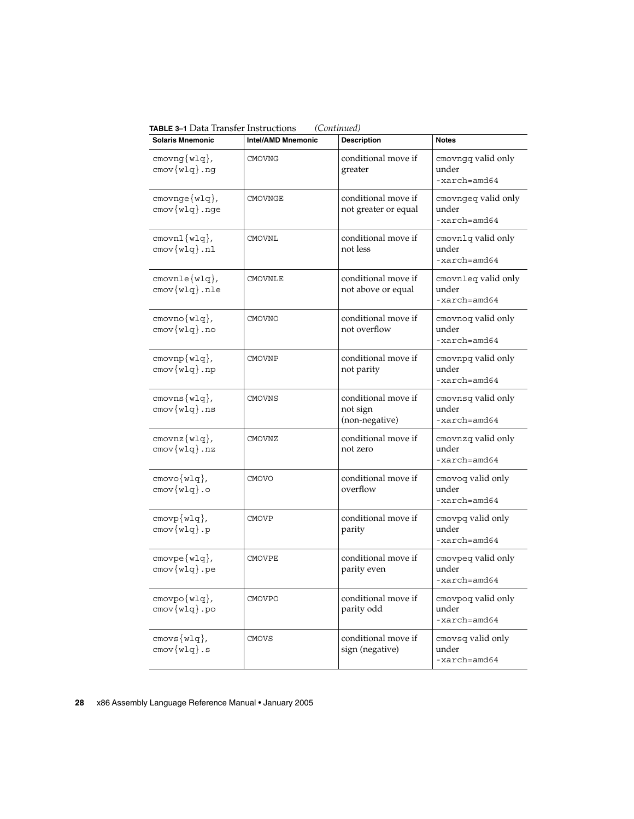**TABLE 3–1** Data Transfer Instructions *(Continued)*

| <b>Solaris Mnemonic</b>                              | <b>Intel/AMD Mnemonic</b> | <b>Description</b>                                | <b>Notes</b>                                            |
|------------------------------------------------------|---------------------------|---------------------------------------------------|---------------------------------------------------------|
| cmovng(wlq),<br>$cmov(wlq)$ .ng                      | <b>CMOVNG</b>             | conditional move if<br>greater                    | cmovngq valid only<br>under<br>$-xarch = \text{and}64$  |
| $cmovnge{w1q},$<br>cmov{wlq}.nge                     | <b>CMOVNGE</b>            | conditional move if<br>not greater or equal       | cmovngeq valid only<br>under<br>$-xarch = \text{and}64$ |
| $c$ movn $1{w1q}$ ,<br>cmov(wlq).n1                  | <b>CMOVNL</b>             | conditional move if<br>not less                   | cmovnlq valid only<br>under<br>$-xarch = \text{and}64$  |
| $c$ movnle $\{w \lg\}$ ,<br>$cmov{w1q}$ .nle         | <b>CMOVNLE</b>            | conditional move if<br>not above or equal         | cmovnleg valid only<br>under<br>$-xarch = \text{and}64$ |
| cmovno(wlq),<br>$cmov{w1q}$ .no                      | CMOVNO                    | conditional move if<br>not overflow               | cmovnoq valid only<br>under<br>$-xarch = \text{and}64$  |
| $cmovnp{wlq},$<br>$\text{cmov} \{ \text{wlg} \}$ .np | <b>CMOVNP</b>             | conditional move if<br>not parity                 | cmovnpq valid only<br>under<br>$-xarch = \text{and}64$  |
| cmovns(wlq),<br>$\text{cmov} \{ w \text{lg} \}$ .ns  | <b>CMOVNS</b>             | conditional move if<br>not sign<br>(non-negative) | cmovnsq valid only<br>under<br>$-xarch = \text{and}64$  |
| cmovnz(wlq),<br>cmov{wlq}.nz                         | CMOVNZ                    | conditional move if<br>not zero                   | cmovnzq valid only<br>under<br>$-xarch = \text{and}64$  |
| $cmovo{w1q},$<br>$cmov{w1q}$ .o                      | <b>CMOVO</b>              | conditional move if<br>overflow                   | cmovoq valid only<br>under<br>$-xarch = \text{and}64$   |
| $cmovp\{w1q\},$<br>$cmov{w1q}.p$                     | <b>CMOVP</b>              | conditional move if<br>parity                     | cmovpq valid only<br>under<br>-xarch=amd64              |
| cmovpe(wlq),<br>cmov{wlq}.pe                         | <b>CMOVPE</b>             | conditional move if<br>parity even                | cmovpeq valid only<br>under<br>$-xarch = \text{and}64$  |
| cmovpo(wlq),<br>cmov(wlq).po                         | <b>CMOVPO</b>             | conditional move if<br>parity odd                 | cmovpoq valid only<br>under<br>$-xarch=amd64$           |
| cmovs(wlq),<br>cmov(wlq).s                           | <b>CMOVS</b>              | conditional move if<br>sign (negative)            | cmovsq valid only<br>under<br>$-xarch = \text{and}64$   |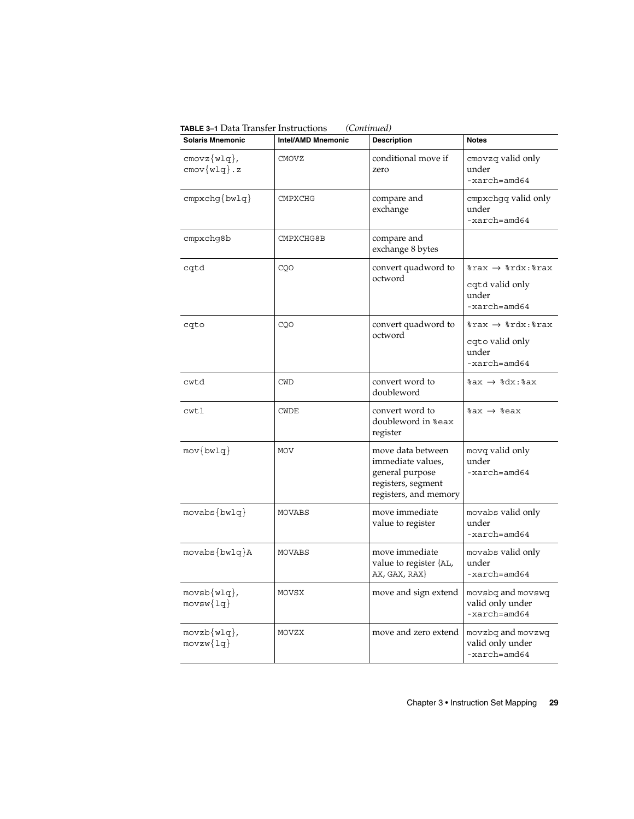| <b>Solaris Mnemonic</b>                               | <b>Intel/AMD Mnemonic</b> | <b>Description</b>                                                                                       | <b>Notes</b>                                                                                                   |
|-------------------------------------------------------|---------------------------|----------------------------------------------------------------------------------------------------------|----------------------------------------------------------------------------------------------------------------|
| $cmovz{w1q},$<br>$\text{cmov}\{\text{wlg}\}\text{.z}$ | CMOVZ                     | conditional move if<br>zero                                                                              | cmovzq valid only<br>under<br>$-xarch = \text{and}64$                                                          |
| $cmpxchq\{bwlq\}$                                     | <b>CMPXCHG</b>            | compare and<br>exchange                                                                                  | cmpxchgq valid only<br>under<br>$-xarch=amd64$                                                                 |
| cmpxchg8b                                             | CMPXCHG8B                 | compare and<br>exchange 8 bytes                                                                          |                                                                                                                |
| cqtd                                                  | CQO                       | convert quadword to<br>octword                                                                           | $\texttt{grav} \rightarrow \texttt{cdx:} \texttt{grav}$<br>cqtd valid only<br>under<br>$-xarch = \text{and}64$ |
| cqto                                                  | CQO                       | convert quadword to<br>octword                                                                           | $\texttt{grav} \rightarrow \texttt{cdx:} \texttt{grav}$<br>cqto valid only<br>under<br>$-xarch = \text{and}64$ |
| cwtd                                                  | <b>CWD</b>                | convert word to<br>doubleword                                                                            | $sax \rightarrow sdx : sax$                                                                                    |
| cwtl                                                  | CWDE                      | convert word to<br>doubleword in %eax<br>register                                                        | $\ast$ ax $\rightarrow$ $\ast$ eax                                                                             |
| $mov\{bwlq\}$                                         | MOV                       | move data between<br>immediate values,<br>general purpose<br>registers, segment<br>registers, and memory | movq valid only<br>under<br>$-xarch = \text{and}64$                                                            |
| $movabs\{bwlq\}$                                      | MOVABS                    | move immediate<br>value to register                                                                      | movabs valid only<br>under<br>$-xarch = \text{and}64$                                                          |
| $movabs\{bwlq\}A$                                     | MOVABS                    | move immediate<br>value to register {AL,<br>AX, GAX, RAX}                                                | movabs valid only<br>under<br>$-xarch = \text{and}64$                                                          |
| movsb(wlq),<br>$movsw{1q}$                            | MOVSX                     | move and sign extend                                                                                     | movsbq and movswq<br>valid only under<br>$-xarch = \text{and}64$                                               |
| $movzb{wlq},$<br>$movzw\{lq\}$                        | MOVZX                     | move and zero extend                                                                                     | movzbq and movzwq<br>valid only under<br>$-xarch = \text{and}64$                                               |

**TABLE 3–1** Data Transfer Instructions *(Continued)*

Chapter 3 • Instruction Set Mapping **29**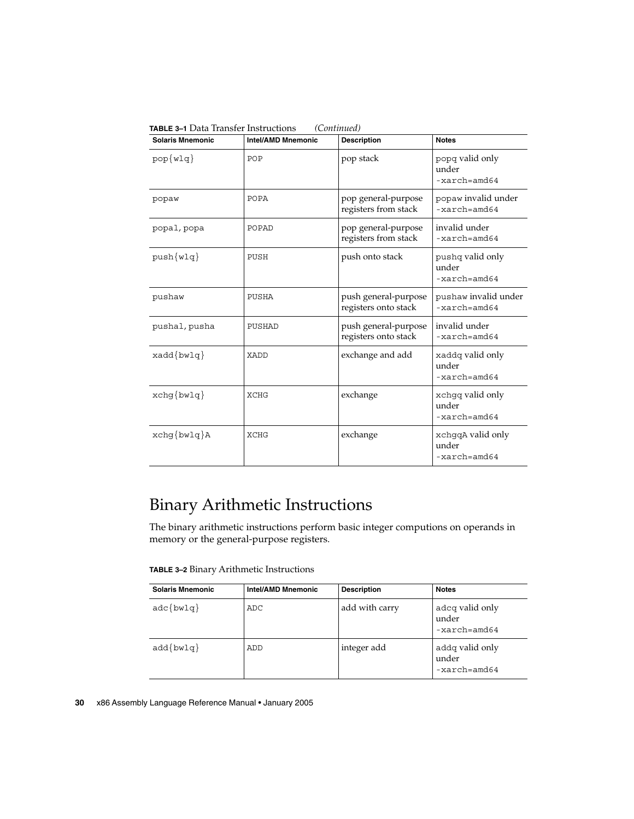| <b>Solaris Mnemonic</b> | <b>Intel/AMD Mnemonic</b> | <b>Description</b>                           | <b>Notes</b>                                          |
|-------------------------|---------------------------|----------------------------------------------|-------------------------------------------------------|
| $pop{w1q}$              | POP                       | pop stack                                    | popq valid only<br>under<br>$-xarch = \text{and}64$   |
| popaw                   | POPA                      | pop general-purpose<br>registers from stack  | popaw invalid under<br>$-xarch = \text{and}64$        |
| popal, popa             | POPAD                     | pop general-purpose<br>registers from stack  | invalid under<br>$-xarch = \text{and}64$              |
| $push{w1q}$             | PUSH                      | push onto stack                              | pushq valid only<br>under<br>$-xarch = \text{and}64$  |
| pushaw                  | PUSHA                     | push general-purpose<br>registers onto stack | pushaw invalid under<br>$-xarch = \text{and}64$       |
| pushal, pusha           | PUSHAD                    | push general-purpose<br>registers onto stack | invalid under<br>$-xarch = \text{and}64$              |
| $xadd\{bwlq\}$          | XADD                      | exchange and add                             | xaddq valid only<br>under<br>$-xarch = \text{and}64$  |
| $xchq\{bwlq\}$          | <b>XCHG</b>               | exchange                                     | xchgq valid only<br>under<br>$-xarch = \text{and}64$  |
| $xchg\{bwlq\}A$         | <b>XCHG</b>               | exchange                                     | xchgqA valid only<br>under<br>$-xarch = \text{and}64$ |

<span id="page-29-0"></span>**TABLE 3–1** Data Transfer Instructions *(Continued)*

### Binary Arithmetic Instructions

The binary arithmetic instructions perform basic integer computions on operands in memory or the general-purpose registers.

**TABLE 3–2** Binary Arithmetic Instructions

| <b>Solaris Mnemonic</b> | Intel/AMD Mnemonic | <b>Description</b> | <b>Notes</b>                                        |
|-------------------------|--------------------|--------------------|-----------------------------------------------------|
| $\texttt{adc}$ {bwlq}   | ADC.               | add with carry     | adcq valid only<br>under<br>$-xarch = \text{and}64$ |
| $add\{bwlq\}$           | ADD                | integer add        | addq valid only<br>under<br>$-xarch = \text{and}64$ |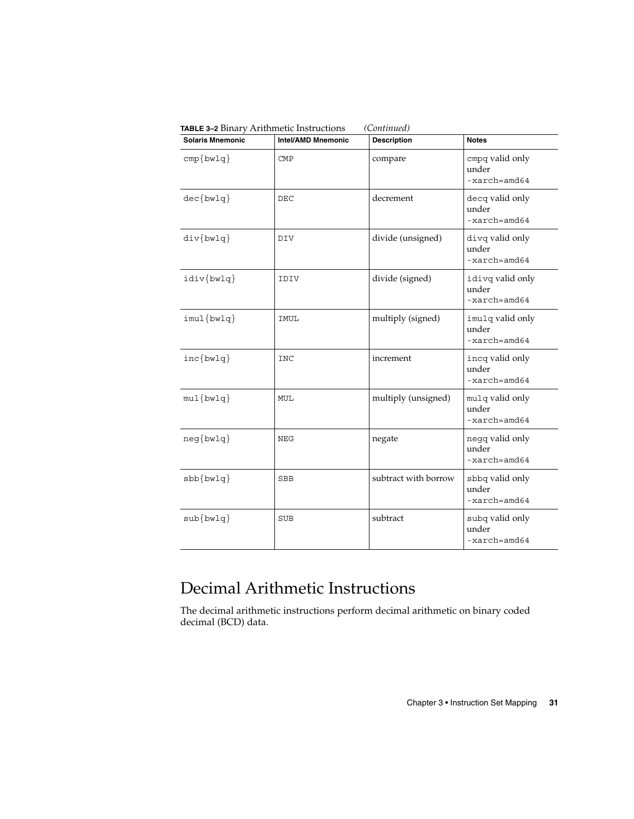| <b>Solaris Mnemonic</b> | Intel/AMD Mnemonic | <b>Description</b>   | <b>Notes</b>                                         |
|-------------------------|--------------------|----------------------|------------------------------------------------------|
| $cmp\{bwlq\}$           | <b>CMP</b>         | compare              | cmpq valid only<br>under<br>$-xarch = \text{and}64$  |
| $dec\{bwlq\}$           | DEC                | decrement            | decq valid only<br>under<br>$-xarch = \text{and}64$  |
| $div\{bwlq\}$           | DIV                | divide (unsigned)    | divq valid only<br>under<br>$-xarch = \text{and}64$  |
| idiv{bwlq}              | IDIV               | divide (signed)      | idivq valid only<br>under<br>$-xarch = \text{and}64$ |
| $imul$ {bwlq}           | IMUL               | multiply (signed)    | imulq valid only<br>under<br>$-xarch = \text{and}64$ |
| $inc\{bwlq\}$           | <b>INC</b>         | increment            | incq valid only<br>under<br>$-xarch = \text{and} 64$ |
| $mul{bwlq}$             | MUL                | multiply (unsigned)  | mulq valid only<br>under<br>$-xarch = \text{and} 64$ |
| $neg\{bwlq\}$           | NEG                | negate               | negq valid only<br>under<br>$-xarch = \text{and} 64$ |
| $sbb\{bwlg\}$           | <b>SBB</b>         | subtract with borrow | sbbq valid only<br>under<br>$-xarch = \text{and}64$  |
| $sub{bwlq}$             | <b>SUB</b>         | subtract             | subq valid only<br>under<br>-xarch=amd64             |

<span id="page-30-0"></span>**TABLE 3–2** Binary Arithmetic Instructions *(Continued)*

### Decimal Arithmetic Instructions

The decimal arithmetic instructions perform decimal arithmetic on binary coded decimal (BCD) data.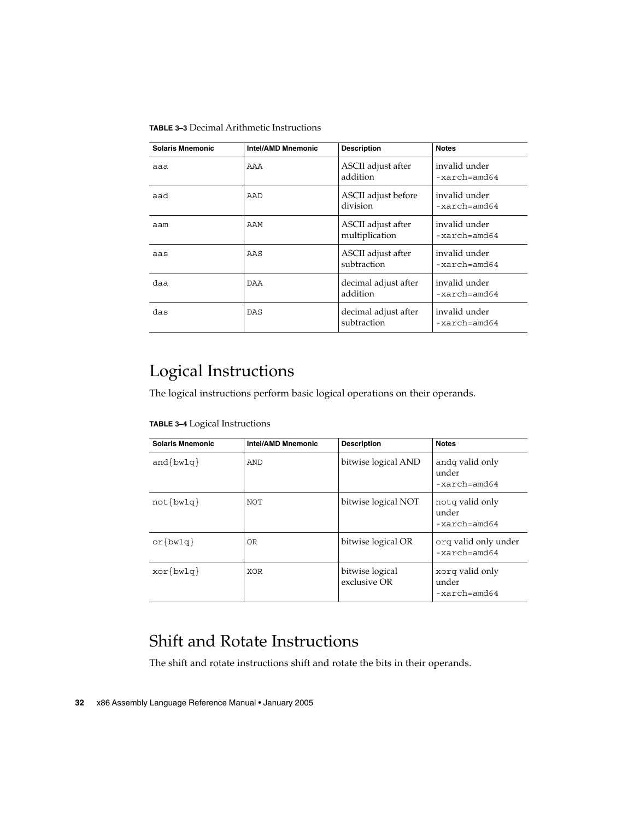#### <span id="page-31-0"></span>**TABLE 3–3** Decimal Arithmetic Instructions

| Solaris Mnemonic | <b>Intel/AMD Mnemonic</b> | <b>Description</b>                   | <b>Notes</b>                             |
|------------------|---------------------------|--------------------------------------|------------------------------------------|
| aaa              | AAA                       | ASCII adjust after<br>addition       | invalid under<br>$-xarch = \text{and}64$ |
| aad              | AAD                       | ASCII adjust before<br>division      | invalid under<br>$-xarch = \text{and}64$ |
| aam              | AAM                       | ASCII adjust after<br>multiplication | invalid under<br>$-xarch = \text{and}64$ |
| aas              | AAS                       | ASCII adjust after<br>subtraction    | invalid under<br>$-xarch = \text{and}64$ |
| daa              | DAA                       | decimal adjust after<br>addition     | invalid under<br>$-xarch = \text{and}64$ |
| das              | <b>DAS</b>                | decimal adjust after<br>subtraction  | invalid under<br>$-xarch = \text{and}64$ |

### Logical Instructions

The logical instructions perform basic logical operations on their operands.

**TABLE 3–4** Logical Instructions

| <b>Solaris Mnemonic</b> | <b>Intel/AMD Mnemonic</b> | <b>Description</b>              | <b>Notes</b>                                        |
|-------------------------|---------------------------|---------------------------------|-----------------------------------------------------|
| $and \{bwlq\}$          | AND                       | bitwise logical AND             | andq valid only<br>under<br>$-xarch = \text{and}64$ |
| $not\{bwlq\}$           | NOT                       | bitwise logical NOT             | notg valid only<br>under<br>$-xarch = \text{and}64$ |
| $or \{bwlq\}$           | OR.                       | bitwise logical OR              | orq valid only under<br>$-xarch = \text{and}64$     |
| $xor\{bwlq\}$           | <b>XOR</b>                | bitwise logical<br>exclusive OR | xorq valid only<br>under<br>$-xarch = \text{and}64$ |

### Shift and Rotate Instructions

The shift and rotate instructions shift and rotate the bits in their operands.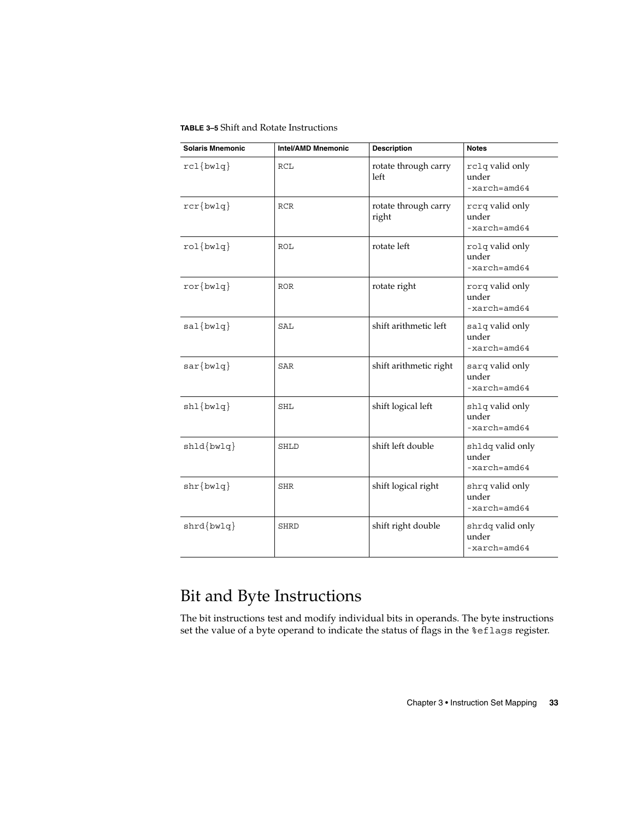<span id="page-32-0"></span>**TABLE 3–5** Shift and Rotate Instructions

| <b>Solaris Mnemonic</b>         | <b>Intel/AMD Mnemonic</b> | <b>Description</b>            | <b>Notes</b>                                         |
|---------------------------------|---------------------------|-------------------------------|------------------------------------------------------|
| $rcl$ {bwlq}                    | RCL                       | rotate through carry<br>left  | rclq valid only<br>under<br>$-xarch = \text{and}64$  |
| $rcr\{bwlq\}$                   | <b>RCR</b>                | rotate through carry<br>right | rcrq valid only<br>under<br>$-xarch = \text{and}64$  |
| $rol{bwlq}$                     | ROL                       | rotate left                   | rolq valid only<br>under<br>$-xarch = \text{and}64$  |
| $ror\{bwlq\}$                   | <b>ROR</b>                | rotate right                  | rorq valid only<br>under<br>$-xarch = \text{and}64$  |
| $sal\{bwlq\}$                   | SAL                       | shift arithmetic left         | salq valid only<br>under<br>$-xarch = \text{and}64$  |
| $sar\{bwlq\}$                   | SAR                       | shift arithmetic right        | sarq valid only<br>under<br>$-xarch = \text{and}64$  |
| $\text{shl} \{\text{bwlq}\}$    | <b>SHL</b>                | shift logical left            | shlq valid only<br>under<br>$-xarch = \text{and}64$  |
| $shld \{bwlq\}$                 | SHLD                      | shift left double             | shldq valid only<br>under<br>$-xarch = \text{and}64$ |
| $shr{bwlq}$                     | SHR                       | shift logical right           | shrq valid only<br>under<br>$-xarch = \text{and}64$  |
| $\text{shrd}$ { $\text{bwlq}$ } | SHRD                      | shift right double            | shrdq valid only<br>under<br>$-xarch = \text{and}64$ |

## Bit and Byte Instructions

The bit instructions test and modify individual bits in operands. The byte instructions set the value of a byte operand to indicate the status of flags in the %eflags register.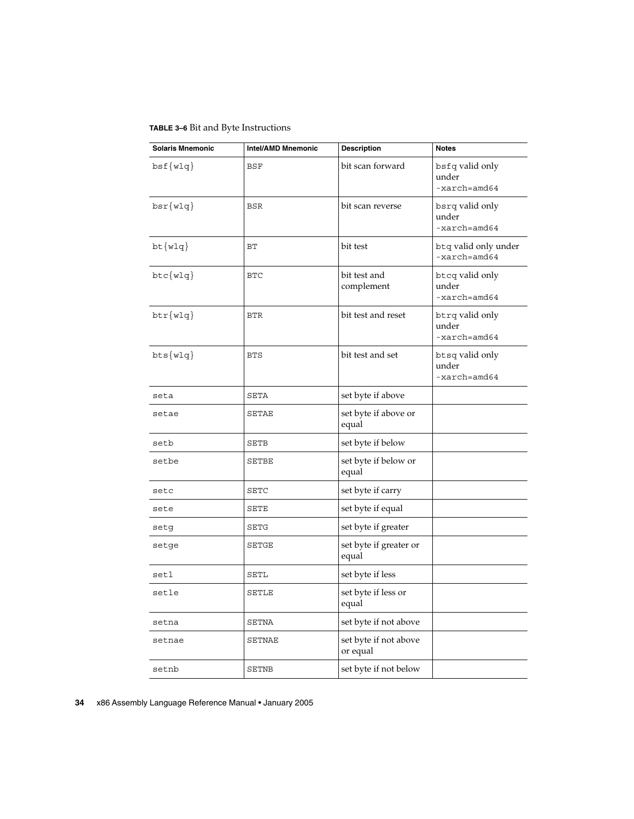<span id="page-33-0"></span>**TABLE 3–6** Bit and Byte Instructions

| <b>Solaris Mnemonic</b> | <b>Intel/AMD Mnemonic</b> | <b>Description</b>                | <b>Notes</b>                                        |
|-------------------------|---------------------------|-----------------------------------|-----------------------------------------------------|
| bsf(wlq)                | <b>BSF</b>                | bit scan forward                  | bsfq valid only<br>under<br>$-xarch = \text{and}64$ |
| $bsr{w1q}$              | <b>BSR</b>                | bit scan reverse                  | bsrq valid only<br>under<br>$-xarch = \text{and}64$ |
| $bt{w1q}$               | BT                        | bit test                          | btq valid only under<br>$-xarch = \text{and}64$     |
| $btc{w1q}$              | <b>BTC</b>                | bit test and<br>complement        | btcq valid only<br>under<br>$-xarch = \text{and}64$ |
| $\texttt{btr}$ {wlq}    | <b>BTR</b>                | bit test and reset                | btrq valid only<br>under<br>$-xarch = \text{and}64$ |
| $bts{w1q}$              | <b>BTS</b>                | bit test and set                  | btsq valid only<br>under<br>$-xarch=amd64$          |
| seta                    | SETA                      | set byte if above                 |                                                     |
| setae                   | SETAE                     | set byte if above or<br>equal     |                                                     |
| setb                    | SETB                      | set byte if below                 |                                                     |
| setbe                   | <b>SETBE</b>              | set byte if below or<br>equal     |                                                     |
| setc                    | <b>SETC</b>               | set byte if carry                 |                                                     |
| sete                    | SETE                      | set byte if equal                 |                                                     |
| setg                    | SETG                      | set byte if greater               |                                                     |
| setge                   | SETGE                     | set byte if greater or<br>equal   |                                                     |
| setl                    | SETL                      | set byte if less                  |                                                     |
| setle                   | <b>SETLE</b>              | set byte if less or<br>equal      |                                                     |
| setna                   | SETNA                     | set byte if not above             |                                                     |
| setnae                  | SETNAE                    | set byte if not above<br>or equal |                                                     |
| setnb                   | SETNB                     | set byte if not below             |                                                     |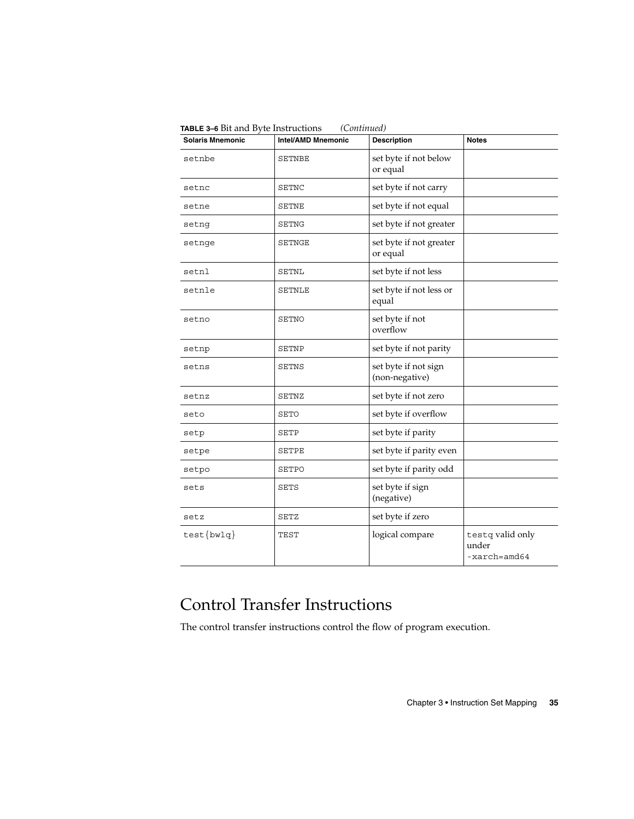<span id="page-34-0"></span>

| <b>Solaris Mnemonic</b> | <b>Intel/AMD Mnemonic</b> | <b>Description</b>                     | <b>Notes</b>                              |
|-------------------------|---------------------------|----------------------------------------|-------------------------------------------|
| setnbe                  | <b>SETNBE</b>             | set byte if not below<br>or equal      |                                           |
| setnc                   | SETNC                     | set byte if not carry                  |                                           |
| setne                   | SETNE                     | set byte if not equal                  |                                           |
| setnq                   | SETNG                     | set byte if not greater                |                                           |
| setnge                  | SETNGE                    | set byte if not greater<br>or equal    |                                           |
| setnl                   | SETNL                     | set byte if not less                   |                                           |
| setnle                  | SETNLE                    | set byte if not less or<br>equal       |                                           |
| setno                   | SETNO                     | set byte if not<br>overflow            |                                           |
| setnp                   | SETNP                     | set byte if not parity                 |                                           |
| setns                   | SETNS                     | set byte if not sign<br>(non-negative) |                                           |
| setnz                   | SETNZ                     | set byte if not zero                   |                                           |
| seto                    | SETO                      | set byte if overflow                   |                                           |
| setp                    | SETP                      | set byte if parity                     |                                           |
| setpe                   | SETPE                     | set byte if parity even                |                                           |
| setpo                   | SETPO                     | set byte if parity odd                 |                                           |
| sets                    | SETS                      | set byte if sign<br>(negative)         |                                           |
| setz                    | SETZ                      | set byte if zero                       |                                           |
| $test\{bwlq\}$          | TEST                      | logical compare                        | testq valid only<br>under<br>-xarch=amd64 |

## Control Transfer Instructions

The control transfer instructions control the flow of program execution.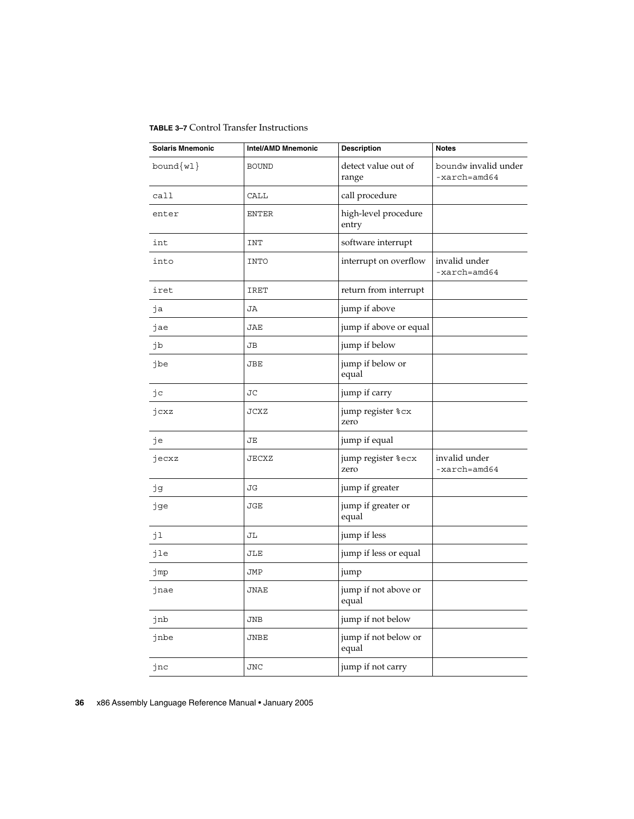<span id="page-35-0"></span>**TABLE 3–7** Control Transfer Instructions

| <b>Solaris Mnemonic</b> | <b>Intel/AMD Mnemonic</b> | <b>Description</b>            | <b>Notes</b>                                    |
|-------------------------|---------------------------|-------------------------------|-------------------------------------------------|
| $bound{wl}$             | <b>BOUND</b>              | detect value out of<br>range  | boundw invalid under<br>$-xarch = \text{and}64$ |
| call                    | CALL                      | call procedure                |                                                 |
| enter                   | <b>ENTER</b>              | high-level procedure<br>entry |                                                 |
| int                     | INT                       | software interrupt            |                                                 |
| into                    | <b>INTO</b>               | interrupt on overflow         | invalid under<br>$-xarch=amd64$                 |
| iret                    | IRET                      | return from interrupt         |                                                 |
| jа                      | JA                        | jump if above                 |                                                 |
| jae                     | JAE                       | jump if above or equal        |                                                 |
| jb                      | JВ                        | jump if below                 |                                                 |
| jbe                     | JBE                       | jump if below or<br>equal     |                                                 |
| jc                      | <b>JC</b>                 | jump if carry                 |                                                 |
| jcxz                    | <b>JCXZ</b>               | jump register %cx<br>zero     |                                                 |
| je                      | JЕ                        | jump if equal                 |                                                 |
| jecxz                   | JECXZ                     | jump register %ecx<br>zero    | invalid under<br>$-xarch = \text{and}64$        |
| jд                      | JG                        | jump if greater               |                                                 |
| jge                     | <b>JGE</b>                | jump if greater or<br>equal   |                                                 |
| jl                      | JL                        | jump if less                  |                                                 |
| jle                     | JLE                       | jump if less or equal         |                                                 |
| jmp                     | JMP                       | jump                          |                                                 |
| jnae                    | JNAE                      | jump if not above or<br>equal |                                                 |
| jnb                     | <b>JNB</b>                | jump if not below             |                                                 |
| jnbe                    | JNBE                      | jump if not below or<br>equal |                                                 |
| jnc                     | <b>JNC</b>                | jump if not carry             |                                                 |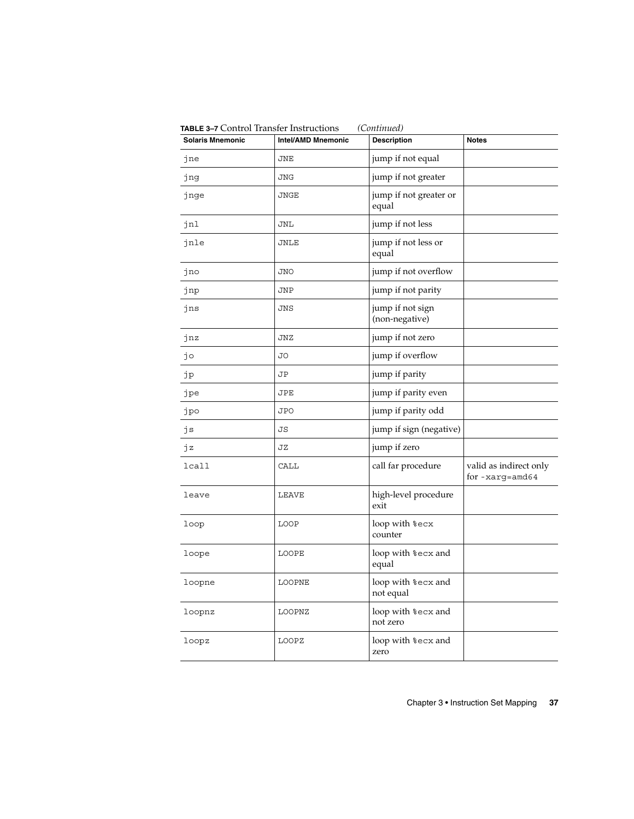| <b>Solaris Mnemonic</b> | Intel/AMD Mnemonic | <b>Description</b>                 | <b>Notes</b>                                 |
|-------------------------|--------------------|------------------------------------|----------------------------------------------|
| jne                     | JNE                | jump if not equal                  |                                              |
| jng                     | <b>JNG</b>         | jump if not greater                |                                              |
| jnge                    | JNGE               | jump if not greater or<br>equal    |                                              |
| jnl                     | <b>JNL</b>         | jump if not less                   |                                              |
| jnle                    | JNLE               | jump if not less or<br>equal       |                                              |
| jno                     | <b>JNO</b>         | jump if not overflow               |                                              |
| jnp                     | JNP                | jump if not parity                 |                                              |
| jns                     | JNS                | jump if not sign<br>(non-negative) |                                              |
| jnz                     | JNZ                | jump if not zero                   |                                              |
| jo                      | JО                 | jump if overflow                   |                                              |
| jp                      | JΡ                 | jump if parity                     |                                              |
| jpe                     | JPE                | jump if parity even                |                                              |
| jpo                     | <b>JPO</b>         | jump if parity odd                 |                                              |
| js                      | JS                 | jump if sign (negative)            |                                              |
| jz                      | JZ                 | jump if zero                       |                                              |
| lcall                   | CALL               | call far procedure                 | valid as indirect only<br>for $-$ xarg=amd64 |
| leave                   | LEAVE              | high-level procedure<br>exit       |                                              |
| loop                    | LOOP               | loop with %ecx<br>counter          |                                              |
| loope                   | <b>LOOPE</b>       | loop with %ecx and<br>equal        |                                              |
| loopne                  | LOOPNE             | loop with %ecx and<br>not equal    |                                              |
| loopnz                  | LOOPNZ             | loop with %ecx and<br>not zero     |                                              |
| loopz                   | LOOPZ              | loop with %ecx and<br>zero         |                                              |

**TABLE 3–7** Control Transfer Instructions *(Continued)*

Chapter 3 • Instruction Set Mapping **37**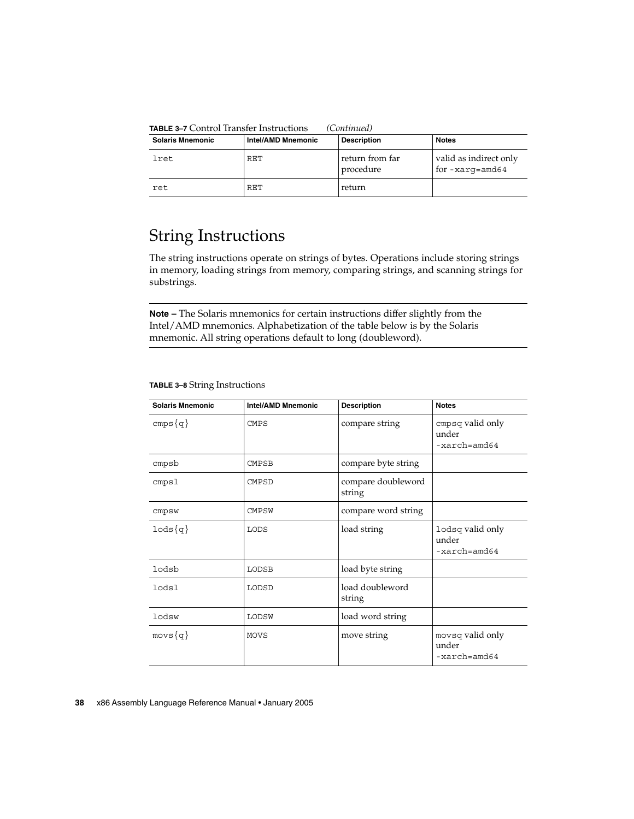**TABLE 3–7** Control Transfer Instructions *(Continued)*

| <b>Solaris Mnemonic</b> | Intel/AMD Mnemonic | <b>Description</b>           | <b>Notes</b>                             |
|-------------------------|--------------------|------------------------------|------------------------------------------|
| lret                    | RET                | return from far<br>procedure | valid as indirect only<br>for-xarg=amd64 |
| ret.                    | RET                | return                       |                                          |

### String Instructions

The string instructions operate on strings of bytes. Operations include storing strings in memory, loading strings from memory, comparing strings, and scanning strings for substrings.

**Note –** The Solaris mnemonics for certain instructions differ slightly from the Intel/AMD mnemonics. Alphabetization of the table below is by the Solaris mnemonic. All string operations default to long (doubleword).

| <b>Solaris Mnemonic</b> | <b>Intel/AMD Mnemonic</b> | <b>Description</b>           | <b>Notes</b>                                         |
|-------------------------|---------------------------|------------------------------|------------------------------------------------------|
| $cmps{q}$               | <b>CMPS</b>               | compare string               | cmpsq valid only<br>under<br>$-xarch = \text{and}64$ |
| cmpsb                   | <b>CMPSB</b>              | compare byte string          |                                                      |
| cmps1                   | <b>CMPSD</b>              | compare doubleword<br>string |                                                      |
| cmpsw                   | <b>CMPSW</b>              | compare word string          |                                                      |
| $1$ ods $\{q\}$         | LODS                      | load string                  | lodsq valid only<br>under<br>$-xarch = \text{and}64$ |
| lodsb                   | LODSB                     | load byte string             |                                                      |
| lodsl                   | LODSD                     | load doubleword<br>string    |                                                      |
| lodsw                   | LODSW                     | load word string             |                                                      |
| $movs{q}$               | MOVS                      | move string                  | movsq valid only<br>under<br>$-xarch = \text{and}64$ |

#### **TABLE 3–8** String Instructions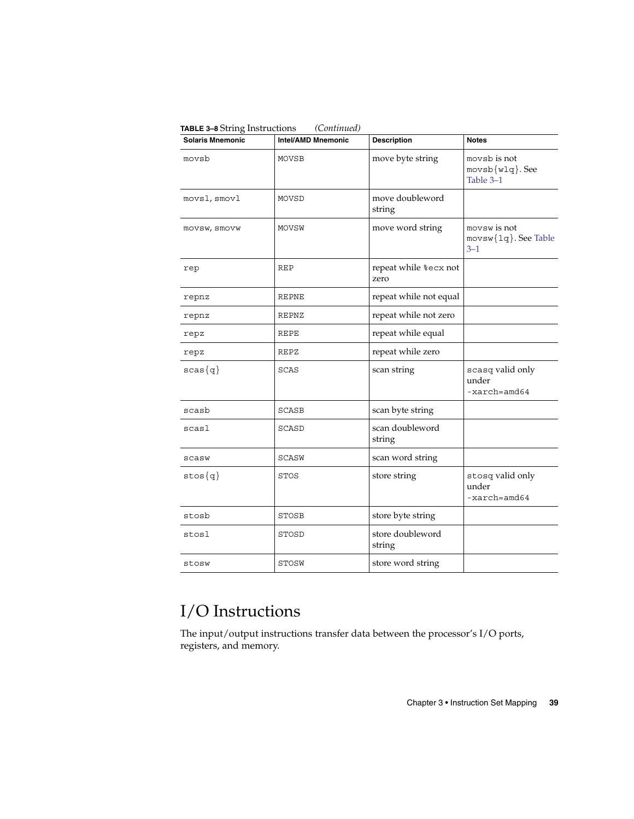| <b>Solaris Mnemonic</b> | <b>Intel/AMD Mnemonic</b> | <b>Description</b>            | <b>Notes</b>                                         |
|-------------------------|---------------------------|-------------------------------|------------------------------------------------------|
| movsb                   | MOVSB                     | move byte string              | movsb is not<br>$movsb{wlq}.See$<br>Table 3-1        |
| movsl, smovl            | MOVSD                     | move doubleword<br>string     |                                                      |
| movsw, smovw            | MOVSW                     | move word string              | movsw is not<br>movsw{1q}. See Table<br>$3 - 1$      |
| rep                     | REP                       | repeat while %ecx not<br>zero |                                                      |
| repnz                   | <b>REPNE</b>              | repeat while not equal        |                                                      |
| repnz                   | REPNZ                     | repeat while not zero         |                                                      |
| repz                    | <b>REPE</b>               | repeat while equal            |                                                      |
| repz                    | REPZ                      | repeat while zero             |                                                      |
| $scas{q}$               | SCAS                      | scan string                   | scasq valid only<br>under<br>$-xarch = \text{and}64$ |
| scasb                   | SCASB                     | scan byte string              |                                                      |
| scasl                   | SCASD                     | scan doubleword<br>string     |                                                      |
| scasw                   | SCASW                     | scan word string              |                                                      |
| $stos{q}$               | <b>STOS</b>               | store string                  | stosq valid only<br>under<br>$-xarch = \text{and}64$ |
| stosb                   | STOSB                     | store byte string             |                                                      |
| stosl                   | STOSD                     | store doubleword<br>string    |                                                      |
| stosw                   | STOSW                     | store word string             |                                                      |

**TABLE 3–8** String Instructions *(Continued)*

## I/O Instructions

The input/output instructions transfer data between the processor's I/O ports, registers, and memory.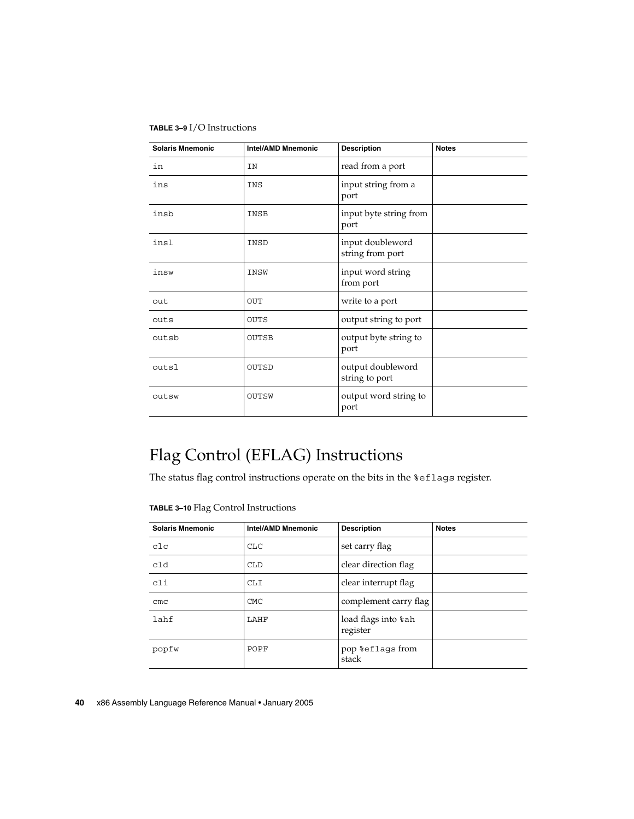#### **TABLE 3–9** I/O Instructions

| <b>Solaris Mnemonic</b> | <b>Intel/AMD Mnemonic</b> | <b>Description</b>                   | <b>Notes</b> |
|-------------------------|---------------------------|--------------------------------------|--------------|
| in                      | ΙN                        | read from a port                     |              |
| ins                     | INS                       | input string from a<br>port          |              |
| insb                    | INSB                      | input byte string from<br>port       |              |
| insl                    | INSD                      | input doubleword<br>string from port |              |
| insw                    | INSW                      | input word string<br>from port       |              |
| out                     | OUT                       | write to a port                      |              |
| outs                    | <b>OUTS</b>               | output string to port                |              |
| outsb                   | <b>OUTSB</b>              | output byte string to<br>port        |              |
| outsl                   | OUTSD                     | output doubleword<br>string to port  |              |
| outsw                   | OUTSW                     | output word string to<br>port        |              |

## Flag Control (EFLAG) Instructions

The status flag control instructions operate on the bits in the %eflags register.

**TABLE 3–10** Flag Control Instructions

| <b>Solaris Mnemonic</b> | <b>Intel/AMD Mnemonic</b> | <b>Description</b>              | <b>Notes</b> |
|-------------------------|---------------------------|---------------------------------|--------------|
| c1c                     | <b>CLC</b>                | set carry flag                  |              |
| c1d                     | <b>CLD</b>                | clear direction flag            |              |
| cli                     | <b>CLI</b>                | clear interrupt flag            |              |
| $_{\text{cmc}}$         | <b>CMC</b>                | complement carry flag           |              |
| lahf                    | LAHF                      | load flags into %ah<br>register |              |
| popfw                   | POPF                      | pop %eflags from<br>stack       |              |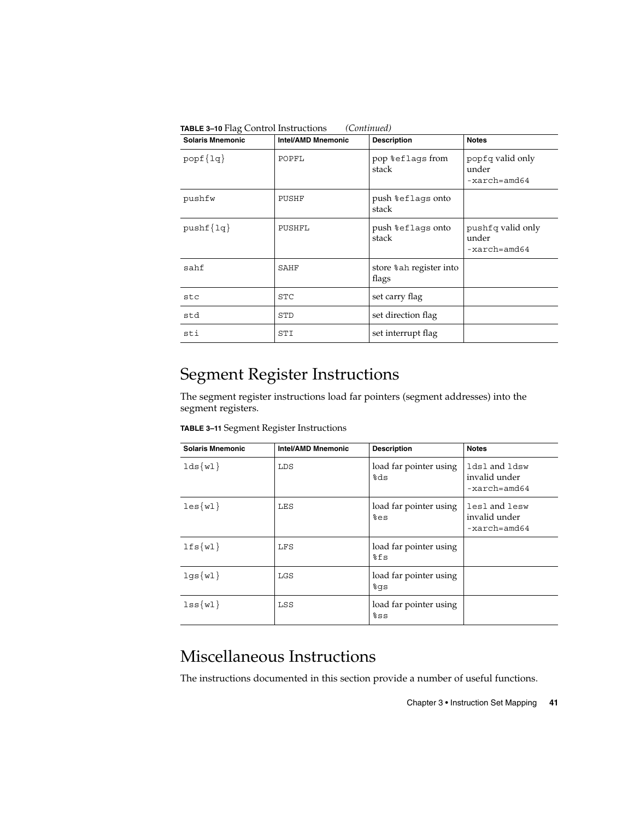| <b>Solaris Mnemonic</b> | <b>Intel/AMD Mnemonic</b> | <b>Description</b>                | <b>Notes</b>                                          |
|-------------------------|---------------------------|-----------------------------------|-------------------------------------------------------|
| $popf\{lq\}$            | POPFL                     | pop %eflags from<br>stack         | popfq valid only<br>under<br>-xarch=amd64             |
| pushfw                  | PUSHF                     | push %eflags onto<br>stack        |                                                       |
| $pushf{1q}$             | PUSHFL                    | push %eflags onto<br>stack        | pushfq valid only<br>under<br>$-xarch = \text{and}64$ |
| sahf                    | SAHF                      | store % ah register into<br>flags |                                                       |
| stc                     | STC                       | set carry flag                    |                                                       |
| std                     | STD                       | set direction flag                |                                                       |
| sti                     | STI                       | set interrupt flag                |                                                       |

**TABLE 3–10** Flag Control Instructions *(Continued)*

## Segment Register Instructions

The segment register instructions load far pointers (segment addresses) into the segment registers.

| <b>Solaris Mnemonic</b> | <b>Intel/AMD Mnemonic</b> | <b>Description</b>              | <b>Notes</b>                                   |
|-------------------------|---------------------------|---------------------------------|------------------------------------------------|
| $lds\{wl\}$             | LDS                       | load far pointer using<br>eds?  | ldsl and ldsw<br>invalid under<br>-xarch=amd64 |
| les(w1)                 | LES                       | load far pointer using<br>%es   | lesl and lesw<br>invalid under<br>-xarch=amd64 |
| $lfs\{wl\}$             | LFS                       | load far pointer using<br>៖fs   |                                                |
| $log{w1}$               | LGS                       | load far pointer using<br>န္ဝါဒ |                                                |
| $lss{wl}$               | LSS                       | load far pointer using<br>៖នន   |                                                |

### Miscellaneous Instructions

The instructions documented in this section provide a number of useful functions.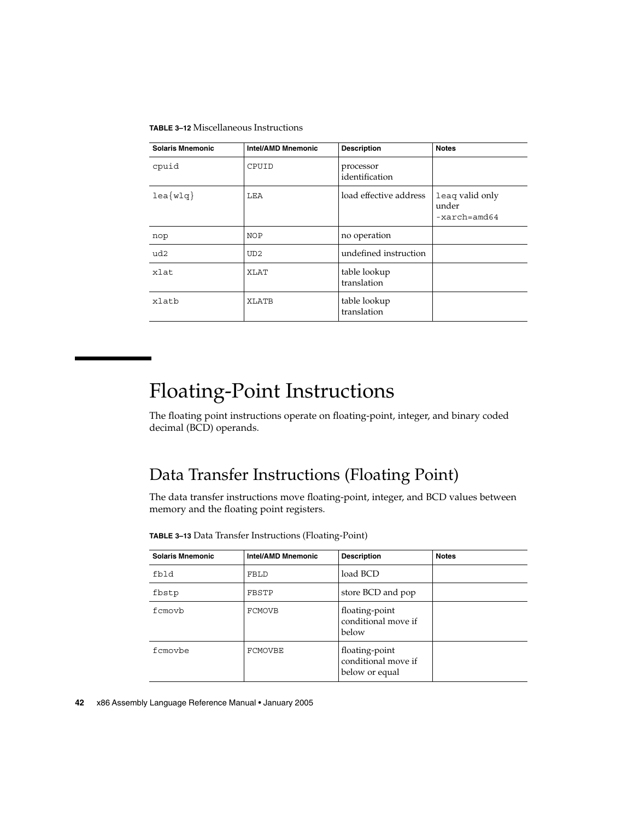**TABLE 3–12** Miscellaneous Instructions

| <b>Solaris Mnemonic</b>     | <b>Intel/AMD Mnemonic</b> | <b>Description</b>          | <b>Notes</b>                                        |
|-----------------------------|---------------------------|-----------------------------|-----------------------------------------------------|
| cpuid                       | CPUID                     | processor<br>identification |                                                     |
| $\text{lea}\{\text{w1q}\}\$ | LEA                       | load effective address      | leag valid only<br>under<br>$-xarch = \text{and}64$ |
| nop                         | <b>NOP</b>                | no operation                |                                                     |
| ud2                         | UD2                       | undefined instruction       |                                                     |
| xlat                        | XLAT                      | table lookup<br>translation |                                                     |
| xlatb                       | XLATB                     | table lookup<br>translation |                                                     |

# Floating-Point Instructions

The floating point instructions operate on floating-point, integer, and binary coded decimal (BCD) operands.

### Data Transfer Instructions (Floating Point)

The data transfer instructions move floating-point, integer, and BCD values between memory and the floating point registers.

| <b>Solaris Mnemonic</b> | <b>Intel/AMD Mnemonic</b> | <b>Description</b>                                      | <b>Notes</b> |
|-------------------------|---------------------------|---------------------------------------------------------|--------------|
| fbld                    | FBLD                      | load BCD                                                |              |
| fbstp                   | FBSTP                     | store BCD and pop                                       |              |
| fcmovb                  | <b>FCMOVB</b>             | floating-point<br>conditional move if<br>below          |              |
| fcmovbe                 | FCMOVBE                   | floating-point<br>conditional move if<br>below or equal |              |

**TABLE 3–13** Data Transfer Instructions (Floating-Point)

**42** x86 Assembly Language Reference Manual • January 2005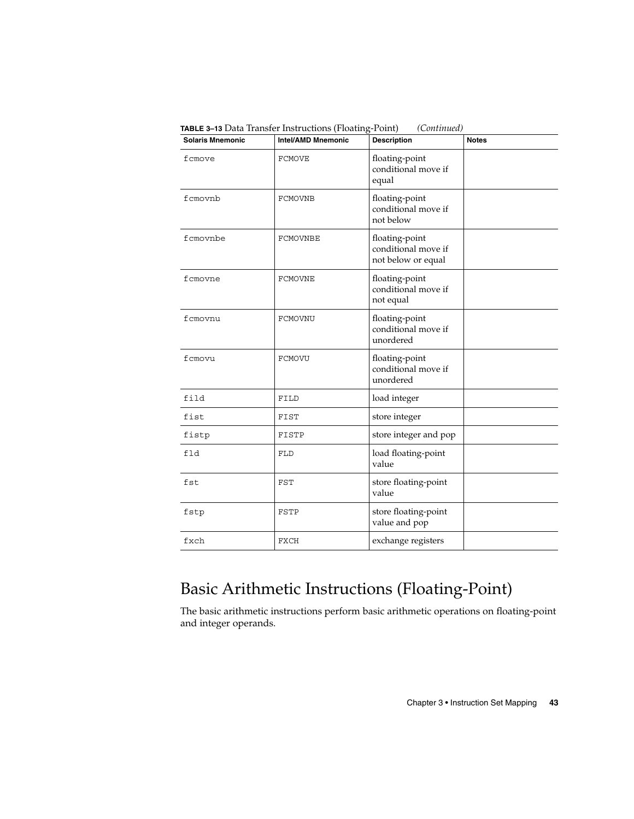| <b>Solaris Mnemonic</b> | Intel/AMD Mnemonic | <b>Description</b>                                          | <b>Notes</b> |
|-------------------------|--------------------|-------------------------------------------------------------|--------------|
| fcmove                  | <b>FCMOVE</b>      | floating-point<br>conditional move if<br>equal              |              |
| fcmovnb                 | <b>FCMOVNB</b>     | floating-point<br>conditional move if<br>not below          |              |
| fcmovnbe                | FCMOVNBE           | floating-point<br>conditional move if<br>not below or equal |              |
| fcmovne                 | FCMOVNE            | floating-point<br>conditional move if<br>not equal          |              |
| fcmovnu                 | FCMOVNU            | floating-point<br>conditional move if<br>unordered          |              |
| fcmovu                  | <b>FCMOVU</b>      | floating-point<br>conditional move if<br>unordered          |              |
| fild                    | FILD               | load integer                                                |              |
| fist                    | FIST               | store integer                                               |              |
| fistp                   | FISTP              | store integer and pop                                       |              |
| fld                     | <b>FLD</b>         | load floating-point<br>value                                |              |
| fst                     | FST                | store floating-point<br>value                               |              |
| fstp                    | FSTP               | store floating-point<br>value and pop                       |              |
| fxch                    | FXCH               | exchange registers                                          |              |

**TABLE 3–13** Data Transfer Instructions (Floating-Point) *(Continued)*

## Basic Arithmetic Instructions (Floating-Point)

The basic arithmetic instructions perform basic arithmetic operations on floating-point and integer operands.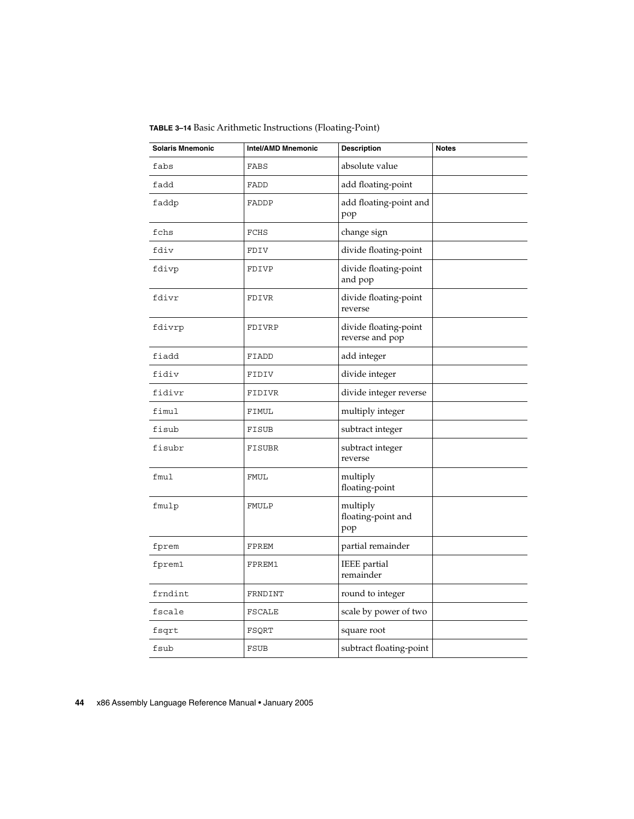| <b>Solaris Mnemonic</b> | <b>Intel/AMD Mnemonic</b> | <b>Description</b>                       | <b>Notes</b> |
|-------------------------|---------------------------|------------------------------------------|--------------|
| fabs                    | FABS                      | absolute value                           |              |
| fadd                    | FADD                      | add floating-point                       |              |
| faddp                   | FADDP                     | add floating-point and<br>pop            |              |
| fchs                    | FCHS                      | change sign                              |              |
| fdiv                    | FDIV                      | divide floating-point                    |              |
| fdivp                   | FDIVP                     | divide floating-point<br>and pop         |              |
| fdivr                   | FDIVR                     | divide floating-point<br>reverse         |              |
| fdivrp                  | FDIVRP                    | divide floating-point<br>reverse and pop |              |
| fiadd                   | FIADD                     | add integer                              |              |
| fidiv                   | FIDIV                     | divide integer                           |              |
| fidivr                  | FIDIVR                    | divide integer reverse                   |              |
| fimul                   | FIMUL                     | multiply integer                         |              |
| fisub                   | FISUB                     | subtract integer                         |              |
| fisubr                  | FISUBR                    | subtract integer<br>reverse              |              |
| fmul                    | <b>FMUL</b>               | multiply<br>floating-point               |              |
| fmulp                   | FMULP                     | multiply<br>floating-point and<br>pop    |              |
| fprem                   | FPREM                     | partial remainder                        |              |
| fprem1                  | FPREM1                    | <b>IEEE</b> partial<br>remainder         |              |
| frndint                 | FRNDINT                   | round to integer                         |              |
| fscale                  | <b>FSCALE</b>             | scale by power of two                    |              |
| fsqrt                   | FSQRT                     | square root                              |              |
| fsub                    | <b>FSUB</b>               | subtract floating-point                  |              |

**TABLE 3–14** Basic Arithmetic Instructions (Floating-Point)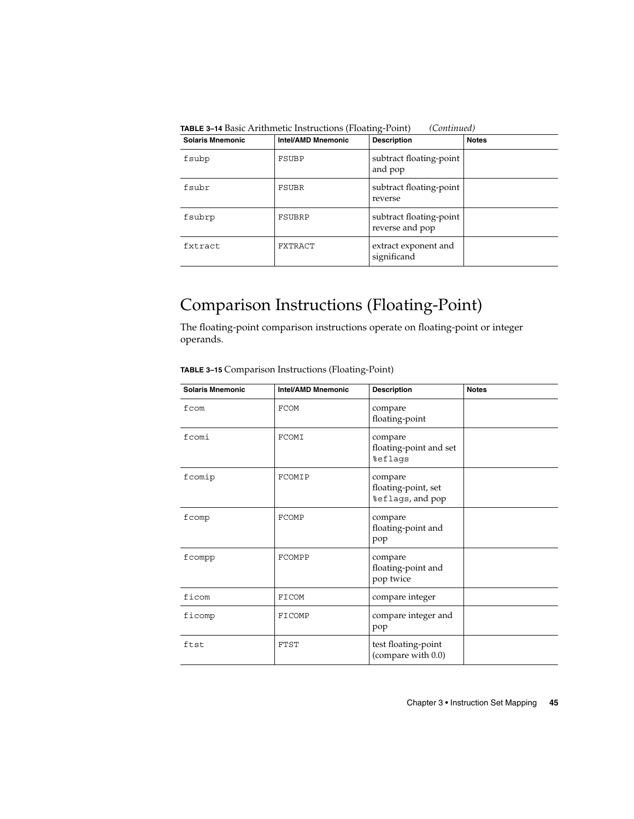| <b>Solaris Mnemonic</b> | <b>Intel/AMD Mnemonic</b> | <b>Description</b>                         | <b>Notes</b> |
|-------------------------|---------------------------|--------------------------------------------|--------------|
| fsubp                   | FSUBP                     | subtract floating-point<br>and pop         |              |
| fsubr                   | FSUBR                     | subtract floating-point<br>reverse         |              |
| fsubrp                  | FSUBRP                    | subtract floating-point<br>reverse and pop |              |
| fxtract                 | FXTRACT                   | extract exponent and<br>significand        |              |

**TABLE 3–14** Basic Arithmetic Instructions (Floating-Point) *(Continued)*

## Comparison Instructions (Floating-Point)

The floating-point comparison instructions operate on floating-point or integer operands.

| <b>Solaris Mnemonic</b> | <b>Intel/AMD Mnemonic</b> | <b>Description</b>                                 | <b>Notes</b> |
|-------------------------|---------------------------|----------------------------------------------------|--------------|
| fcom                    | <b>FCOM</b>               | compare<br>floating-point                          |              |
| fcomi                   | FCOMI                     | compare<br>floating-point and set<br>%eflags       |              |
| fcomip                  | <b>FCOMIP</b>             | compare<br>floating-point, set<br>%eflags, and pop |              |
| fcomp                   | FCOMP                     | compare<br>floating-point and<br>pop               |              |
| fcompp                  | FCOMPP                    | compare<br>floating-point and<br>pop twice         |              |
| ficom                   | FICOM                     | compare integer                                    |              |
| ficomp                  | FICOMP                    | compare integer and<br>pop                         |              |
| ftst                    | <b>FTST</b>               | test floating-point<br>(compare with 0.0)          |              |

**TABLE 3–15** Comparison Instructions (Floating-Point)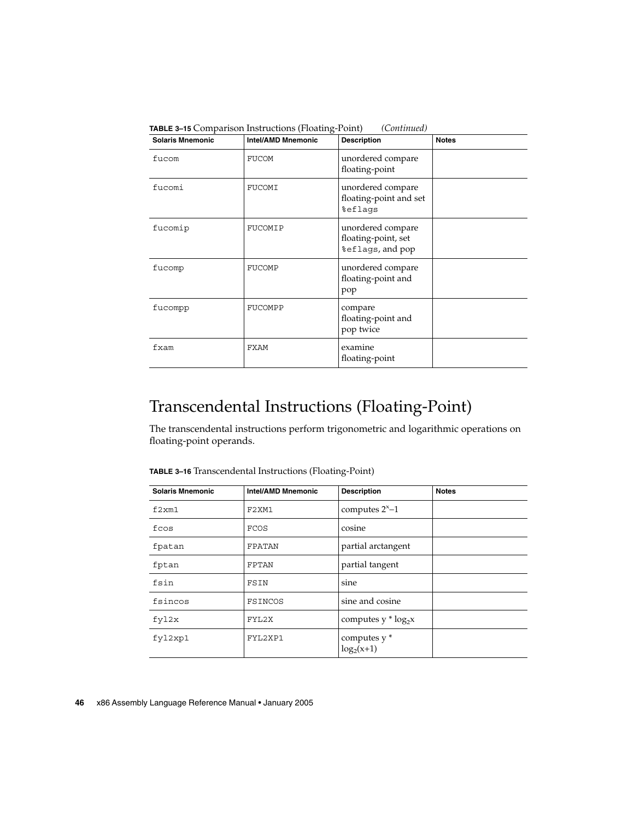| <b>Solaris Mnemonic</b> | <b>Intel/AMD Mnemonic</b> | <b>Description</b>                                           | <b>Notes</b> |
|-------------------------|---------------------------|--------------------------------------------------------------|--------------|
| fucom                   | <b>FUCOM</b>              | unordered compare<br>floating-point                          |              |
| fucomi                  | FUCOMI                    | unordered compare<br>floating-point and set<br>%eflags       |              |
| fucomip                 | FUCOMIP                   | unordered compare<br>floating-point, set<br>%eflags, and pop |              |
| fucomp                  | FUCOMP                    | unordered compare<br>floating-point and<br>pop               |              |
| fucompp                 | FUCOMPP                   | compare<br>floating-point and<br>pop twice                   |              |
| fxam                    | FXAM                      | examine<br>floating-point                                    |              |

**TABLE 3–15** Comparison Instructions (Floating-Point) *(Continued)*

### Transcendental Instructions (Floating-Point)

The transcendental instructions perform trigonometric and logarithmic operations on floating-point operands.

| <b>Solaris Mnemonic</b> | <b>Intel/AMD Mnemonic</b>      | <b>Description</b>            | <b>Notes</b> |
|-------------------------|--------------------------------|-------------------------------|--------------|
| f2xm1                   | F <sub>2</sub> XM <sub>1</sub> | computes $2^{x}-1$            |              |
| fcos                    | <b>FCOS</b>                    | cosine                        |              |
| fpatan                  | FPATAN                         | partial arctangent            |              |
| fptan                   | FPTAN                          | partial tangent               |              |
| fsin                    | FSIN                           | sine                          |              |
| fsincos                 | FSINCOS                        | sine and cosine               |              |
| fyl2x                   | FYL2X                          | computes $y * log_2 x$        |              |
| fyl2xp1                 | FYL2XP1                        | computes $y^*$<br>$log2(x+1)$ |              |

**TABLE 3–16** Transcendental Instructions (Floating-Point)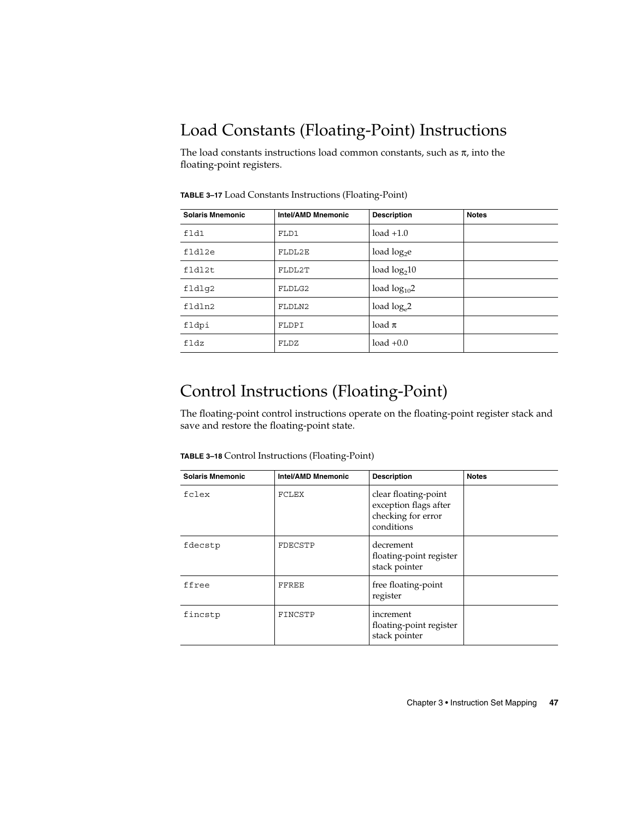## Load Constants (Floating-Point) Instructions

The load constants instructions load common constants, such as  $\pi$ , into the floating-point registers.

| <b>Solaris Mnemonic</b> | <b>Intel/AMD Mnemonic</b> | <b>Description</b> | <b>Notes</b> |
|-------------------------|---------------------------|--------------------|--------------|
| fld1                    | FLD1                      | $load +1.0$        |              |
| fldl2e                  | FLDL2E                    | load $log_2$ e     |              |
| fldl2t                  | FLDL2T                    | load $log210$      |              |
| fldlg2                  | FLDLG2                    | load $log_{10}2$   |              |
| fldln2                  | FLDLN2                    | load $log_e 2$     |              |
| fldpi                   | FLDPI                     | load $\pi$         |              |
| fldz                    | FLDZ                      | $load +0.0$        |              |

**TABLE 3–17** Load Constants Instructions (Floating-Point)

### Control Instructions (Floating-Point)

The floating-point control instructions operate on the floating-point register stack and save and restore the floating-point state.

**TABLE 3–18** Control Instructions (Floating-Point)

| <b>Solaris Mnemonic</b> | Intel/AMD Mnemonic | <b>Description</b>                                                                | <b>Notes</b> |
|-------------------------|--------------------|-----------------------------------------------------------------------------------|--------------|
| fclex                   | FCLEX              | clear floating-point<br>exception flags after<br>checking for error<br>conditions |              |
| fdecstp                 | FDECSTP            | decrement<br>floating-point register<br>stack pointer                             |              |
| ffree                   | FFREE              | free floating-point<br>register                                                   |              |
| fincstp                 | FINCSTP            | increment<br>floating-point register<br>stack pointer                             |              |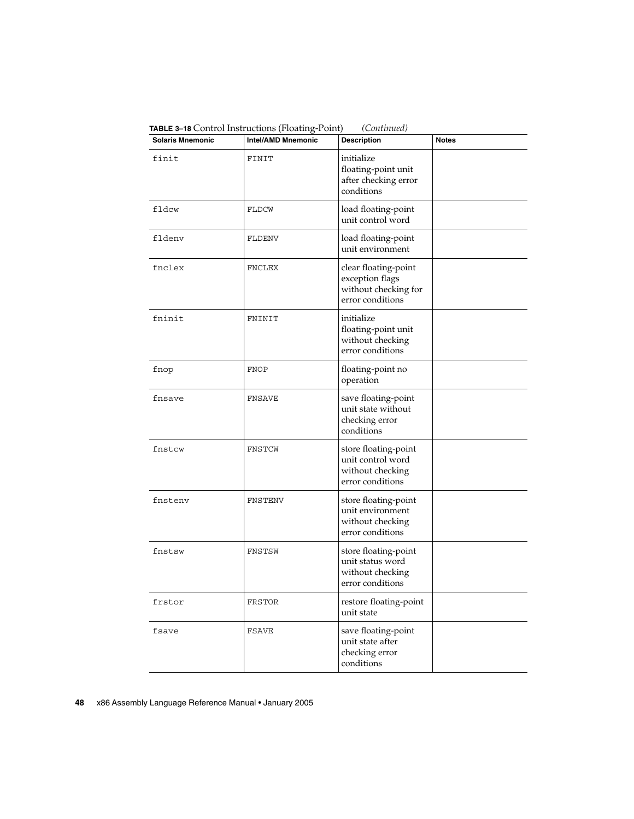| <b>Solaris Mnemonic</b> | $\mu$ . The counter monderly is the distribution of $\mu$ requires the count of<br><b>Intel/AMD Mnemonic</b> | $\sqrt{2}$<br><b>Description</b>                                                    | <b>Notes</b> |
|-------------------------|--------------------------------------------------------------------------------------------------------------|-------------------------------------------------------------------------------------|--------------|
| finit                   | FINIT                                                                                                        | initialize<br>floating-point unit<br>after checking error<br>conditions             |              |
| fldcw                   | FLDCW                                                                                                        | load floating-point<br>unit control word                                            |              |
| fldenv                  | FLDENV                                                                                                       | load floating-point<br>unit environment                                             |              |
| fnclex                  | FNCLEX                                                                                                       | clear floating-point<br>exception flags<br>without checking for<br>error conditions |              |
| fninit                  | FNINIT                                                                                                       | initialize<br>floating-point unit<br>without checking<br>error conditions           |              |
| fnop                    | <b>FNOP</b>                                                                                                  | floating-point no<br>operation                                                      |              |
| fnsave                  | FNSAVE                                                                                                       | save floating-point<br>unit state without<br>checking error<br>conditions           |              |
| fnstcw                  | FNSTCW                                                                                                       | store floating-point<br>unit control word<br>without checking<br>error conditions   |              |
| fnstenv                 | <b>FNSTENV</b>                                                                                               | store floating-point<br>unit environment<br>without checking<br>error conditions    |              |
| fnstsw                  | FNSTSW                                                                                                       | store floating-point<br>unit status word<br>without checking<br>error conditions    |              |
| frstor                  | FRSTOR                                                                                                       | restore floating-point<br>unit state                                                |              |
| fsave                   | <b>FSAVE</b>                                                                                                 | save floating-point<br>unit state after<br>checking error<br>conditions             |              |

**TABLE 3–18** Control Instructions (Floating-Point) *(Continued)*

**<sup>48</sup>** x86 Assembly Language Reference Manual • January 2005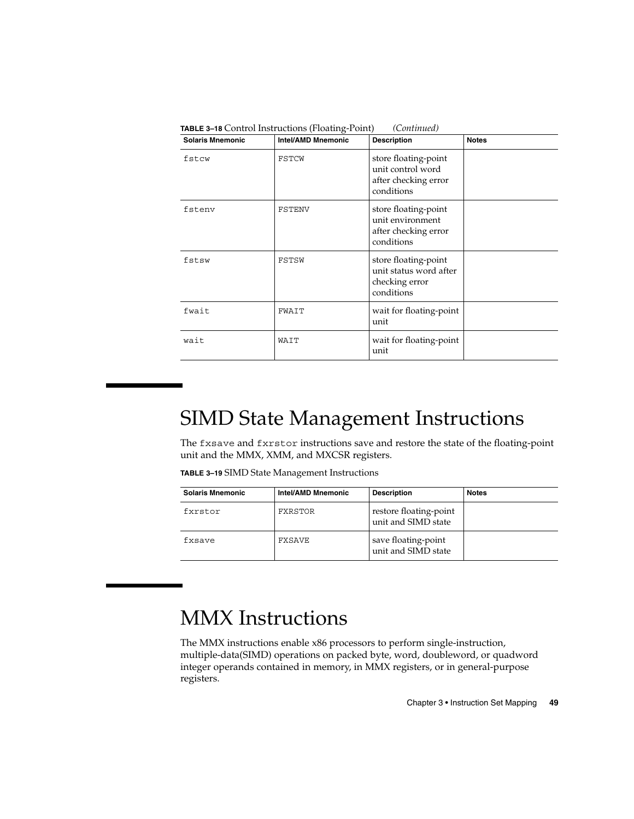| <b>Solaris Mnemonic</b> | <b>Intel/AMD Mnemonic</b> | <b>Description</b>                                                              | <b>Notes</b> |
|-------------------------|---------------------------|---------------------------------------------------------------------------------|--------------|
| fstcw                   | FSTCW                     | store floating-point<br>unit control word<br>after checking error<br>conditions |              |
| fstenv                  | FSTENV                    | store floating-point<br>unit environment<br>after checking error<br>conditions  |              |
| fstsw                   | FSTSW                     | store floating-point<br>unit status word after<br>checking error<br>conditions  |              |
| fwait                   | FWAIT                     | wait for floating-point<br>unit                                                 |              |
| wait                    | WAIT                      | wait for floating-point<br>unit                                                 |              |

**TABLE 3–18** Control Instructions (Floating-Point) *(Continued)*

# SIMD State Management Instructions

The fxsave and fxrstor instructions save and restore the state of the floating-point unit and the MMX, XMM, and MXCSR registers.

**TABLE 3–19** SIMD State Management Instructions

| <b>Solaris Mnemonic</b> | Intel/AMD Mnemonic | <b>Description</b>                            | <b>Notes</b> |
|-------------------------|--------------------|-----------------------------------------------|--------------|
| fxrstor                 | FXRSTOR            | restore floating-point<br>unit and SIMD state |              |
| fxsave                  | FXSAVE             | save floating-point<br>unit and SIMD state    |              |

# MMX Instructions

The MMX instructions enable x86 processors to perform single-instruction, multiple-data(SIMD) operations on packed byte, word, doubleword, or quadword integer operands contained in memory, in MMX registers, or in general-purpose registers.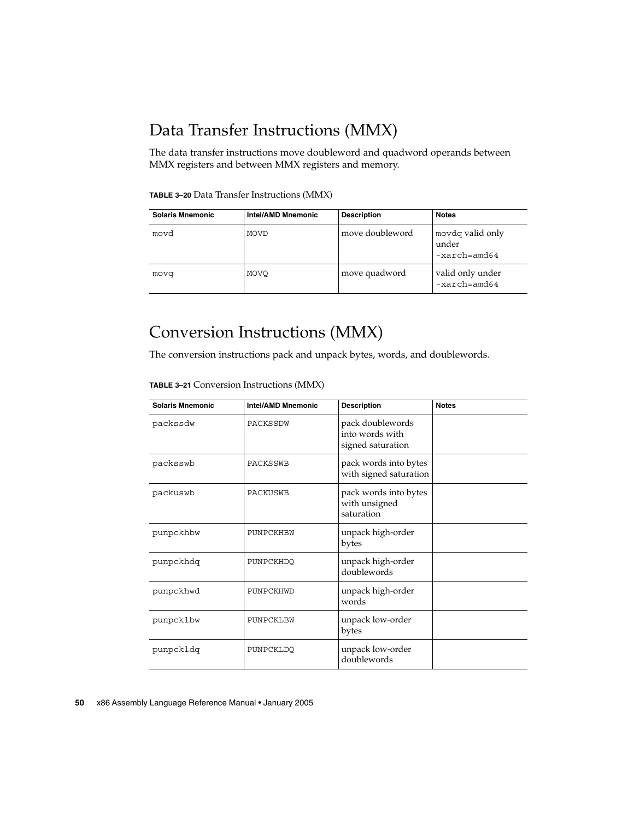### Data Transfer Instructions (MMX)

The data transfer instructions move doubleword and quadword operands between MMX registers and between MMX registers and memory.

**TABLE 3–20** Data Transfer Instructions (MMX)

| <b>Solaris Mnemonic</b> | <b>Intel/AMD Mnemonic</b> | <b>Description</b> | <b>Notes</b>                                         |
|-------------------------|---------------------------|--------------------|------------------------------------------------------|
| movd                    | <b>MOVD</b>               | move doubleword    | movdq valid only<br>under<br>$-xarch = \text{and}64$ |
| movq                    | MOVO                      | move quadword      | valid only under<br>$-xarch = \text{and}64$          |

### Conversion Instructions (MMX)

The conversion instructions pack and unpack bytes, words, and doublewords.

**TABLE 3–21** Conversion Instructions (MMX)

| <b>Solaris Mnemonic</b> | <b>Intel/AMD Mnemonic</b> | <b>Description</b>                                       | <b>Notes</b> |
|-------------------------|---------------------------|----------------------------------------------------------|--------------|
| packssdw                | PACKSSDW                  | pack doublewords<br>into words with<br>signed saturation |              |
| packsswb                | PACKSSWB                  | pack words into bytes<br>with signed saturation          |              |
| packuswb                | PACKUSWB                  | pack words into bytes<br>with unsigned<br>saturation     |              |
| punpckhbw               | PUNPCKHBW                 | unpack high-order<br>bytes                               |              |
| punpckhdq               | PUNPCKHDO                 | unpack high-order<br>doublewords                         |              |
| punpckhwd               | PUNPCKHWD                 | unpack high-order<br>words                               |              |
| punpcklbw               | PUNPCKLBW                 | unpack low-order<br>bytes                                |              |
| punpckldg               | PUNPCKLDO                 | unpack low-order<br>doublewords                          |              |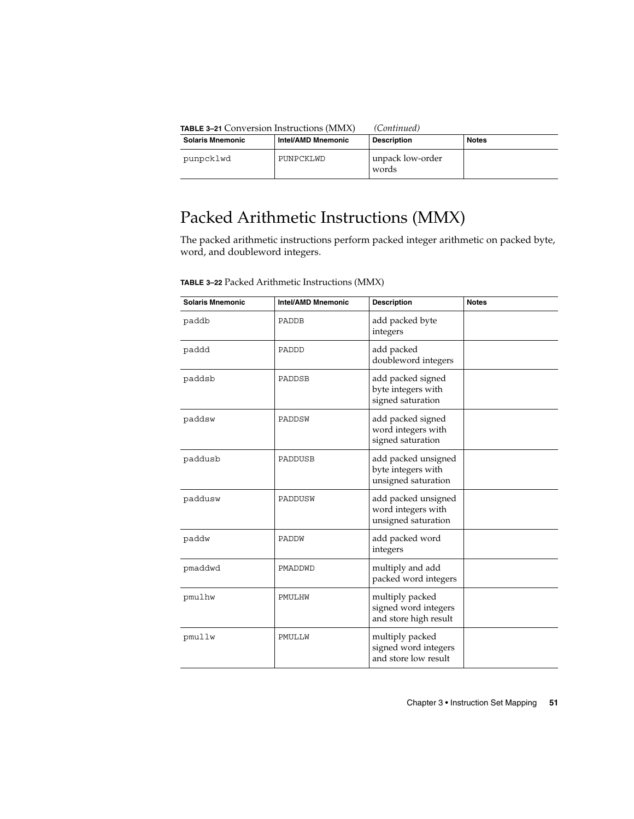| <b>TABLE 3-21 Conversion Instructions (MMX)</b> |                    | (Continued)               |              |
|-------------------------------------------------|--------------------|---------------------------|--------------|
| <b>Solaris Mnemonic</b>                         | Intel/AMD Mnemonic | <b>Description</b>        | <b>Notes</b> |
| punpcklwd                                       | PUNPCKLWD          | unpack low-order<br>words |              |

## Packed Arithmetic Instructions (MMX)

The packed arithmetic instructions perform packed integer arithmetic on packed byte, word, and doubleword integers.

| <b>Solaris Mnemonic</b> | <b>Intel/AMD Mnemonic</b> | <b>Description</b>                                               | <b>Notes</b> |
|-------------------------|---------------------------|------------------------------------------------------------------|--------------|
| paddb                   | PADDB                     | add packed byte<br>integers                                      |              |
| paddd                   | PADDD                     | add packed<br>doubleword integers                                |              |
| paddsb                  | PADDSB                    | add packed signed<br>byte integers with<br>signed saturation     |              |
| paddsw                  | PADDSW                    | add packed signed<br>word integers with<br>signed saturation     |              |
| paddusb                 | PADDUSB                   | add packed unsigned<br>byte integers with<br>unsigned saturation |              |
| paddusw                 | PADDUSW                   | add packed unsigned<br>word integers with<br>unsigned saturation |              |
| paddw                   | PADDW                     | add packed word<br>integers                                      |              |
| pmaddwd                 | PMADDWD                   | multiply and add<br>packed word integers                         |              |
| pmulhw                  | PMULHW                    | multiply packed<br>signed word integers<br>and store high result |              |
| pmullw                  | PMULLW                    | multiply packed<br>signed word integers<br>and store low result  |              |

**TABLE 3–22** Packed Arithmetic Instructions (MMX)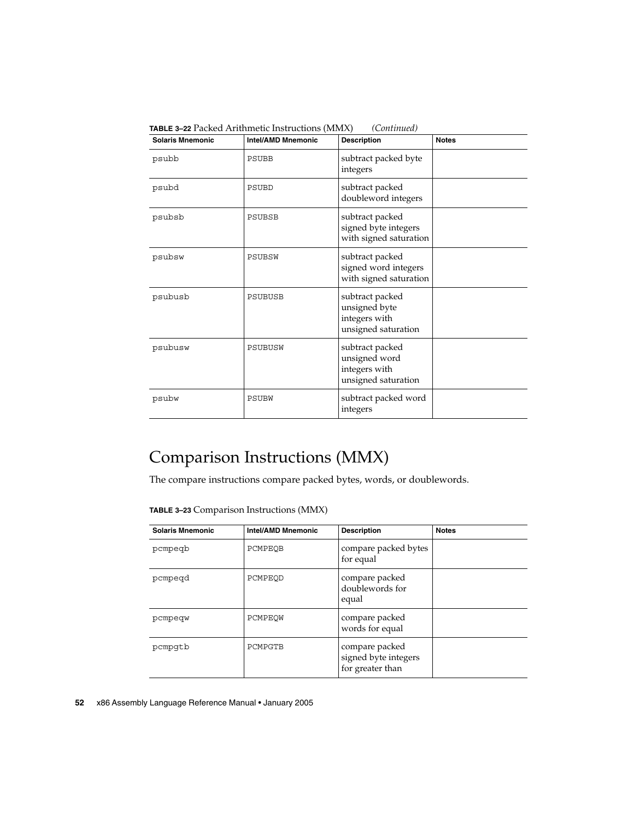| <b>Solaris Mnemonic</b> | $\blacksquare$ recise i magnetic motivenono (ministr<br><b>Intel/AMD Mnemonic</b> | <b>Description</b>                                                       | <b>Notes</b> |
|-------------------------|-----------------------------------------------------------------------------------|--------------------------------------------------------------------------|--------------|
| psubb                   | PSUBB                                                                             | subtract packed byte<br>integers                                         |              |
| psubd                   | <b>PSUBD</b>                                                                      | subtract packed<br>doubleword integers                                   |              |
| psubsb                  | PSUBSB                                                                            | subtract packed<br>signed byte integers<br>with signed saturation        |              |
| psubsw                  | PSUBSW                                                                            | subtract packed<br>signed word integers<br>with signed saturation        |              |
| psubusb                 | <b>PSUBUSB</b>                                                                    | subtract packed<br>unsigned byte<br>integers with<br>unsigned saturation |              |
| psubusw                 | PSUBUSW                                                                           | subtract packed<br>unsigned word<br>integers with<br>unsigned saturation |              |
| psubw                   | PSUBW                                                                             | subtract packed word<br>integers                                         |              |

**TABLE 3–22** Packed Arithmetic Instructions (MMX) *(Continued)*

## Comparison Instructions (MMX)

The compare instructions compare packed bytes, words, or doublewords.

**TABLE 3–23** Comparison Instructions (MMX)

| <b>Solaris Mnemonic</b> | <b>Intel/AMD Mnemonic</b> | <b>Description</b>                                         | <b>Notes</b> |
|-------------------------|---------------------------|------------------------------------------------------------|--------------|
| pcmpegb                 | PCMPEOB                   | compare packed bytes<br>for equal                          |              |
| pcmpegd                 | PCMPEOD                   | compare packed<br>doublewords for<br>equal                 |              |
| pcmpeqw                 | PCMPEOW                   | compare packed<br>words for equal                          |              |
| pcmpqtb                 | PCMPGTB                   | compare packed<br>signed byte integers<br>for greater than |              |

**52** x86 Assembly Language Reference Manual • January 2005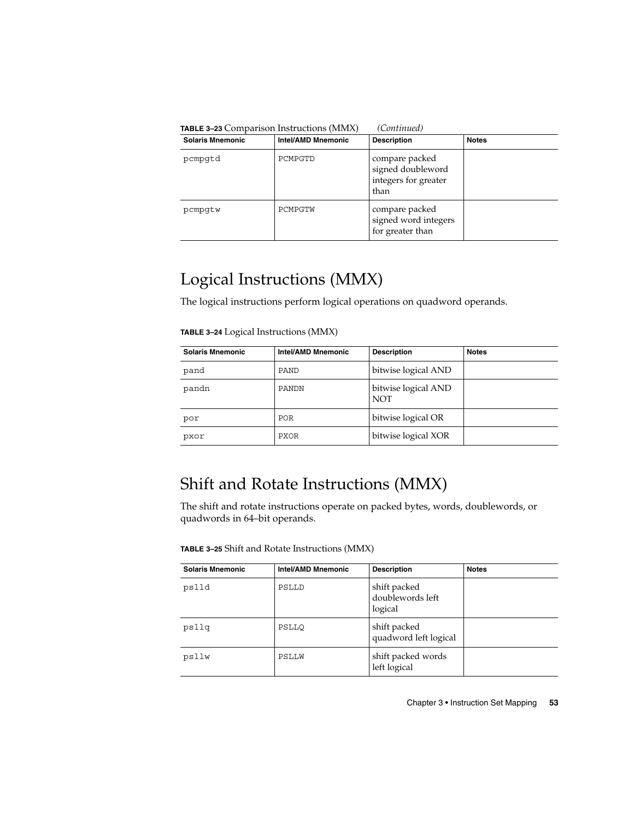| (Continued)<br><b>TABLE 3-23</b> Comparison Instructions (MMX) |                           |                                                                     |              |  |
|----------------------------------------------------------------|---------------------------|---------------------------------------------------------------------|--------------|--|
| <b>Solaris Mnemonic</b>                                        | <b>Intel/AMD Mnemonic</b> | <b>Description</b>                                                  | <b>Notes</b> |  |
| pcmpqtd                                                        | PCMPGTD                   | compare packed<br>signed doubleword<br>integers for greater<br>than |              |  |
| pcmpqtw                                                        | PCMPGTW                   | compare packed<br>signed word integers<br>for greater than          |              |  |

### Logical Instructions (MMX)

The logical instructions perform logical operations on quadword operands.

**TABLE 3–24** Logical Instructions (MMX)

| <b>Solaris Mnemonic</b> | <b>Intel/AMD Mnemonic</b> | <b>Description</b>                | <b>Notes</b> |
|-------------------------|---------------------------|-----------------------------------|--------------|
| pand                    | PAND                      | bitwise logical AND               |              |
| pandn                   | PANDN                     | bitwise logical AND<br><b>NOT</b> |              |
| por                     | <b>POR</b>                | bitwise logical OR                |              |
| pxor                    | PXOR                      | bitwise logical XOR               |              |

### Shift and Rotate Instructions (MMX)

The shift and rotate instructions operate on packed bytes, words, doublewords, or quadwords in 64–bit operands.

**TABLE 3–25** Shift and Rotate Instructions (MMX)

| <b>Solaris Mnemonic</b> | Intel/AMD Mnemonic | <b>Description</b>                          | <b>Notes</b> |
|-------------------------|--------------------|---------------------------------------------|--------------|
| pslld                   | PSLLD              | shift packed<br>doublewords left<br>logical |              |
| psllq                   | PSLLO              | shift packed<br>quadword left logical       |              |
| psllw                   | PSLLW              | shift packed words<br>left logical          |              |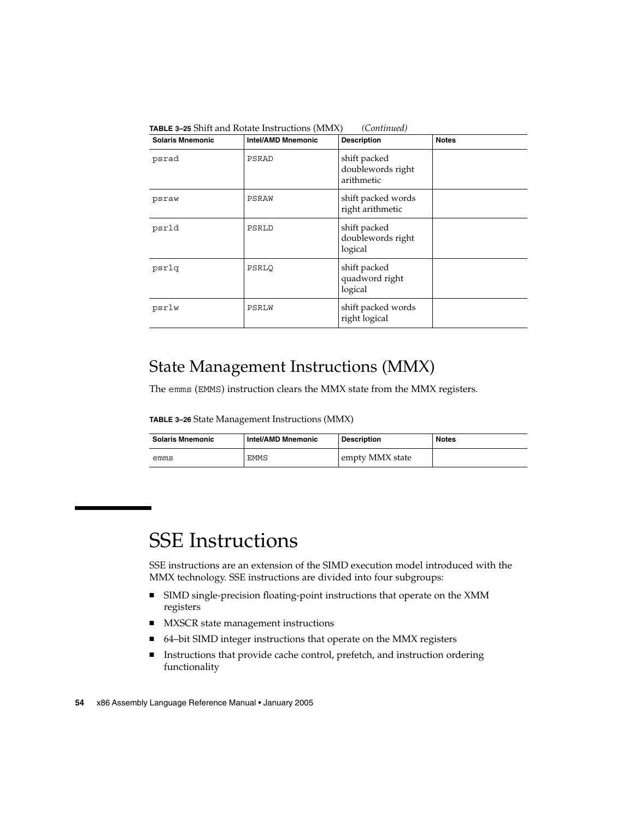| <b>Solaris Mnemonic</b> | <b>Intel/AMD Mnemonic</b> | <b>Description</b>                              | <b>Notes</b> |
|-------------------------|---------------------------|-------------------------------------------------|--------------|
| psrad                   | PSRAD                     | shift packed<br>doublewords right<br>arithmetic |              |
| psraw                   | PSRAW                     | shift packed words<br>right arithmetic          |              |
| psrld                   | PSRLD                     | shift packed<br>doublewords right<br>logical    |              |
| psrlq                   | PSRLO                     | shift packed<br>quadword right<br>logical       |              |
| psrlw                   | PSRLW                     | shift packed words<br>right logical             |              |

**TABLE 3–25** Shift and Rotate Instructions (MMX) *(Continued)*

### State Management Instructions (MMX)

The emms (EMMS) instruction clears the MMX state from the MMX registers.

**TABLE 3–26** State Management Instructions (MMX)

| <b>Solaris Mnemonic</b> | Intel/AMD Mnemonic | Description     | <b>Notes</b> |
|-------------------------|--------------------|-----------------|--------------|
| emms                    | EMMS               | empty MMX state |              |

# SSE Instructions

SSE instructions are an extension of the SIMD execution model introduced with the MMX technology. SSE instructions are divided into four subgroups:

- SIMD single-precision floating-point instructions that operate on the XMM registers
- MXSCR state management instructions
- 64–bit SIMD integer instructions that operate on the MMX registers
- Instructions that provide cache control, prefetch, and instruction ordering functionality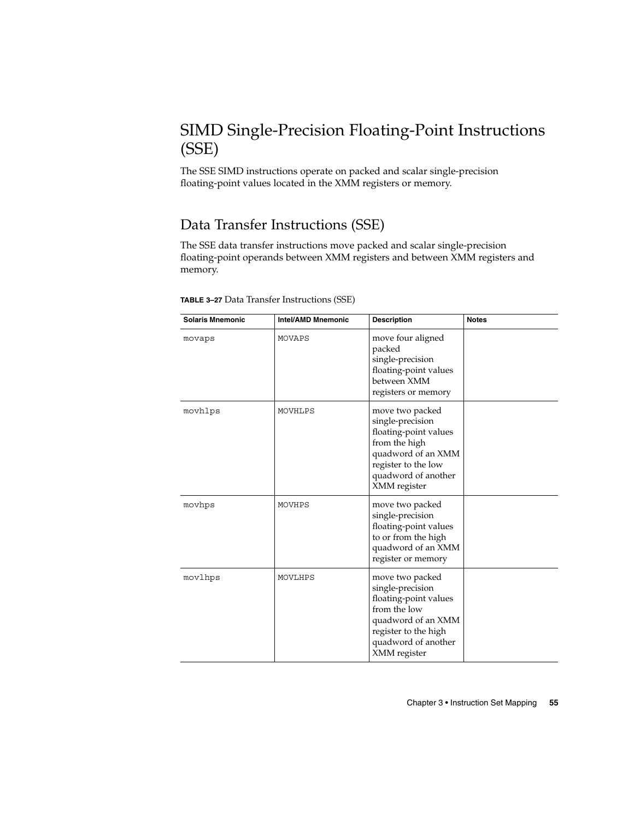### SIMD Single-Precision Floating-Point Instructions (SSE)

The SSE SIMD instructions operate on packed and scalar single-precision floating-point values located in the XMM registers or memory.

#### Data Transfer Instructions (SSE)

The SSE data transfer instructions move packed and scalar single-precision floating-point operands between XMM registers and between XMM registers and memory.

| <b>Solaris Mnemonic</b> | <b>Intel/AMD Mnemonic</b> | <b>Description</b>                                                                                                                                                | <b>Notes</b> |
|-------------------------|---------------------------|-------------------------------------------------------------------------------------------------------------------------------------------------------------------|--------------|
| movaps                  | MOVAPS                    | move four aligned<br>packed<br>single-precision<br>floating-point values<br>between XMM<br>registers or memory                                                    |              |
| movhlps                 | MOVHLPS                   | move two packed<br>single-precision<br>floating-point values<br>from the high<br>quadword of an XMM<br>register to the low<br>quadword of another<br>XMM register |              |
| movhps                  | MOVHPS                    | move two packed<br>single-precision<br>floating-point values<br>to or from the high<br>quadword of an XMM<br>register or memory                                   |              |
| movlhps                 | MOVLHPS                   | move two packed<br>single-precision<br>floating-point values<br>from the low<br>quadword of an XMM<br>register to the high<br>quadword of another<br>XMM register |              |

**TABLE 3–27** Data Transfer Instructions (SSE)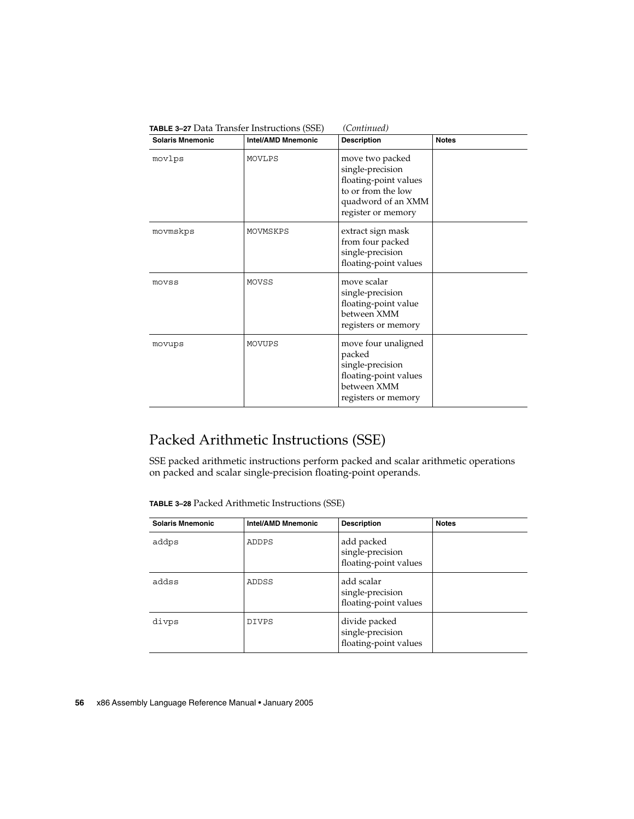| <b>Solaris Mnemonic</b> | <b>Intel/AMD Mnemonic</b> | <b>Description</b>                                                                                                             | <b>Notes</b> |
|-------------------------|---------------------------|--------------------------------------------------------------------------------------------------------------------------------|--------------|
| movlps                  | MOVLPS                    | move two packed<br>single-precision<br>floating-point values<br>to or from the low<br>quadword of an XMM<br>register or memory |              |
| movmskps                | MOVMSKPS                  | extract sign mask<br>from four packed<br>single-precision<br>floating-point values                                             |              |
| movss                   | MOVSS                     | move scalar<br>single-precision<br>floating-point value<br>between XMM<br>registers or memory                                  |              |
| movups                  | MOVUPS                    | move four unaligned<br>packed<br>single-precision<br>floating-point values<br>between XMM<br>registers or memory               |              |

# Packed Arithmetic Instructions (SSE)

SSE packed arithmetic instructions perform packed and scalar arithmetic operations on packed and scalar single-precision floating-point operands.

**TABLE 3–28** Packed Arithmetic Instructions (SSE)

| <b>Solaris Mnemonic</b> | <b>Intel/AMD Mnemonic</b> | <b>Description</b>                                         | <b>Notes</b> |
|-------------------------|---------------------------|------------------------------------------------------------|--------------|
| addps                   | ADDPS                     | add packed<br>single-precision<br>floating-point values    |              |
| addss                   | ADDSS                     | add scalar<br>single-precision<br>floating-point values    |              |
| divps                   | <b>DIVPS</b>              | divide packed<br>single-precision<br>floating-point values |              |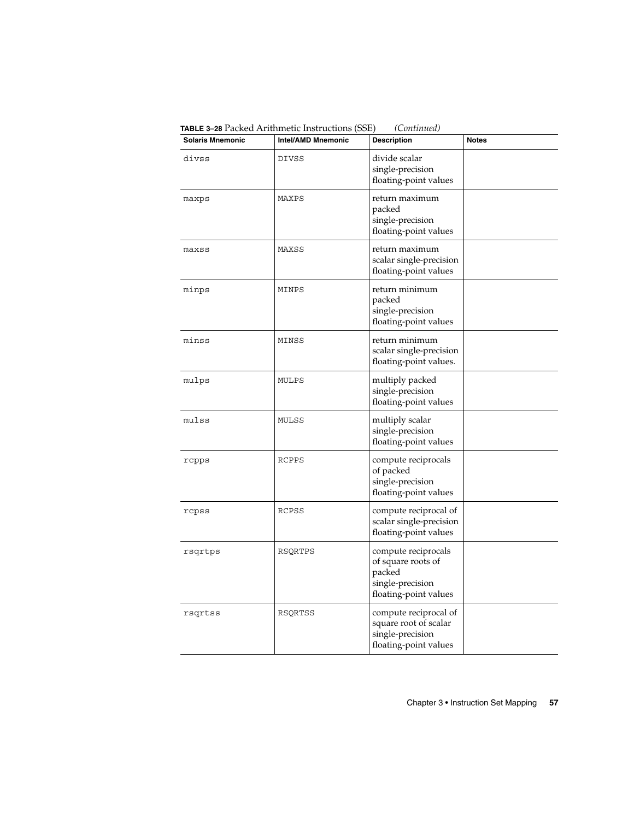**Solaris Mnemonic Intel/AMD Mnemonic Description Notes** divss DIVSS divide scalar single-precision floating-point values maxps MAXPS return maximum packed single-precision floating-point values maxss MAXSS return maximum scalar single-precision floating-point values minps MINPS return minimum packed single-precision floating-point values minss MINSS return minimum scalar single-precision floating-point values. mulps MULPS multiply packed single-precision floating-point values mulss MULSS multiply scalar single-precision floating-point values rcpps RCPPS compute reciprocals of packed single-precision floating-point values rcpss RCPSS compute reciprocal of scalar single-precision floating-point values rsqrtps | RSQRTPS | compute reciprocals of square roots of packed single-precision floating-point values rsqrtss RSQRTSS compute reciprocal of square root of scalar single-precision floating-point values

**TABLE 3–28** Packed Arithmetic Instructions (SSE) *(Continued)*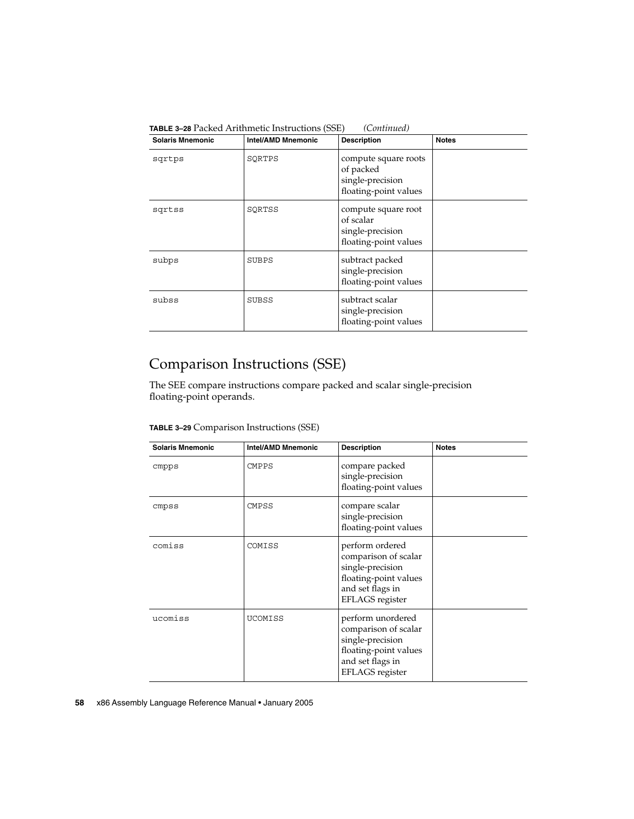| <b>Solaris Mnemonic</b> | <b>Intel/AMD Mnemonic</b> | <b>Description</b>                                                             | <b>Notes</b> |
|-------------------------|---------------------------|--------------------------------------------------------------------------------|--------------|
| sqrtps                  | SQRTPS                    | compute square roots<br>of packed<br>single-precision<br>floating-point values |              |
| sqrtss                  | SORTSS                    | compute square root<br>of scalar<br>single-precision<br>floating-point values  |              |
| subps                   | SUBPS                     | subtract packed<br>single-precision<br>floating-point values                   |              |
| subss                   | SUBSS                     | subtract scalar<br>single-precision<br>floating-point values                   |              |

**TABLE 3–28** Packed Arithmetic Instructions (SSE) *(Continued)*

### Comparison Instructions (SSE)

The SEE compare instructions compare packed and scalar single-precision floating-point operands.

|  | TABLE 3-29 Comparison Instructions (SSE) |  |  |
|--|------------------------------------------|--|--|
|--|------------------------------------------|--|--|

| <b>Solaris Mnemonic</b> | <b>Intel/AMD Mnemonic</b> | <b>Description</b>                                                                                                                   | <b>Notes</b> |
|-------------------------|---------------------------|--------------------------------------------------------------------------------------------------------------------------------------|--------------|
| cmpps                   | <b>CMPPS</b>              | compare packed<br>single-precision<br>floating-point values                                                                          |              |
| cmpss                   | <b>CMPSS</b>              | compare scalar<br>single-precision<br>floating-point values                                                                          |              |
| comiss                  | COMISS                    | perform ordered<br>comparison of scalar<br>single-precision<br>floating-point values<br>and set flags in<br><b>EFLAGS</b> register   |              |
| ucomiss                 | <b>UCOMISS</b>            | perform unordered<br>comparison of scalar<br>single-precision<br>floating-point values<br>and set flags in<br><b>EFLAGS</b> register |              |

#### **58** x86 Assembly Language Reference Manual • January 2005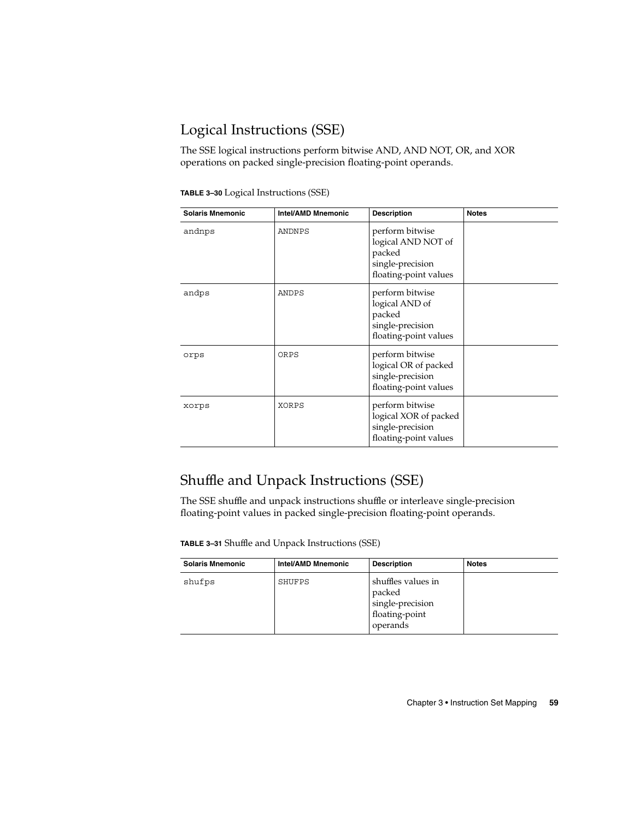### Logical Instructions (SSE)

The SSE logical instructions perform bitwise AND, AND NOT, OR, and XOR operations on packed single-precision floating-point operands.

| TABLE 3-30 Logical Instructions (SSE) |  |  |
|---------------------------------------|--|--|
|---------------------------------------|--|--|

| <b>Solaris Mnemonic</b> | Intel/AMD Mnemonic | <b>Description</b>                                                                           | <b>Notes</b> |
|-------------------------|--------------------|----------------------------------------------------------------------------------------------|--------------|
| andnps                  | ANDNPS             | perform bitwise<br>logical AND NOT of<br>packed<br>single-precision<br>floating-point values |              |
| andps                   | ANDPS              | perform bitwise<br>logical AND of<br>packed<br>single-precision<br>floating-point values     |              |
| orps                    | ORPS               | perform bitwise<br>logical OR of packed<br>single-precision<br>floating-point values         |              |
| xorps                   | XORPS              | perform bitwise<br>logical XOR of packed<br>single-precision<br>floating-point values        |              |

### Shuffle and Unpack Instructions (SSE)

The SSE shuffle and unpack instructions shuffle or interleave single-precision floating-point values in packed single-precision floating-point operands.

**TABLE 3–31** Shuffle and Unpack Instructions (SSE)

| <b>Solaris Mnemonic</b> | Intel/AMD Mnemonic | <b>Description</b>                                                             | <b>Notes</b> |
|-------------------------|--------------------|--------------------------------------------------------------------------------|--------------|
| shufps                  | SHUFPS             | shuffles values in<br>packed<br>single-precision<br>floating-point<br>operands |              |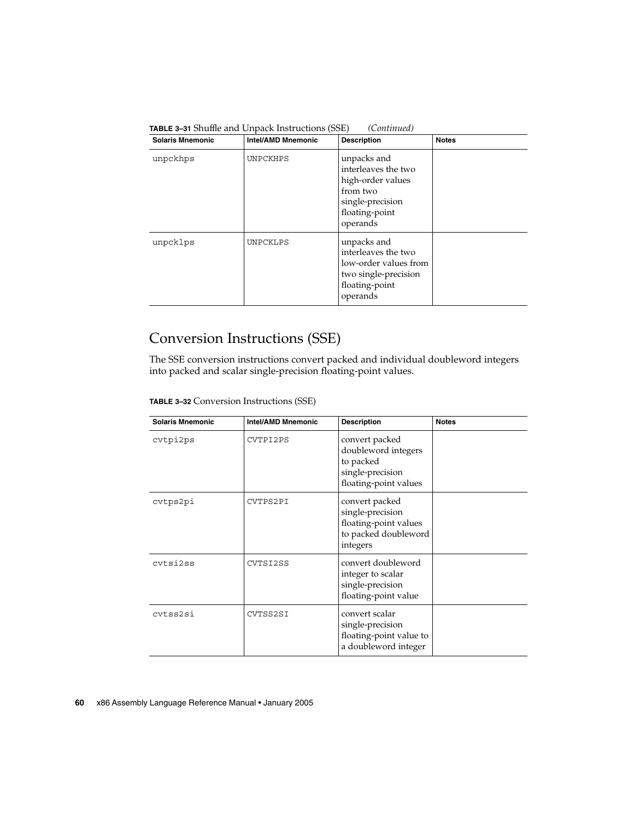| <b>Solaris Mnemonic</b> | <b>Intel/AMD Mnemonic</b> | <b>Description</b>                                                                                                    | <b>Notes</b> |
|-------------------------|---------------------------|-----------------------------------------------------------------------------------------------------------------------|--------------|
| unpckhps                | UNPCKHPS                  | unpacks and<br>interleaves the two<br>high-order values<br>from two<br>single-precision<br>floating-point<br>operands |              |
| unpcklps                | UNPCKLPS                  | unpacks and<br>interleaves the two<br>low-order values from<br>two single-precision<br>floating-point<br>operands     |              |

**TABLE 3–31** Shuffle and Unpack Instructions (SSE) *(Continued)*

#### Conversion Instructions (SSE)

The SSE conversion instructions convert packed and individual doubleword integers into packed and scalar single-precision floating-point values.

**TABLE 3–32** Conversion Instructions (SSE)

| <b>Solaris Mnemonic</b> | <b>Intel/AMD Mnemonic</b> | <b>Description</b>                                                                              | <b>Notes</b> |
|-------------------------|---------------------------|-------------------------------------------------------------------------------------------------|--------------|
| cvtpi2ps                | CVTPI2PS                  | convert packed<br>doubleword integers<br>to packed<br>single-precision<br>floating-point values |              |
| cvtps2pi                | CVTPS2PI                  | convert packed<br>single-precision<br>floating-point values<br>to packed doubleword<br>integers |              |
| cytsi2ss                | CVTSI2SS                  | convert doubleword<br>integer to scalar<br>single-precision<br>floating-point value             |              |
| cytss2si                | CVTSS2SI                  | convert scalar<br>single-precision<br>floating-point value to<br>a doubleword integer           |              |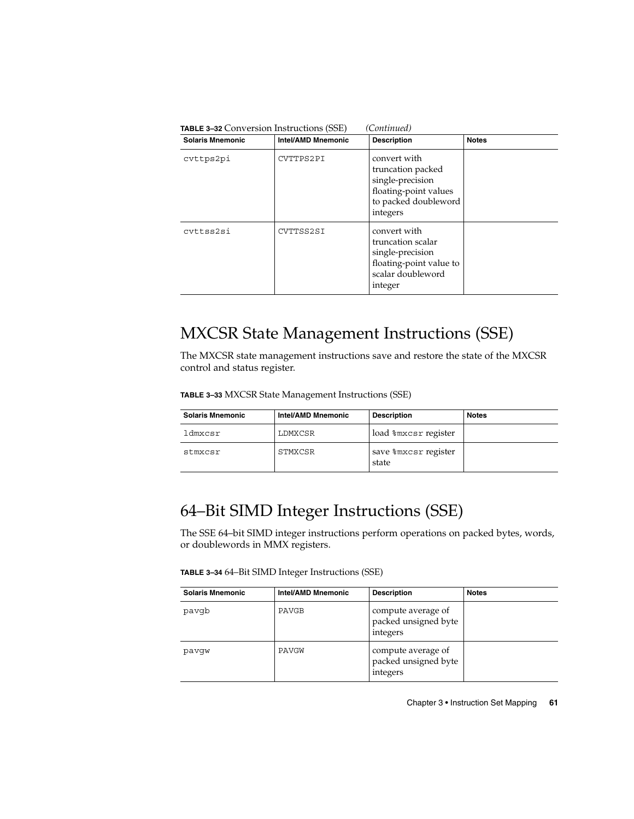| (Continued)<br><b>TABLE 3-32 Conversion Instructions (SSE)</b> |                           |                                                                                                                    |              |  |
|----------------------------------------------------------------|---------------------------|--------------------------------------------------------------------------------------------------------------------|--------------|--|
| <b>Solaris Mnemonic</b>                                        | <b>Intel/AMD Mnemonic</b> | <b>Description</b>                                                                                                 | <b>Notes</b> |  |
| cvttps2pi                                                      | CVTTPS2PI                 | convert with<br>truncation packed<br>single-precision<br>floating-point values<br>to packed doubleword<br>integers |              |  |
| cyttss2si                                                      | CVTTSS2SI                 | convert with<br>truncation scalar<br>single-precision<br>floating-point value to<br>scalar doubleword<br>integer   |              |  |

### MXCSR State Management Instructions (SSE)

The MXCSR state management instructions save and restore the state of the MXCSR control and status register.

**TABLE 3–33** MXCSR State Management Instructions (SSE)

| <b>Solaris Mnemonic</b> | Intel/AMD Mnemonic | <b>Description</b>            | <b>Notes</b> |
|-------------------------|--------------------|-------------------------------|--------------|
| ldmxcsr                 | LDMXCSR            | load %mxcsr register          |              |
| stmxcsr                 | STMXCSR            | save %mxcsr register<br>state |              |

### 64–Bit SIMD Integer Instructions (SSE)

The SSE 64–bit SIMD integer instructions perform operations on packed bytes, words, or doublewords in MMX registers.

**TABLE 3–34** 64–Bit SIMD Integer Instructions (SSE)

| <b>Solaris Mnemonic</b> | <b>Intel/AMD Mnemonic</b> | <b>Description</b>                                     | <b>Notes</b> |
|-------------------------|---------------------------|--------------------------------------------------------|--------------|
| pavqb                   | PAVGB                     | compute average of<br>packed unsigned byte<br>integers |              |
| pavqw                   | PAVGW                     | compute average of<br>packed unsigned byte<br>integers |              |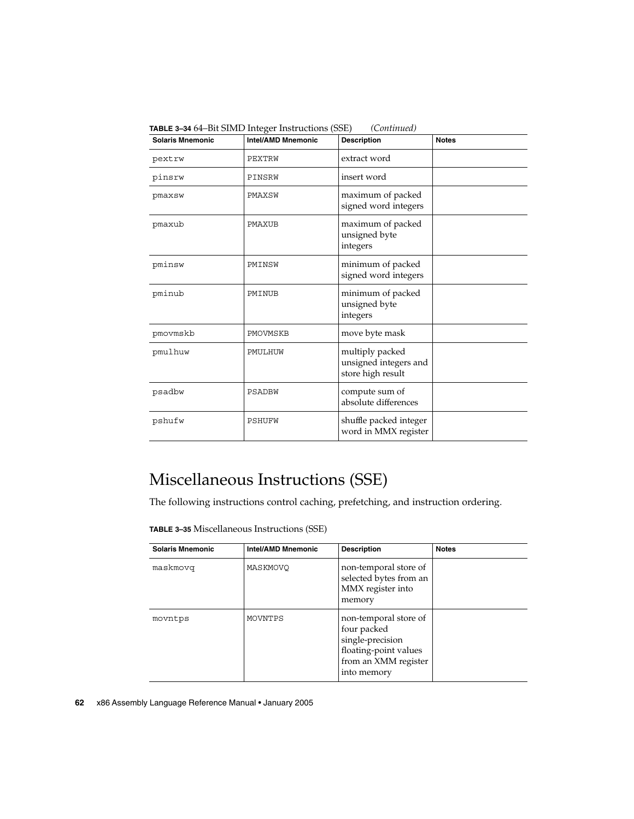| <b>Solaris Mnemonic</b> | <b>Intel/AMD Mnemonic</b> | <b>Description</b>                                            | <b>Notes</b> |  |
|-------------------------|---------------------------|---------------------------------------------------------------|--------------|--|
| pextrw                  | PEXTRW                    | extract word                                                  |              |  |
| pinsrw                  | PINSRW                    | insert word                                                   |              |  |
| pmaxsw                  | PMAXSW                    | maximum of packed<br>signed word integers                     |              |  |
| pmaxub                  | PMAXUB                    | maximum of packed<br>unsigned byte<br>integers                |              |  |
| pminsw                  | PMINSW                    | minimum of packed<br>signed word integers                     |              |  |
| pminub                  | PMINUB                    | minimum of packed<br>unsigned byte<br>integers                |              |  |
| pmovmskb                | PMOVMSKB                  | move byte mask                                                |              |  |
| pmulhuw                 | PMULHUW                   | multiply packed<br>unsigned integers and<br>store high result |              |  |
| psadbw                  | PSADBW                    | compute sum of<br>absolute differences                        |              |  |
| pshufw                  | PSHUFW                    | shuffle packed integer<br>word in MMX register                |              |  |

**TABLE 3–34** 64–Bit SIMD Integer Instructions (SSE) *(Continued)*

### Miscellaneous Instructions (SSE)

The following instructions control caching, prefetching, and instruction ordering.

|  |  |  | TABLE 3-35 Miscellaneous Instructions (SSE) |  |
|--|--|--|---------------------------------------------|--|
|--|--|--|---------------------------------------------|--|

| <b>Solaris Mnemonic</b> | <b>Intel/AMD Mnemonic</b> | <b>Description</b>                                                                                                       | <b>Notes</b> |
|-------------------------|---------------------------|--------------------------------------------------------------------------------------------------------------------------|--------------|
| maskmovq                | MASKMOVO                  | non-temporal store of<br>selected bytes from an<br>MMX register into<br>memory                                           |              |
| movntps                 | MOVNTPS                   | non-temporal store of<br>four packed<br>single-precision<br>floating-point values<br>from an XMM register<br>into memory |              |

**62** x86 Assembly Language Reference Manual • January 2005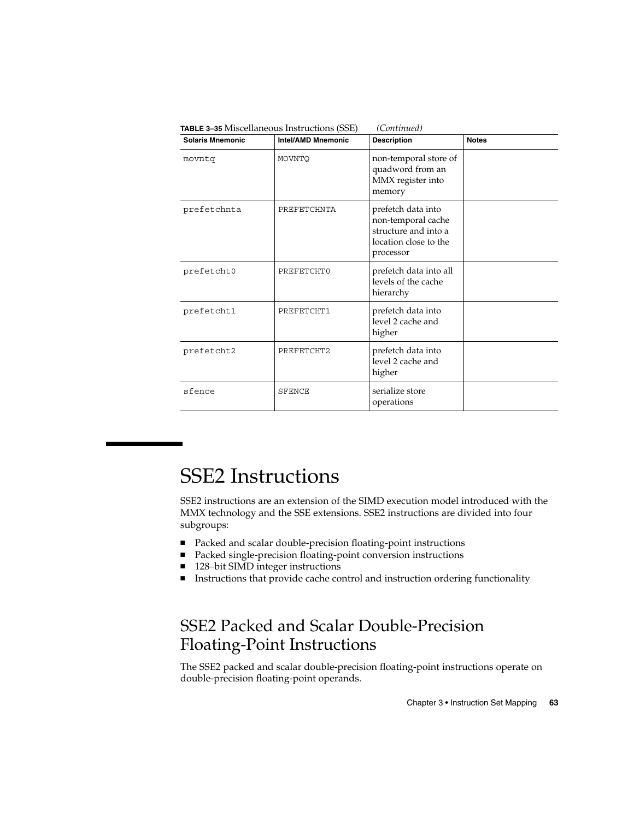| <b>Solaris Mnemonic</b> | <b>Intel/AMD Mnemonic</b> | <b>Description</b>                                                                                     | <b>Notes</b> |
|-------------------------|---------------------------|--------------------------------------------------------------------------------------------------------|--------------|
| movntq                  | MOVNTO                    | non-temporal store of<br>quadword from an<br>MMX register into<br>memory                               |              |
| prefetchnta             | PREFETCHNTA               | prefetch data into<br>non-temporal cache<br>structure and into a<br>location close to the<br>processor |              |
| prefetcht0              | PREFETCHT0                | prefetch data into all<br>levels of the cache<br>hierarchy                                             |              |
| prefetcht1              | PREFETCHT1                | prefetch data into<br>level 2 cache and<br>higher                                                      |              |
| prefetcht2              | PREFETCHT2                | prefetch data into<br>level 2 cache and<br>higher                                                      |              |
| sfence                  | <b>SFENCE</b>             | serialize store<br>operations                                                                          |              |

# SSE2 Instructions

SSE2 instructions are an extension of the SIMD execution model introduced with the MMX technology and the SSE extensions. SSE2 instructions are divided into four subgroups:

- Packed and scalar double-precision floating-point instructions
- Packed single-precision floating-point conversion instructions
- 128–bit SIMD integer instructions
- Instructions that provide cache control and instruction ordering functionality

### SSE2 Packed and Scalar Double-Precision Floating-Point Instructions

The SSE2 packed and scalar double-precision floating-point instructions operate on double-precision floating-point operands.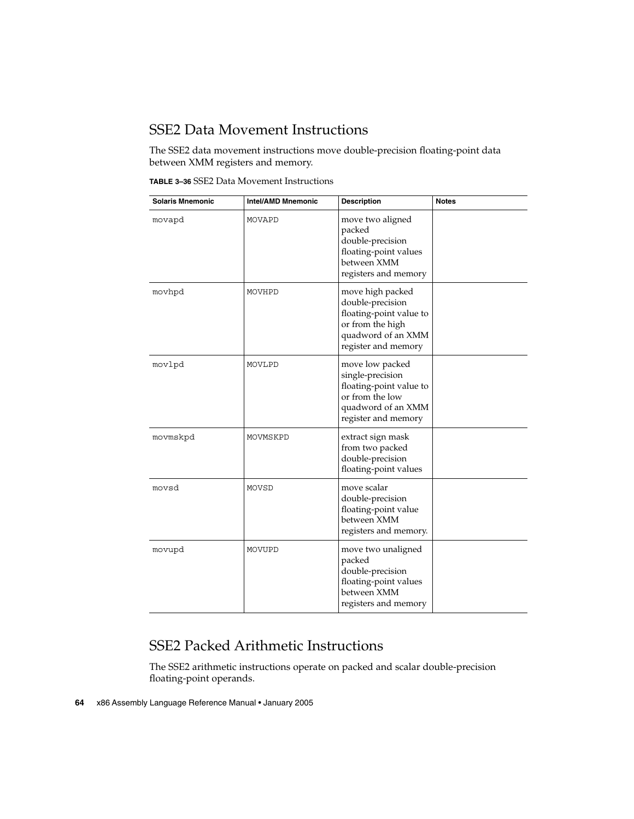#### SSE2 Data Movement Instructions

The SSE2 data movement instructions move double-precision floating-point data between XMM registers and memory.

**TABLE 3–36** SSE2 Data Movement Instructions

| <b>Solaris Mnemonic</b> | <b>Intel/AMD Mnemonic</b> | <b>Description</b>                                                                                                               | <b>Notes</b> |
|-------------------------|---------------------------|----------------------------------------------------------------------------------------------------------------------------------|--------------|
| movapd                  | MOVAPD                    | move two aligned<br>packed<br>double-precision<br>floating-point values<br>between XMM<br>registers and memory                   |              |
| movhpd                  | MOVHPD                    | move high packed<br>double-precision<br>floating-point value to<br>or from the high<br>quadword of an XMM<br>register and memory |              |
| movlpd                  | MOVLPD                    | move low packed<br>single-precision<br>floating-point value to<br>or from the low<br>quadword of an XMM<br>register and memory   |              |
| movmskpd                | MOVMSKPD                  | extract sign mask<br>from two packed<br>double-precision<br>floating-point values                                                |              |
| movsd                   | MOVSD                     | move scalar<br>double-precision<br>floating-point value<br>between XMM<br>registers and memory.                                  |              |
| movupd                  | MOVUPD                    | move two unaligned<br>packed<br>double-precision<br>floating-point values<br>between XMM<br>registers and memory                 |              |

#### SSE2 Packed Arithmetic Instructions

The SSE2 arithmetic instructions operate on packed and scalar double-precision floating-point operands.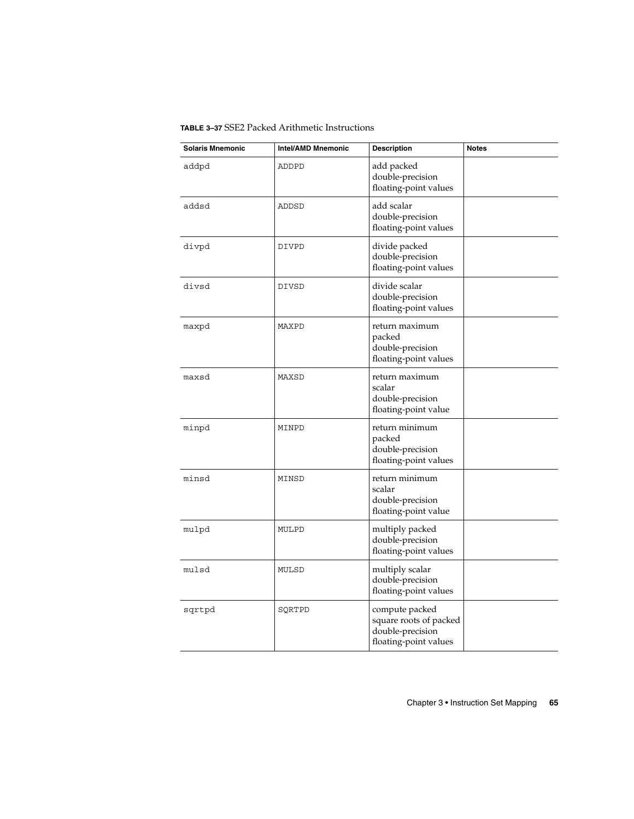**TABLE 3–37** SSE2 Packed Arithmetic Instructions

| <b>Solaris Mnemonic</b> | <b>Intel/AMD Mnemonic</b> | <b>Description</b>                                                                    | <b>Notes</b> |
|-------------------------|---------------------------|---------------------------------------------------------------------------------------|--------------|
| addpd                   | ADDPD                     | add packed<br>double-precision<br>floating-point values                               |              |
| addsd                   | ADDSD                     | add scalar<br>double-precision<br>floating-point values                               |              |
| divpd                   | DIVPD                     | divide packed<br>double-precision<br>floating-point values                            |              |
| divsd                   | <b>DIVSD</b>              | divide scalar<br>double-precision<br>floating-point values                            |              |
| maxpd                   | MAXPD                     | return maximum<br>packed<br>double-precision<br>floating-point values                 |              |
| maxsd                   | MAXSD                     | return maximum<br>scalar<br>double-precision<br>floating-point value                  |              |
| minpd                   | MINPD                     | return minimum<br>packed<br>double-precision<br>floating-point values                 |              |
| minsd                   | MINSD                     | return minimum<br>scalar<br>double-precision<br>floating-point value                  |              |
| mulpd                   | MULPD                     | multiply packed<br>double-precision<br>floating-point values                          |              |
| mulsd                   | MULSD                     | multiply scalar<br>double-precision<br>floating-point values                          |              |
| sqrtpd                  | SQRTPD                    | compute packed<br>square roots of packed<br>double-precision<br>floating-point values |              |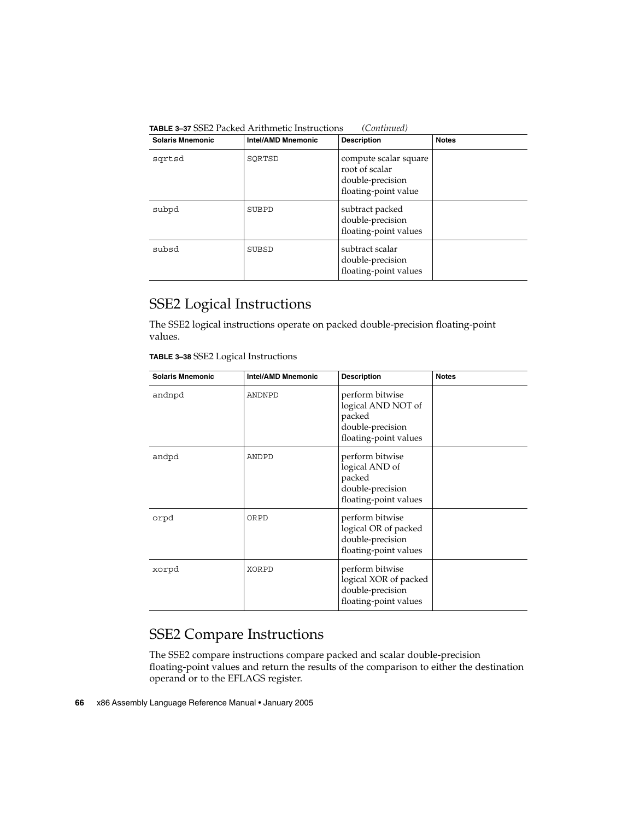| <b>Solaris Mnemonic</b> | <b>Intel/AMD Mnemonic</b> | <b>Description</b>                                                                  | <b>Notes</b> |
|-------------------------|---------------------------|-------------------------------------------------------------------------------------|--------------|
| sqrtsd                  | SORTSD                    | compute scalar square<br>root of scalar<br>double-precision<br>floating-point value |              |
| subpd                   | SUBPD                     | subtract packed<br>double-precision<br>floating-point values                        |              |
| subsd                   | SUBSD                     | subtract scalar<br>double-precision<br>floating-point values                        |              |

**TABLE 3–37** SSE2 Packed Arithmetic Instructions *(Continued)*

#### SSE2 Logical Instructions

The SSE2 logical instructions operate on packed double-precision floating-point values.

| <b>Solaris Mnemonic</b> | <b>Intel/AMD Mnemonic</b> | <b>Description</b>                                                                           | <b>Notes</b> |
|-------------------------|---------------------------|----------------------------------------------------------------------------------------------|--------------|
| andnpd                  | ANDNPD                    | perform bitwise<br>logical AND NOT of<br>packed<br>double-precision<br>floating-point values |              |
| andpd                   | ANDPD                     | perform bitwise<br>logical AND of<br>packed<br>double-precision<br>floating-point values     |              |
| orpd                    | ORPD                      | perform bitwise<br>logical OR of packed<br>double-precision<br>floating-point values         |              |
| xorpd                   | XORPD                     | perform bitwise<br>logical XOR of packed<br>double-precision<br>floating-point values        |              |

#### SSE2 Compare Instructions

The SSE2 compare instructions compare packed and scalar double-precision floating-point values and return the results of the comparison to either the destination operand or to the EFLAGS register.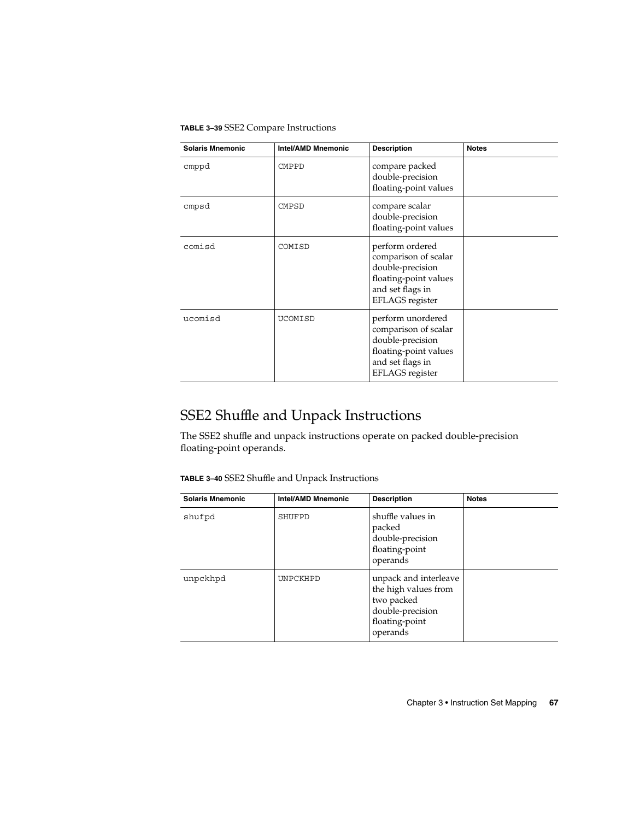**TABLE 3–39** SSE2 Compare Instructions

| <b>Solaris Mnemonic</b> | <b>Intel/AMD Mnemonic</b> | <b>Description</b>                                                                                                                   | <b>Notes</b> |
|-------------------------|---------------------------|--------------------------------------------------------------------------------------------------------------------------------------|--------------|
| cmppd                   | <b>CMPPD</b>              | compare packed<br>double-precision<br>floating-point values                                                                          |              |
| cmpsd                   | CMPSD                     | compare scalar<br>double-precision<br>floating-point values                                                                          |              |
| comisd                  | COMISD                    | perform ordered<br>comparison of scalar<br>double-precision<br>floating-point values<br>and set flags in<br>EFLAGS register          |              |
| ucomisd                 | <b>UCOMISD</b>            | perform unordered<br>comparison of scalar<br>double-precision<br>floating-point values<br>and set flags in<br><b>EFLAGS</b> register |              |

### SSE2 Shuffle and Unpack Instructions

The SSE2 shuffle and unpack instructions operate on packed double-precision floating-point operands.

**TABLE 3–40** SSE2 Shuffle and Unpack Instructions

| <b>Solaris Mnemonic</b> | Intel/AMD Mnemonic | <b>Description</b>                                                                                            | <b>Notes</b> |
|-------------------------|--------------------|---------------------------------------------------------------------------------------------------------------|--------------|
| shufpd                  | SHUFPD             | shuffle values in<br>packed<br>double-precision<br>floating-point<br>operands                                 |              |
| unpckhpd                | UNPCKHPD           | unpack and interleave<br>the high values from<br>two packed<br>double-precision<br>floating-point<br>operands |              |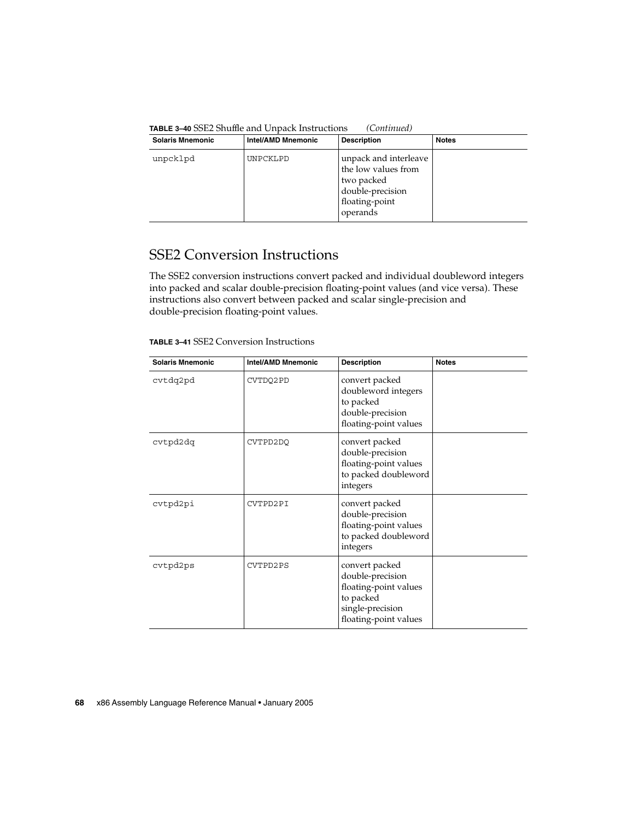| <b>Solaris Mnemonic</b> | <b>Intel/AMD Mnemonic</b> | <b>Description</b>                                                                                           | <b>Notes</b> |
|-------------------------|---------------------------|--------------------------------------------------------------------------------------------------------------|--------------|
| unpcklpd                | UNPCKLPD                  | unpack and interleave<br>the low values from<br>two packed<br>double-precision<br>floating-point<br>operands |              |

### SSE2 Conversion Instructions

The SSE2 conversion instructions convert packed and individual doubleword integers into packed and scalar double-precision floating-point values (and vice versa). These instructions also convert between packed and scalar single-precision and double-precision floating-point values.

| <b>TABLE 3–41</b> SSE2 Conversion Instructions |
|------------------------------------------------|
|                                                |

| <b>Solaris Mnemonic</b> | <b>Intel/AMD Mnemonic</b> | <b>Description</b>                                                                                                    | <b>Notes</b> |
|-------------------------|---------------------------|-----------------------------------------------------------------------------------------------------------------------|--------------|
| cvtdq2pd                | CVTDQ2PD                  | convert packed<br>doubleword integers<br>to packed<br>double-precision<br>floating-point values                       |              |
| cvtpd2dq                | CVTPD2DO                  | convert packed<br>double-precision<br>floating-point values<br>to packed doubleword<br>integers                       |              |
| cvtpd2pi                | CVTPD2PI                  | convert packed<br>double-precision<br>floating-point values<br>to packed doubleword<br>integers                       |              |
| cvtpd2ps                | CVTPD2PS                  | convert packed<br>double-precision<br>floating-point values<br>to packed<br>single-precision<br>floating-point values |              |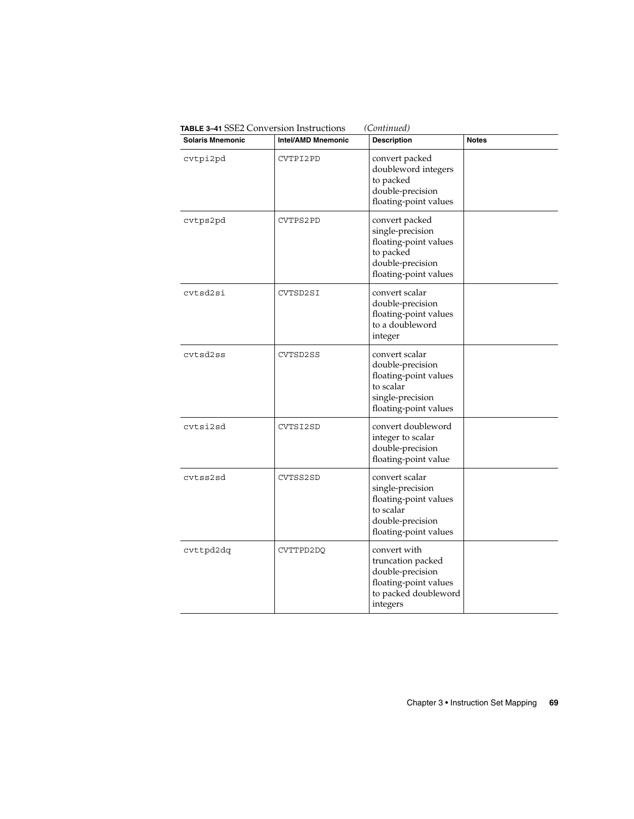| <b>Solaris Mnemonic</b> | <b>Intel/AMD Mnemonic</b> | <b>Description</b>                                                                                                    | <b>Notes</b> |
|-------------------------|---------------------------|-----------------------------------------------------------------------------------------------------------------------|--------------|
| cvtpi2pd                | CVTPI2PD                  | convert packed<br>doubleword integers<br>to packed<br>double-precision<br>floating-point values                       |              |
| cvtps2pd                | CVTPS2PD                  | convert packed<br>single-precision<br>floating-point values<br>to packed<br>double-precision<br>floating-point values |              |
| cytsd2si                | CVTSD2SI                  | convert scalar<br>double-precision<br>floating-point values<br>to a doubleword<br>integer                             |              |
| cytsd2ss                | CVTSD2SS                  | convert scalar<br>double-precision<br>floating-point values<br>to scalar<br>single-precision<br>floating-point values |              |
| cvtsi2sd                | CVTSI2SD                  | convert doubleword<br>integer to scalar<br>double-precision<br>floating-point value                                   |              |
| cytss2sd                | CVTSS2SD                  | convert scalar<br>single-precision<br>floating-point values<br>to scalar<br>double-precision<br>floating-point values |              |
| cvttpd2dq               | CVTTPD2DQ                 | convert with<br>truncation packed<br>double-precision<br>floating-point values<br>to packed doubleword<br>integers    |              |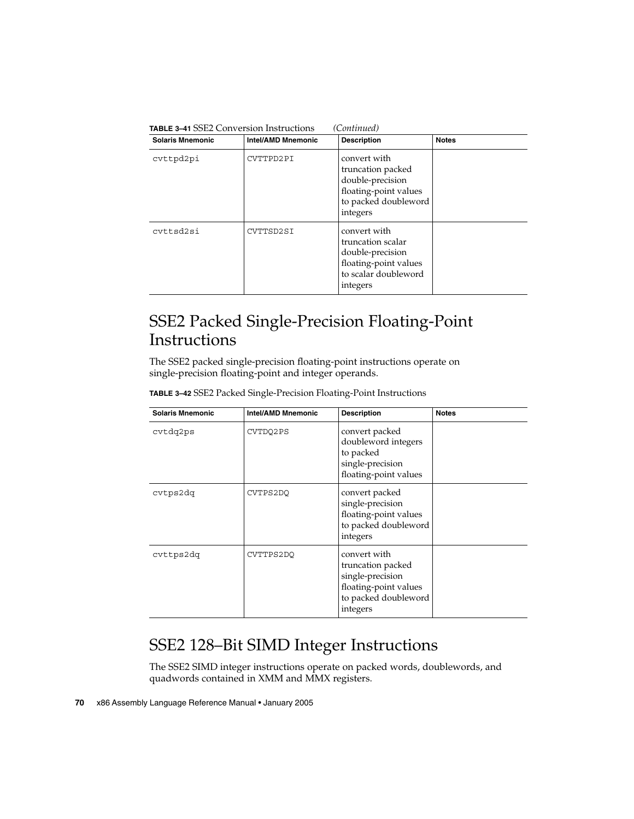| <b>Solaris Mnemonic</b> | Intel/AMD Mnemonic | <b>Description</b>                                                                                                 | <b>Notes</b> |
|-------------------------|--------------------|--------------------------------------------------------------------------------------------------------------------|--------------|
| cvttpd2pi               | CVTTPD2PI          | convert with<br>truncation packed<br>double-precision<br>floating-point values<br>to packed doubleword<br>integers |              |
| cyttsd2si               | CVTTSD2SI          | convert with<br>truncation scalar<br>double-precision<br>floating-point values<br>to scalar doubleword<br>integers |              |

### SSE2 Packed Single-Precision Floating-Point Instructions

The SSE2 packed single-precision floating-point instructions operate on single-precision floating-point and integer operands.

**TABLE 3–42** SSE2 Packed Single-Precision Floating-Point Instructions

| <b>Solaris Mnemonic</b> | <b>Intel/AMD Mnemonic</b> | <b>Description</b>                                                                                                 | <b>Notes</b> |
|-------------------------|---------------------------|--------------------------------------------------------------------------------------------------------------------|--------------|
| cvtdq2ps                | CVTDQ2PS                  | convert packed<br>doubleword integers<br>to packed<br>single-precision<br>floating-point values                    |              |
| cvtps2dq                | CVTPS2DO                  | convert packed<br>single-precision<br>floating-point values<br>to packed doubleword<br>integers                    |              |
| cvttps2dq               | CVTTPS2DO                 | convert with<br>truncation packed<br>single-precision<br>floating-point values<br>to packed doubleword<br>integers |              |

## SSE2 128–Bit SIMD Integer Instructions

The SSE2 SIMD integer instructions operate on packed words, doublewords, and quadwords contained in XMM and MMX registers.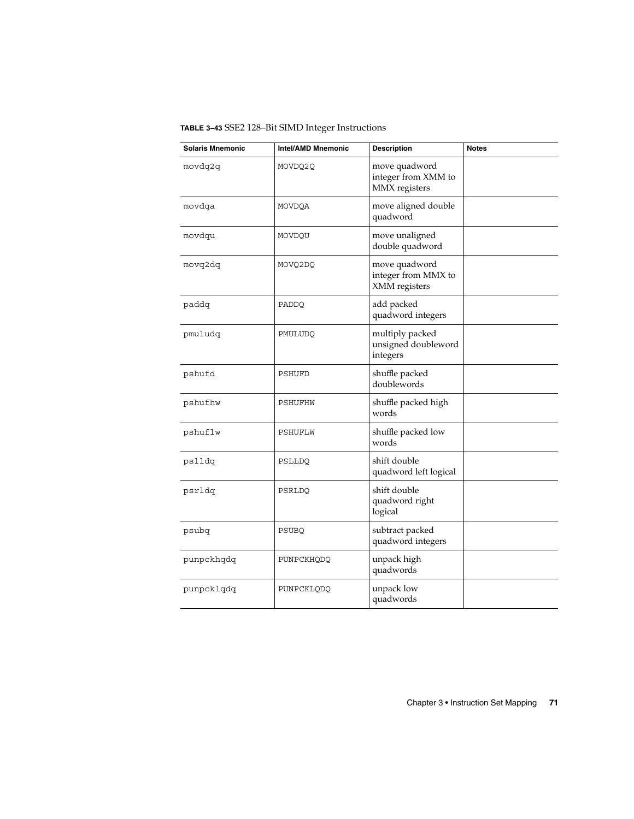**TABLE 3–43** SSE2 128–Bit SIMD Integer Instructions

| <b>Solaris Mnemonic</b> | <b>Intel/AMD Mnemonic</b> | <b>Description</b>                                    | <b>Notes</b> |
|-------------------------|---------------------------|-------------------------------------------------------|--------------|
| movdq2q                 | MOVDQ2Q                   | move quadword<br>integer from XMM to<br>MMX registers |              |
| movdqa                  | MOVDQA                    | move aligned double<br>quadword                       |              |
| movdqu                  | MOVDQU                    | move unaligned<br>double quadword                     |              |
| movq2dq                 | MOVQ2DQ                   | move quadword<br>integer from MMX to<br>XMM registers |              |
| paddq                   | PADDQ                     | add packed<br>quadword integers                       |              |
| pmuludq                 | PMULUDQ                   | multiply packed<br>unsigned doubleword<br>integers    |              |
| pshufd                  | PSHUFD                    | shuffle packed<br>doublewords                         |              |
| pshufhw                 | PSHUFHW                   | shuffle packed high<br>words                          |              |
| pshuflw                 | PSHUFLW                   | shuffle packed low<br>words                           |              |
| pslldq                  | PSLLDQ                    | shift double<br>quadword left logical                 |              |
| psrldq                  | PSRLDQ                    | shift double<br>quadword right<br>logical             |              |
| psubq                   | PSUBQ                     | subtract packed<br>quadword integers                  |              |
| punpckhqdq              | PUNPCKHQDQ                | unpack high<br>quadwords                              |              |
| punpcklqdq              | PUNPCKLQDQ                | unpack low<br>quadwords                               |              |

Chapter 3 • Instruction Set Mapping **71**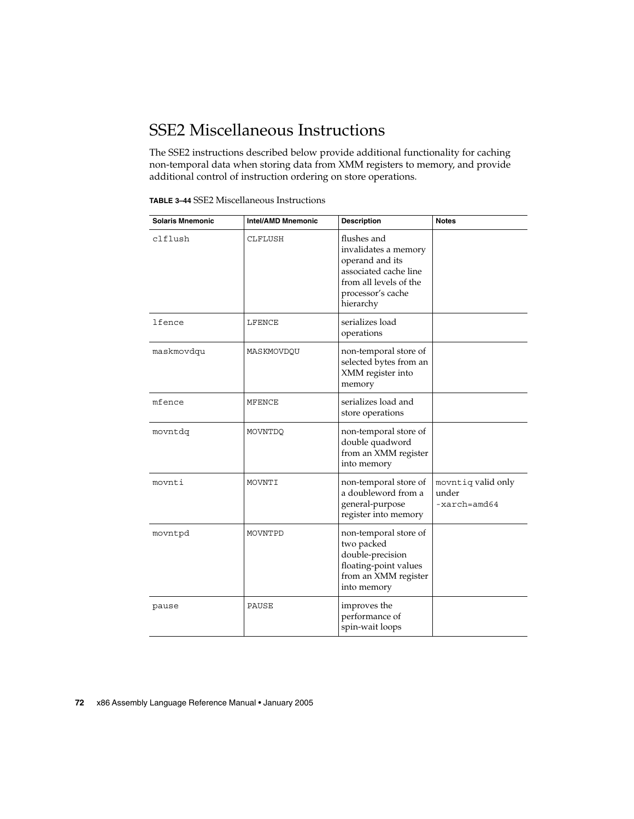## SSE2 Miscellaneous Instructions

The SSE2 instructions described below provide additional functionality for caching non-temporal data when storing data from XMM registers to memory, and provide additional control of instruction ordering on store operations.

| <b>Solaris Mnemonic</b> | <b>Intel/AMD Mnemonic</b> | <b>Description</b>                                                                                                                          | <b>Notes</b>                                           |
|-------------------------|---------------------------|---------------------------------------------------------------------------------------------------------------------------------------------|--------------------------------------------------------|
| clflush                 | <b>CLFLUSH</b>            | flushes and<br>invalidates a memory<br>operand and its<br>associated cache line<br>from all levels of the<br>processor's cache<br>hierarchy |                                                        |
| lfence                  | LFENCE                    | serializes load<br>operations                                                                                                               |                                                        |
| maskmovdqu              | MASKMOVDQU                | non-temporal store of<br>selected bytes from an<br>XMM register into<br>memory                                                              |                                                        |
| mfence                  | MFENCE                    | serializes load and<br>store operations                                                                                                     |                                                        |
| movntdg                 | MOVNTDQ                   | non-temporal store of<br>double quadword<br>from an XMM register<br>into memory                                                             |                                                        |
| movnti                  | MOVNTI                    | non-temporal store of<br>a doubleword from a<br>general-purpose<br>register into memory                                                     | movntiq valid only<br>under<br>$-xarch = \text{and}64$ |
| movntpd                 | MOVNTPD                   | non-temporal store of<br>two packed<br>double-precision<br>floating-point values<br>from an XMM register<br>into memory                     |                                                        |
| pause                   | PAUSE                     | improves the<br>performance of<br>spin-wait loops                                                                                           |                                                        |

#### **72** x86 Assembly Language Reference Manual • January 2005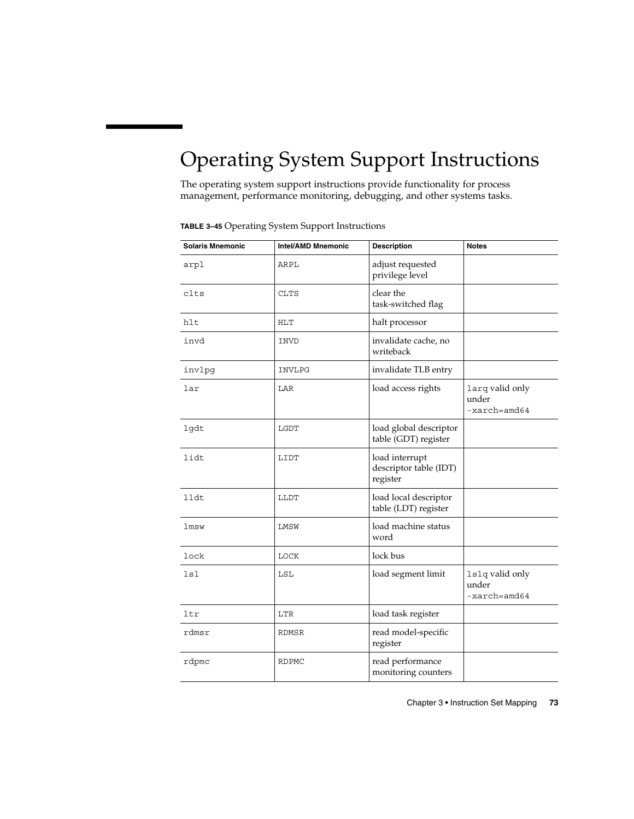# <span id="page-72-0"></span>Operating System Support Instructions

The operating system support instructions provide functionality for process management, performance monitoring, debugging, and other systems tasks.

| <b>Solaris Mnemonic</b> | Intel/AMD Mnemonic | <b>Description</b>                                   | <b>Notes</b>                                        |
|-------------------------|--------------------|------------------------------------------------------|-----------------------------------------------------|
| arpl                    | ARPL               | adjust requested<br>privilege level                  |                                                     |
| clts                    | <b>CLTS</b>        | clear the<br>task-switched flag                      |                                                     |
| hlt                     | <b>HLT</b>         | halt processor                                       |                                                     |
| invd                    | INVD               | invalidate cache, no<br>writeback                    |                                                     |
| invlpg                  | INVLPG             | invalidate TLB entry                                 |                                                     |
| lar                     | LAR                | load access rights                                   | larq valid only<br>under<br>$-xarch = \text{and}64$ |
| lgdt                    | LGDT               | load global descriptor<br>table (GDT) register       |                                                     |
| lidt                    | LIDT               | load interrupt<br>descriptor table (IDT)<br>register |                                                     |
| lldt                    | LLDT               | load local descriptor<br>table (LDT) register        |                                                     |
| lmsw                    | LMSW               | load machine status<br>word                          |                                                     |
| lock                    | LOCK               | lock bus                                             |                                                     |
| lsl                     | LSL                | load segment limit                                   | 1s1q valid only<br>under<br>$-xarch = \text{and}64$ |
| ltr                     | LTR                | load task register                                   |                                                     |
| rdmsr                   | RDMSR              | read model-specific<br>register                      |                                                     |
| rdpmc                   | <b>RDPMC</b>       | read performance<br>monitoring counters              |                                                     |

**TABLE 3–45** Operating System Support Instructions

Chapter 3 • Instruction Set Mapping **73**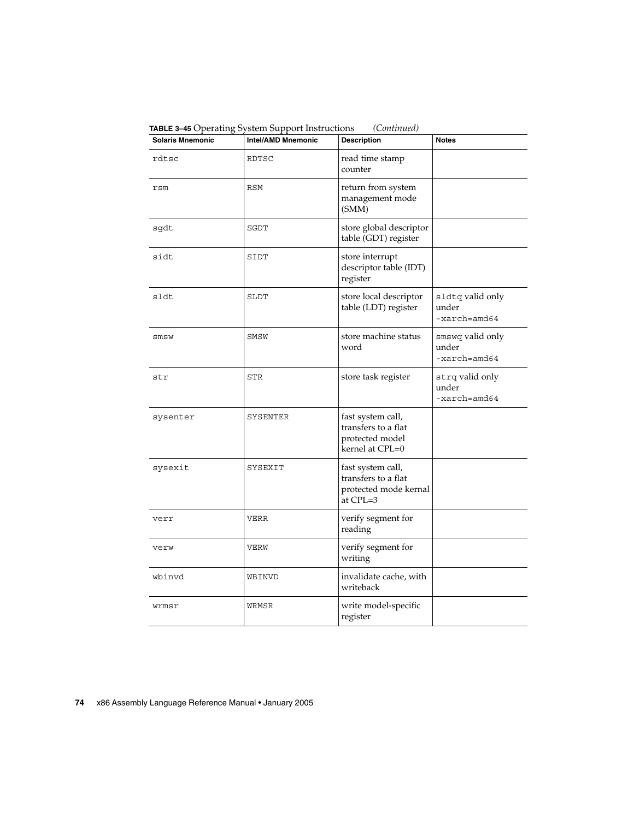| <b>Solaris Mnemonic</b> | $\frac{1}{2}$<br>Intel/AMD Mnemonic | <b>Description</b>                                                             | <b>Notes</b>                                         |
|-------------------------|-------------------------------------|--------------------------------------------------------------------------------|------------------------------------------------------|
| rdtsc                   | RDTSC                               | read time stamp<br>counter                                                     |                                                      |
| rsm                     | <b>RSM</b>                          | return from system<br>management mode<br>(SMM)                                 |                                                      |
| sgdt                    | SGDT                                | store global descriptor<br>table (GDT) register                                |                                                      |
| sidt                    | SIDT                                | store interrupt<br>descriptor table (IDT)<br>register                          |                                                      |
| sldt                    | SLDT                                | store local descriptor<br>table (LDT) register                                 | sldtq valid only<br>under<br>$-xarch = \text{and}64$ |
| smsw                    | SMSW                                | store machine status<br>word                                                   | smswq valid only<br>under<br>$-xarch = \text{and}64$ |
| str                     | STR                                 | store task register                                                            | strq valid only<br>under<br>$-xarch = \text{and}64$  |
| sysenter                | SYSENTER                            | fast system call,<br>transfers to a flat<br>protected model<br>kernel at CPL=0 |                                                      |
| sysexit                 | SYSEXIT                             | fast system call,<br>transfers to a flat<br>protected mode kernal<br>at CPL=3  |                                                      |
| verr                    | VERR                                | verify segment for<br>reading                                                  |                                                      |
| verw                    | VERW                                | verify segment for<br>writing                                                  |                                                      |
| wbinvd                  | WBINVD                              | invalidate cache, with<br>writeback                                            |                                                      |
| wrmsr                   | WRMSR                               | write model-specific<br>register                                               |                                                      |

<span id="page-73-0"></span>**TABLE 3–45** Operating System Support Instructions *(Continued)*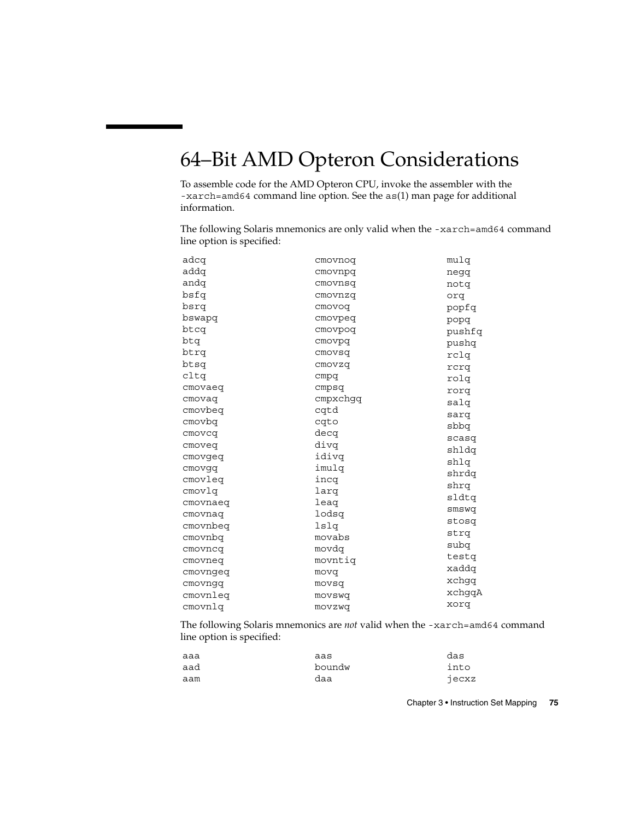## <span id="page-74-0"></span>64–Bit AMD Opteron Considerations

To assemble code for the AMD Opteron CPU, invoke the assembler with the -xarch=amd64 command line option. See the as(1) man page for additional information.

The following Solaris mnemonics are only valid when the -xarch=amd64 command line option is specified:

| adcq     | cmovnoq  | mulq   |
|----------|----------|--------|
| addq     | cmovnpq  | negq   |
| andq     | cmovnsq  | notq   |
| bsfq     | cmovnzq  | orq    |
| bsrq     | cmovoq   | popfq  |
| bswapq   | cmovpeq  | popq   |
| btcq     | cmovpoq  | pushfq |
| btq      | cmovpq   | pushq  |
| btrq     | cmovsq   | rclq   |
| btsq     | cmovzq   | rcrq   |
| cltq     | cmpq     | rolq   |
| cmovaeq  | cmpsq    | rorq   |
| cmovaq   | cmpxchqq | salq   |
| cmovbeq  | cqtd     | sarq   |
| cmovbq   | cqto     | pdda   |
| cmovcq   | decq     | scasq  |
| cmoveq   | divq     | shldq  |
| cmovgeq  | idivq    | shlq   |
| cmovgq   | imulq    | shrdq  |
| cmovleg  | incq     | shrq   |
| cmovlq   | larq     | sldtq  |
| cmovnaeg | leaq     |        |
| cmovnaq  | lodsq    | smswq  |
| cmovnbeg | lslq     | stosq  |
| cmovnbq  | movabs   | strq   |
| cmovncq  | movdq    | subq   |
| cmovneg  | movntig  | testq  |
| cmovngeq | movq     | xaddq  |
| cmovngq  | movsq    | xchgq  |
| cmovnleg | movswq   | xchgqA |
| cmovnlq  | movzwq   | xorq   |

The following Solaris mnemonics are *not* valid when the -xarch=amd64 command line option is specified:

| aaa | aas    | das   |
|-----|--------|-------|
| aad | boundw | into  |
| aam | daa    | jecxz |

Chapter 3 • Instruction Set Mapping **75**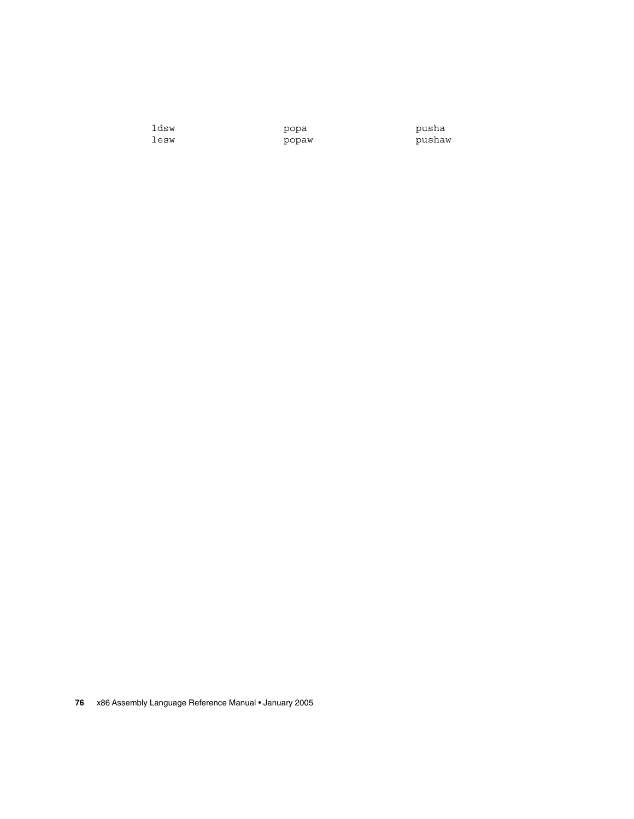ldsw lesw

popa popaw pusha pushaw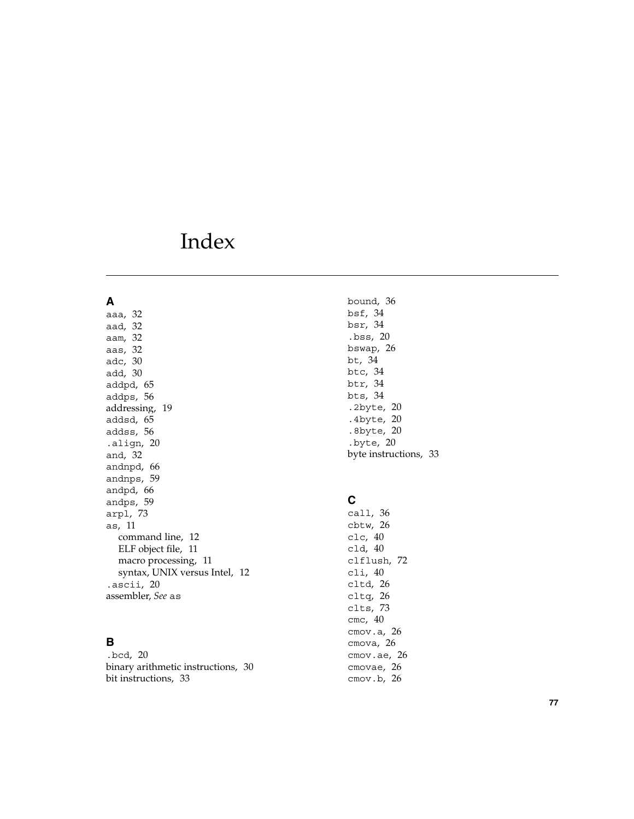# Index

#### **A**

aaa, [32](#page-31-0) aad, [32](#page-31-0) aam, [32](#page-31-0) aas, [32](#page-31-0) adc, [30](#page-29-0) add, [30](#page-29-0) addpd, [65](#page-64-0) addps, [56](#page-55-0) addressing, [19](#page-18-0) addsd, [65](#page-64-0) addss, [56](#page-55-0) .align, [20](#page-19-0) and, [32](#page-31-0) andnpd, [66](#page-65-0) andnps, [59](#page-58-0) andpd, [66](#page-65-0) andps, [59](#page-58-0) arpl, [73](#page-72-0) as, [11](#page-10-0) command line, [12](#page-11-0) ELF object file, [11](#page-10-0) macro processing, [11](#page-10-0) syntax, UNIX versus Intel, [12](#page-11-0) .ascii, [20](#page-19-0) assembler, *See* as

## **B**

.bcd, [20](#page-19-0) binary arithmetic instructions, [30](#page-29-0) bit instructions, [33](#page-32-0)

bound, [36](#page-35-0) bsf, [34](#page-33-0) bsr, [34](#page-33-0) .bss, [20](#page-19-0) bswap, [26](#page-25-0) bt, [34](#page-33-0) btc, [34](#page-33-0) btr, [34](#page-33-0) bts, [34](#page-33-0) .2byte, [20](#page-19-0) .4byte, [20](#page-19-0) .8byte, [20](#page-19-0) .byte, [20](#page-19-0) byte instructions, [33](#page-32-0)

### **C**

call, [36](#page-35-0) cbtw, [26](#page-25-0) clc, [40](#page-39-0) cld, [40](#page-39-0) clflush, [72](#page-71-0) cli, [40](#page-39-0) cltd, [26](#page-25-0) cltq, [26](#page-25-0) clts, [73](#page-72-0) cmc, [40](#page-39-0) cmov.a, [26](#page-25-0) cmova, [26](#page-25-0) cmov.ae, [26](#page-25-0) cmovae, [26](#page-25-0) cmov.b, [26](#page-25-0)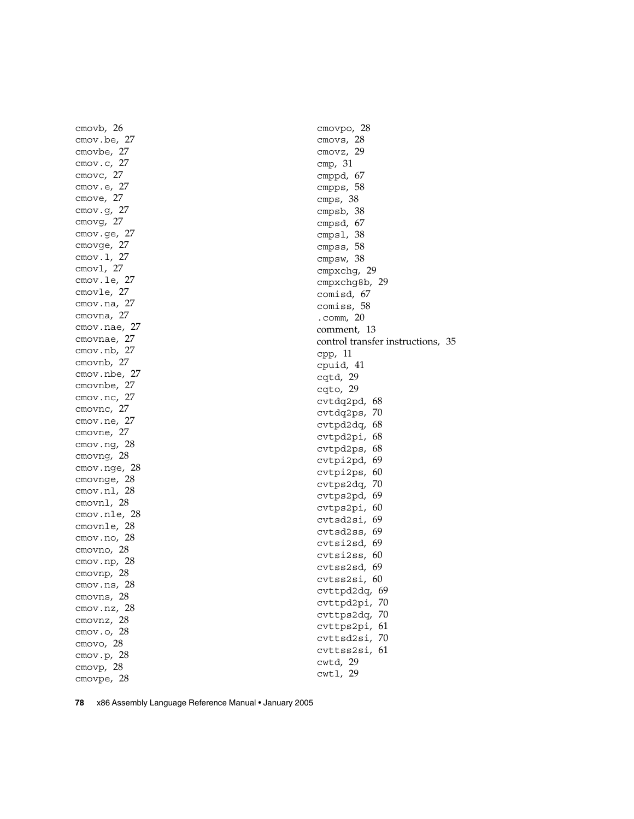cmovb, [26](#page-25-0) cmov.be, [27](#page-26-0) cmovbe, [27](#page-26-0) cmov.c, [27](#page-26-0) cmovc, [27](#page-26-0) cmov.e, [27](#page-26-0) cmove, [27](#page-26-0) cmov.g, [27](#page-26-0) cmovg, [27](#page-26-0) cmov.ge, [27](#page-26-0) cmovge, [27](#page-26-0) cmov.l, [27](#page-26-0) cmovl, [27](#page-26-0) cmov.le, [27](#page-26-0) cmovle, [27](#page-26-0) cmov.na, [27](#page-26-0) cmovna, [27](#page-26-0) cmov.nae, [27](#page-26-0) cmovnae, [27](#page-26-0) cmov.nb, [27](#page-26-0) cmovnb, [27](#page-26-0) cmov.nbe, [27](#page-26-0) cmovnbe, [27](#page-26-0) cmov.nc, [27](#page-26-0) cmovnc, [27](#page-26-0) cmov.ne, [27](#page-26-0) cmovne, [27](#page-26-0) cmov.ng, [28](#page-27-0) cmovng, [28](#page-27-0) cmov.nge, [28](#page-27-0) cmovnge, [28](#page-27-0) cmov.nl, [28](#page-27-0) cmovnl, [28](#page-27-0) cmov.nle, [28](#page-27-0) cmovnle, [28](#page-27-0) cmov.no, [28](#page-27-0) cmovno, [28](#page-27-0) cmov.np, [28](#page-27-0) cmovnp, [28](#page-27-0) cmov.ns, [28](#page-27-0) cmovns, [28](#page-27-0) cmov.nz, [28](#page-27-0) cmovnz, [28](#page-27-0) cmov.o, [28](#page-27-0) cmovo, [28](#page-27-0) cmov.p, [28](#page-27-0) cmovp, [28](#page-27-0) cmovpe, [28](#page-27-0)

cmovpo, [28](#page-27-0) cmovs, [28](#page-27-0) cmovz, [29](#page-28-0) cmp, [31](#page-30-0) cmppd, [67](#page-66-0) cmpps, [58](#page-57-0) cmps, [38](#page-37-0) cmpsb, [38](#page-37-0) cmpsd, [67](#page-66-0) cmpsl, [38](#page-37-0) cmpss, [58](#page-57-0) cmpsw, [38](#page-37-0) cmpxchg, [29](#page-28-0) cmpxchg8b, [29](#page-28-0) comisd, [67](#page-66-0) comiss, [58](#page-57-0) .comm, [20](#page-19-0) comment, [13](#page-12-0) control transfer instructions, [35](#page-34-0) cpp, [11](#page-10-0) cpuid, [41](#page-40-0) cqtd, [29](#page-28-0) cqto, [29](#page-28-0) cvtdq2pd, [68](#page-67-0) cvtdq2ps, [70](#page-69-0) cvtpd2dq, [68](#page-67-0) cvtpd2pi, [68](#page-67-0) cvtpd2ps, [68](#page-67-0) cvtpi2pd, [69](#page-68-0) cvtpi2ps, [60](#page-59-0) cvtps2dq, [70](#page-69-0) cvtps2pd, [69](#page-68-0) cvtps2pi, [60](#page-59-0) cvtsd2si, [69](#page-68-0) cvtsd2ss, [69](#page-68-0) cvtsi2sd, [69](#page-68-0) cvtsi2ss, [60](#page-59-0) cvtss2sd, [69](#page-68-0) cvtss2si, [60](#page-59-0) cvttpd2dq, [69](#page-68-0) cvttpd2pi, [70](#page-69-0) cvttps2dq, [70](#page-69-0) cvttps2pi, [61](#page-60-0) cvttsd2si, [70](#page-69-0) cvttss2si, [61](#page-60-0) cwtd, [29](#page-28-0) cwtl, [29](#page-28-0)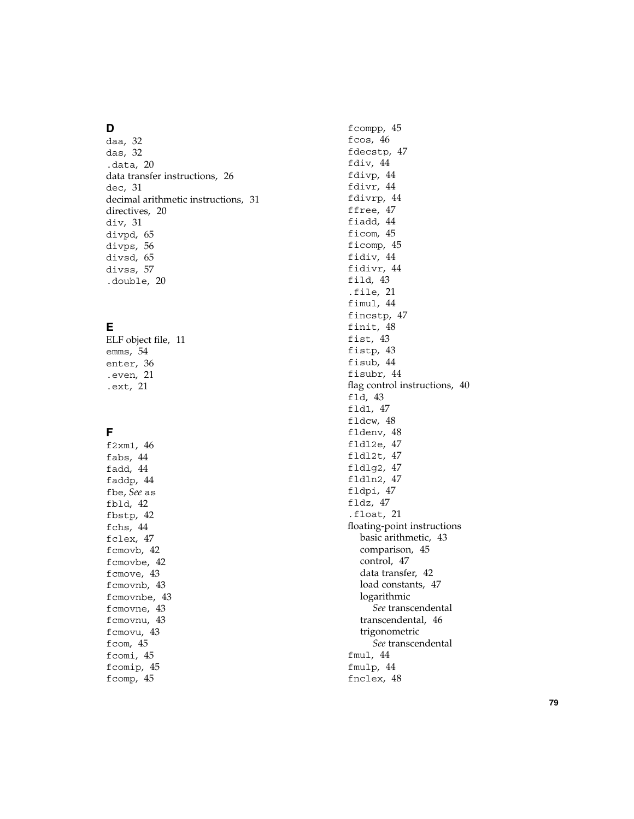#### **D**

daa, [32](#page-31-0) das, [32](#page-31-0) .data, [20](#page-19-0) data transfer instructions, [26](#page-25-0) dec, [31](#page-30-0) decimal arithmetic instructions, [31](#page-30-0) directives, [20](#page-19-0) div, [31](#page-30-0) divpd, [65](#page-64-0) divps, [56](#page-55-0) divsd, [65](#page-64-0) divss, [57](#page-56-0) .double, [20](#page-19-0)

## **E**

ELF object file, [11](#page-10-0) emms, [54](#page-53-0) enter, [36](#page-35-0) .even, [21](#page-20-0) .ext, [21](#page-20-0)

#### **F**

f2xm1, [46](#page-45-0) fabs, [44](#page-43-0) fadd, [44](#page-43-0) faddp, [44](#page-43-0) fbe , *See* as fbld, [42](#page-41-0) fbstp, [42](#page-41-0) fchs, [44](#page-43-0) fclex, [47](#page-46-0) fcmovb, [42](#page-41-0) fcmovbe, [42](#page-41-0) fcmove, [43](#page-42-0) fcmovnb, [43](#page-42-0) fcmovnbe, [43](#page-42-0) fcmovne, [43](#page-42-0) fcmovnu, [43](#page-42-0) fcmovu, [43](#page-42-0) fcom, [45](#page-44-0) fcomi, [45](#page-44-0) fcomip, [45](#page-44-0) fcomp, [45](#page-44-0)

fcompp, [45](#page-44-0) fcos, [46](#page-45-0) fdecstp, [47](#page-46-0) fdiv, [44](#page-43-0) fdivp, [44](#page-43-0) fdivr, [44](#page-43-0) fdivrp, [44](#page-43-0) ffree, [47](#page-46-0) fiadd, [44](#page-43-0) ficom, [45](#page-44-0) ficomp, [45](#page-44-0) fidiv, [44](#page-43-0) fidivr, [44](#page-43-0) fild, [43](#page-42-0) .file, [21](#page-20-0) fimul, [44](#page-43-0) fincstp, [47](#page-46-0) finit, [48](#page-47-0) fist, [43](#page-42-0) fistp, [43](#page-42-0) fisub, [44](#page-43-0) fisubr, [44](#page-43-0) flag control instructions, [40](#page-39-0) fld, [43](#page-42-0) fld1, [47](#page-46-0) fldcw, [48](#page-47-0) fldenv, [48](#page-47-0) fldl2e, [47](#page-46-0) fldl2t, [47](#page-46-0) fldlg2, [47](#page-46-0) fldln2, [47](#page-46-0) fldpi, [47](#page-46-0) fldz, [47](#page-46-0) .float, [21](#page-20-0) floating-point instructions basic arithmetic, [43](#page-42-0) comparison, [45](#page-44-0) control, [47](#page-46-0) data transfer, [42](#page-41-0) load constants, [47](#page-46-0) logarithmic *See* transcendental transcendental, [46](#page-45-0) trigonometric *See* transcendental fmul, [44](#page-43-0) fmulp, [44](#page-43-0) fnclex, [48](#page-47-0)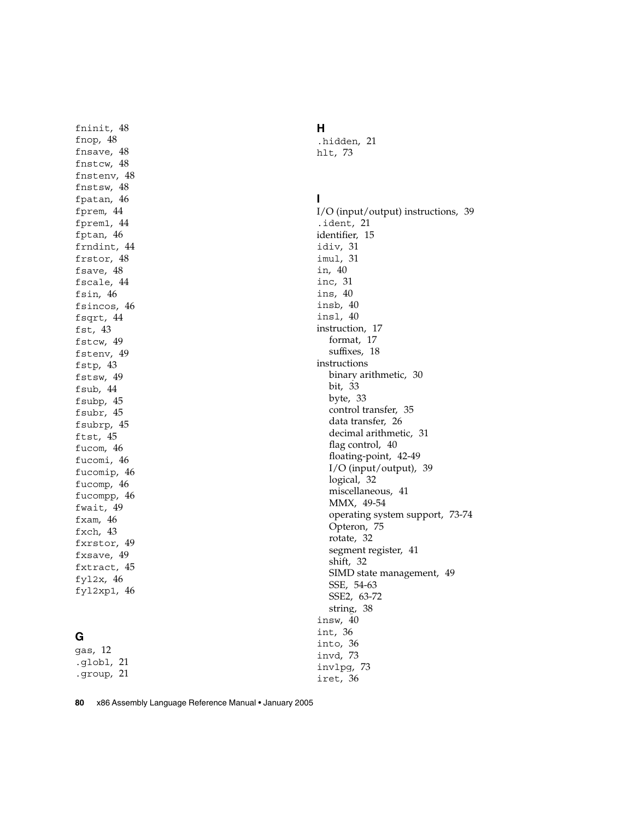fninit, [48](#page-47-0) fnop, [48](#page-47-0) fnsave, [48](#page-47-0) fnstcw, [48](#page-47-0) fnstenv, [48](#page-47-0) fnstsw, [48](#page-47-0) fpatan, [46](#page-45-0) fprem, [44](#page-43-0) fprem1, [44](#page-43-0) fptan, [46](#page-45-0) frndint, [44](#page-43-0) frstor, [48](#page-47-0) fsave, [48](#page-47-0) fscale, [44](#page-43-0) fsin, [46](#page-45-0) fsincos, [46](#page-45-0) fsqrt, [44](#page-43-0) fst, [43](#page-42-0) fstcw, [49](#page-48-0) fstenv, [49](#page-48-0) fstp, [43](#page-42-0) fstsw, [49](#page-48-0) fsub, [44](#page-43-0) fsubp, [45](#page-44-0) fsubr, [45](#page-44-0) fsubrp, [45](#page-44-0) ftst, [45](#page-44-0) fucom, [46](#page-45-0) fucomi, [46](#page-45-0) fucomip, [46](#page-45-0) fucomp, [46](#page-45-0) fucompp, [46](#page-45-0) fwait, [49](#page-48-0) fxam, [46](#page-45-0) fxch, [43](#page-42-0) fxrstor, [49](#page-48-0) fxsave, [49](#page-48-0) fxtract, [45](#page-44-0) fyl2x, [46](#page-45-0) fyl2xp1, [46](#page-45-0)

## **G**

gas, [12](#page-11-0) .globl, [21](#page-20-0) .group, [21](#page-20-0)

**H** .hidden, [21](#page-20-0) hlt, [73](#page-72-0)

#### **I**

I/O (input/output) instructions, [39](#page-38-0) .ident, [21](#page-20-0) identifier, [15](#page-14-0) idiv, [31](#page-30-0) imul, [31](#page-30-0) in, [40](#page-39-0) inc, [31](#page-30-0) ins, [40](#page-39-0) insb, [40](#page-39-0) insl, [40](#page-39-0) instruction, [17](#page-16-0) format, [17](#page-16-0) suffixes, [18](#page-17-0) instructions binary arithmetic, [30](#page-29-0) bit, [33](#page-32-0) byte, [33](#page-32-0) control transfer, [35](#page-34-0) data transfer, [26](#page-25-0) decimal arithmetic, [31](#page-30-0) flag control, [40](#page-39-0) floating-point, [42-49](#page-41-0) I/O (input/output), [39](#page-38-0) logical, [32](#page-31-0) miscellaneous, [41](#page-40-0) MMX, [49-54](#page-48-0) operating system support, [73-74](#page-72-0) Opteron, [75](#page-74-0) rotate, [32](#page-31-0) segment register, [41](#page-40-0) shift, [32](#page-31-0) SIMD state management, [49](#page-48-0) SSE, [54-63](#page-53-0) SSE2, [63-72](#page-62-0) string, [38](#page-37-0) insw, [40](#page-39-0) int, [36](#page-35-0) into, [36](#page-35-0) invd, [73](#page-72-0) invlpg, [73](#page-72-0) iret, [36](#page-35-0)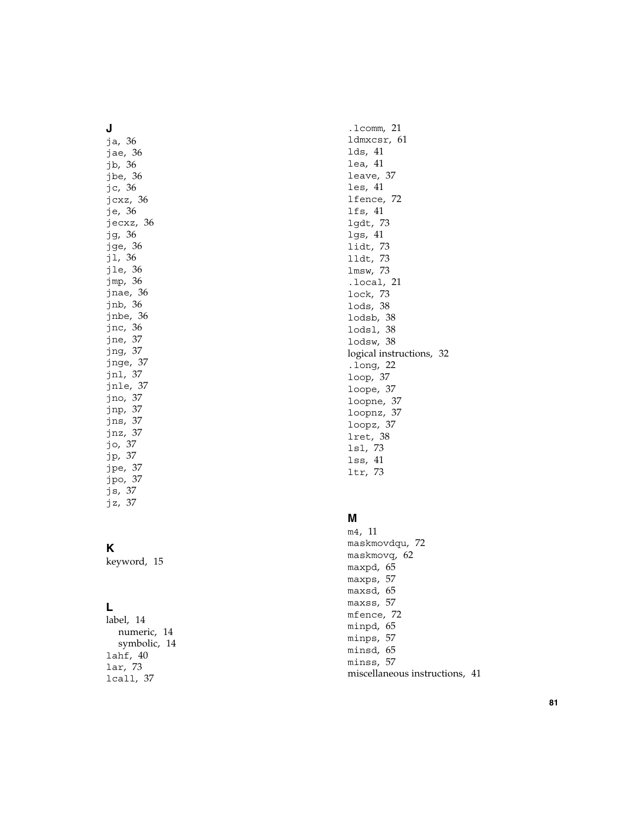#### **J**

ja, [36](#page-35-0) jae, [36](#page-35-0) jb, [36](#page-35-0) jbe, [36](#page-35-0) jc, [36](#page-35-0) jcxz, [36](#page-35-0) je, [36](#page-35-0) jecxz, [36](#page-35-0) jg, [36](#page-35-0) jge, [36](#page-35-0) jl, [36](#page-35-0) jle, [36](#page-35-0) jmp, [36](#page-35-0) jnae, [36](#page-35-0) jnb, [36](#page-35-0) jnbe, [36](#page-35-0) jnc, [36](#page-35-0) jne, [37](#page-36-0) jng, [37](#page-36-0) jnge, [37](#page-36-0) jnl, [37](#page-36-0) jnle, [37](#page-36-0) jno, [37](#page-36-0) jnp, [37](#page-36-0) jns, [37](#page-36-0) jnz, [37](#page-36-0) jo, [37](#page-36-0) jp, [37](#page-36-0) jpe, [37](#page-36-0) jpo, [37](#page-36-0) js, [37](#page-36-0) jz, [37](#page-36-0)

## **K**

keyword, [15](#page-14-0)

## **L**

label, [14](#page-13-0) numeric, [14](#page-13-0) symbolic, [14](#page-13-0) lahf, [40](#page-39-0) lar, [73](#page-72-0) lcall, [37](#page-36-0)

.lcomm, [21](#page-20-0) ldmxcsr, [61](#page-60-0) lds, [41](#page-40-0) lea, [41](#page-40-0) leave, [37](#page-36-0) les, [41](#page-40-0) lfence, [72](#page-71-0) lfs, [41](#page-40-0) lgdt, [73](#page-72-0) lgs, [41](#page-40-0) lidt, [73](#page-72-0) lldt, [73](#page-72-0) lmsw, [73](#page-72-0) .local, [21](#page-20-0) lock, [73](#page-72-0) lods, [38](#page-37-0) lodsb, [38](#page-37-0) lodsl, [38](#page-37-0) lodsw, [38](#page-37-0) logical instructions, [32](#page-31-0) .long, [22](#page-21-0) loop, [37](#page-36-0) loope, [37](#page-36-0) loopne, [37](#page-36-0) loopnz, [37](#page-36-0) loopz, [37](#page-36-0) lret, [38](#page-37-0) lsl, [73](#page-72-0) lss, [41](#page-40-0) ltr, [73](#page-72-0)

#### **M**

m4, [11](#page-10-0) maskmovdqu, [72](#page-71-0) maskmovq, [62](#page-61-0) maxpd, [65](#page-64-0) maxps, [57](#page-56-0) maxsd, [65](#page-64-0) maxss, [57](#page-56-0) mfence, [72](#page-71-0) minpd, [65](#page-64-0) minps, [57](#page-56-0) minsd, [65](#page-64-0) minss, [57](#page-56-0) miscellaneous instructions, [41](#page-40-0)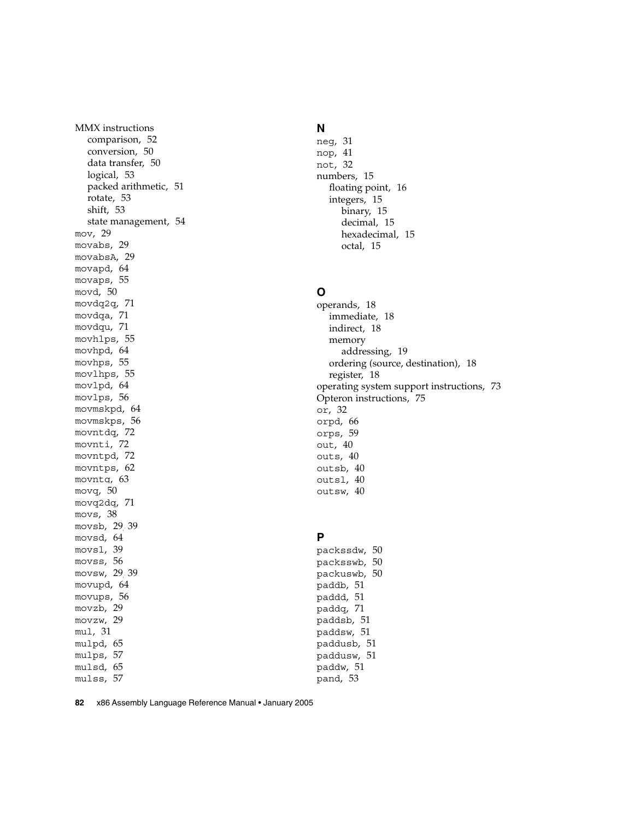MMX instructions comparison, [52](#page-51-0) conversion, [50](#page-49-0) data transfer, [50](#page-49-0) logical, [53](#page-52-0) packed arithmetic, [51](#page-50-0) rotate, [53](#page-52-0) shift, [53](#page-52-0) state management, [54](#page-53-0) mov, [29](#page-28-0) movabs, [29](#page-28-0) movabsA, [29](#page-28-0) movapd, [64](#page-63-0) movaps, [55](#page-54-0) movd, [50](#page-49-0) movdq2q, [71](#page-70-0) movdqa, [71](#page-70-0) movdqu, [71](#page-70-0) movhlps, [55](#page-54-0) movhpd, [64](#page-63-0) movhps, [55](#page-54-0) movlhps, [55](#page-54-0) movlpd, [64](#page-63-0) movlps, [56](#page-55-0) movmskpd, [64](#page-63-0) movmskps, [56](#page-55-0) movntdq, [72](#page-71-0) movnti, [72](#page-71-0) movntpd, [72](#page-71-0) movntps, [62](#page-61-0) movntq, [63](#page-62-0) movq, [50](#page-49-0) movq2dq, [71](#page-70-0) movs, [38](#page-37-0) movsb, [29,](#page-28-0) [39](#page-38-0) movsd, [64](#page-63-0) movsl, [39](#page-38-0) movss, [56](#page-55-0) movsw, [29,](#page-28-0) [39](#page-38-0) movupd, [64](#page-63-0) movups, [56](#page-55-0) movzb, [29](#page-28-0) movzw, [29](#page-28-0) mul, [31](#page-30-0) mulpd, [65](#page-64-0) mulps, [57](#page-56-0) mulsd, [65](#page-64-0) mulss, [57](#page-56-0)

#### **N**

neg, [31](#page-30-0) nop, [41](#page-40-0) not, [32](#page-31-0) numbers, [15](#page-14-0) floating point, [16](#page-15-0) integers, [15](#page-14-0) binary, [15](#page-14-0) decimal, [15](#page-14-0) hexadecimal, [15](#page-14-0) octal, [15](#page-14-0)

#### **O**

operands, [18](#page-17-0) immediate, [18](#page-17-0) indirect, [18](#page-17-0) memory addressing, [19](#page-18-0) ordering (source, destination), [18](#page-17-0) register, [18](#page-17-0) operating system support instructions, [73](#page-72-0) Opteron instructions, [75](#page-74-0) or, [32](#page-31-0) orpd, [66](#page-65-0) orps, [59](#page-58-0) out, [40](#page-39-0) outs, [40](#page-39-0) outsb, [40](#page-39-0) outsl, [40](#page-39-0) outsw, [40](#page-39-0)

## **P**

packssdw, [50](#page-49-0) packsswb, [50](#page-49-0) packuswb, [50](#page-49-0) paddb, [51](#page-50-0) paddd, [51](#page-50-0) paddq, [71](#page-70-0) paddsb, [51](#page-50-0) paddsw, [51](#page-50-0) paddusb, [51](#page-50-0) paddusw, [51](#page-50-0) paddw, [51](#page-50-0) pand, [53](#page-52-0)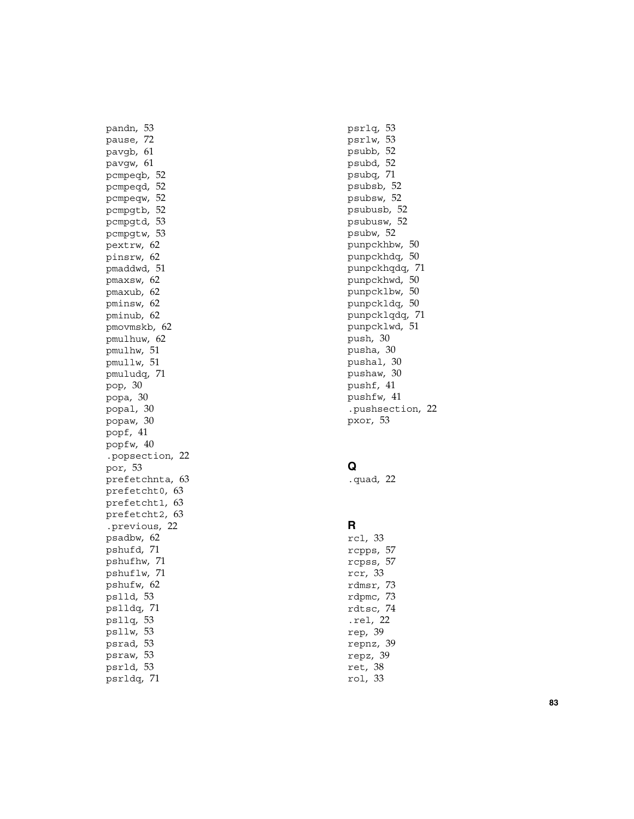pandn, [53](#page-52-0) pause, [72](#page-71-0) pavgb, [61](#page-60-0) pavgw, [61](#page-60-0) pcmpeqb, [52](#page-51-0) pcmpeqd, [52](#page-51-0) pcmpeqw, [52](#page-51-0) pcmpgtb, [52](#page-51-0) pcmpgtd, [53](#page-52-0) pcmpgtw, [53](#page-52-0) pextrw, [62](#page-61-0) pinsrw, [62](#page-61-0) pmaddwd, [51](#page-50-0) pmaxsw, [62](#page-61-0) pmaxub, [62](#page-61-0) pminsw, [62](#page-61-0) pminub, [62](#page-61-0) pmovmskb, [62](#page-61-0) pmulhuw, [62](#page-61-0) pmulhw, [51](#page-50-0) pmullw, [51](#page-50-0) pmuludq, [71](#page-70-0) pop, [30](#page-29-0) popa, [30](#page-29-0) popal, [30](#page-29-0) popaw, [30](#page-29-0) popf, [41](#page-40-0) popfw, [40](#page-39-0) .popsection, [22](#page-21-0) por, [53](#page-52-0) prefetchnta, [63](#page-62-0) prefetcht0, [63](#page-62-0) prefetcht1, [63](#page-62-0) prefetcht2, [63](#page-62-0) .previous, [22](#page-21-0) psadbw, [62](#page-61-0) pshufd, [71](#page-70-0) pshufhw, [71](#page-70-0) pshuflw, [71](#page-70-0) pshufw, [62](#page-61-0) pslld, [53](#page-52-0) pslldq, [71](#page-70-0) psllq, [53](#page-52-0) psllw, [53](#page-52-0) psrad, [53](#page-52-0) psraw, [53](#page-52-0) psrld, [53](#page-52-0) psrldq, [71](#page-70-0)

psrlq, [53](#page-52-0) psrlw, [53](#page-52-0) psubb, [52](#page-51-0) psubd, [52](#page-51-0) psubq, [71](#page-70-0) psubsb, [52](#page-51-0) psubsw, [52](#page-51-0) psubusb, [52](#page-51-0) psubusw, [52](#page-51-0) psubw, [52](#page-51-0) punpckhbw, [50](#page-49-0) punpckhdq, [50](#page-49-0) punpckhqdq, [71](#page-70-0) punpckhwd, [50](#page-49-0) punpcklbw, [50](#page-49-0) punpckldq, [50](#page-49-0) punpcklqdq, [71](#page-70-0) punpcklwd, [51](#page-50-0) push, [30](#page-29-0) pusha, [30](#page-29-0) pushal, [30](#page-29-0) pushaw, [30](#page-29-0) pushf, [41](#page-40-0) pushfw, [41](#page-40-0) .pushsection, [22](#page-21-0) pxor, [53](#page-52-0)

### **Q**

.quad, [22](#page-21-0)

#### **R**

rcl, [33](#page-32-0) rcpps, [57](#page-56-0) rcpss, [57](#page-56-0) rcr, [33](#page-32-0) rdmsr, [73](#page-72-0) rdpmc, [73](#page-72-0) rdtsc, [74](#page-73-0) .rel, [22](#page-21-0) rep, [39](#page-38-0) repnz, [39](#page-38-0) repz, [39](#page-38-0) ret, [38](#page-37-0) rol, [33](#page-32-0)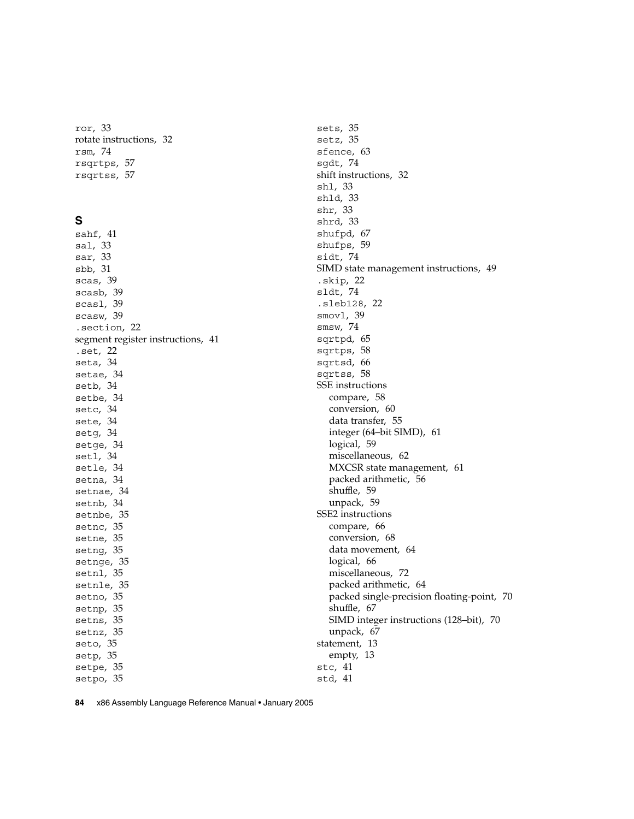ror, [33](#page-32-0) rotate instructions, [32](#page-31-0) rsm, [74](#page-73-0) rsqrtps, [57](#page-56-0) rsqrtss, [57](#page-56-0)

#### **S**

sahf, [41](#page-40-0) sal, [33](#page-32-0) sar, [33](#page-32-0) sbb, [31](#page-30-0) scas, [39](#page-38-0) scasb, [39](#page-38-0) scasl, [39](#page-38-0) scasw, [39](#page-38-0) .section, [22](#page-21-0) segment register instructions, [41](#page-40-0) .set, [22](#page-21-0) seta, [34](#page-33-0) setae, [34](#page-33-0) setb, [34](#page-33-0) setbe, [34](#page-33-0) setc, [34](#page-33-0) sete, [34](#page-33-0) setg, [34](#page-33-0) setge, [34](#page-33-0) setl, [34](#page-33-0) setle, [34](#page-33-0) setna, [34](#page-33-0) setnae, [34](#page-33-0) setnb, [34](#page-33-0) setnbe, [35](#page-34-0) setnc, [35](#page-34-0) setne, [35](#page-34-0) setng, [35](#page-34-0) setnge, [35](#page-34-0) setnl, [35](#page-34-0) setnle, [35](#page-34-0) setno, [35](#page-34-0) setnp, [35](#page-34-0) setns, [35](#page-34-0) setnz, [35](#page-34-0) seto, [35](#page-34-0) setp, [35](#page-34-0) setpe, [35](#page-34-0) setpo, [35](#page-34-0)

sets, [35](#page-34-0) setz, [35](#page-34-0) sfence, [63](#page-62-0) sgdt, [74](#page-73-0) shift instructions, [32](#page-31-0) shl, [33](#page-32-0) shld, [33](#page-32-0) shr, [33](#page-32-0) shrd, [33](#page-32-0) shufpd, [67](#page-66-0) shufps, [59](#page-58-0) sidt, [74](#page-73-0) SIMD state management instructions, [49](#page-48-0) .skip, [22](#page-21-0) sldt, [74](#page-73-0) .sleb128, [22](#page-21-0) smovl, [39](#page-38-0) smsw, [74](#page-73-0) sqrtpd, [65](#page-64-0) sqrtps, [58](#page-57-0) sqrtsd, [66](#page-65-0) sqrtss, [58](#page-57-0) SSE instructions compare, [58](#page-57-0) conversion, [60](#page-59-0) data transfer, [55](#page-54-0) integer (64–bit SIMD), [61](#page-60-0) logical, [59](#page-58-0) miscellaneous, [62](#page-61-0) MXCSR state management, [61](#page-60-0) packed arithmetic, [56](#page-55-0) shuffle, [59](#page-58-0) unpack, [59](#page-58-0) SSE2 instructions compare, [66](#page-65-0) conversion, [68](#page-67-0) data movement, [64](#page-63-0) logical, [66](#page-65-0) miscellaneous, [72](#page-71-0) packed arithmetic, [64](#page-63-0) packed single-precision floating-point, [70](#page-69-0) shuffle, [67](#page-66-0) SIMD integer instructions (128–bit), [70](#page-69-0) unpack, [67](#page-66-0) statement, [13](#page-12-0) empty, [13](#page-12-0) stc, [41](#page-40-0) std, [41](#page-40-0)